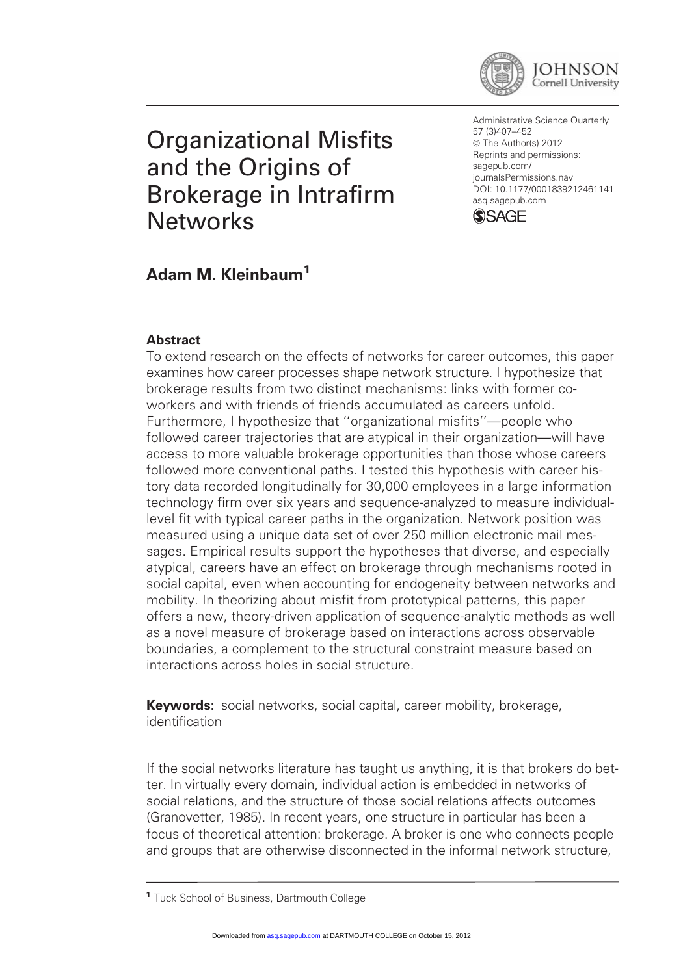

# Organizational Misfits and the Origins of Brokerage in Intrafirm **Networks**

Administrative Science Quarterly 57 (3)407–452 © The Author(s) 2012 Reprints and permissions: sagepub.com/ journalsPermissions.nav DOI: 10.1177/0001839212461141 asq.sagepub.com



Adam M. Kleinbaum<sup>1</sup>

# Abstract

To extend research on the effects of networks for career outcomes, this paper examines how career processes shape network structure. I hypothesize that brokerage results from two distinct mechanisms: links with former coworkers and with friends of friends accumulated as careers unfold. Furthermore, I hypothesize that ''organizational misfits''—people who followed career trajectories that are atypical in their organization—will have access to more valuable brokerage opportunities than those whose careers followed more conventional paths. I tested this hypothesis with career history data recorded longitudinally for 30,000 employees in a large information technology firm over six years and sequence-analyzed to measure individuallevel fit with typical career paths in the organization. Network position was measured using a unique data set of over 250 million electronic mail messages. Empirical results support the hypotheses that diverse, and especially atypical, careers have an effect on brokerage through mechanisms rooted in social capital, even when accounting for endogeneity between networks and mobility. In theorizing about misfit from prototypical patterns, this paper offers a new, theory-driven application of sequence-analytic methods as well as a novel measure of brokerage based on interactions across observable boundaries, a complement to the structural constraint measure based on interactions across holes in social structure.

**Keywords:** social networks, social capital, career mobility, brokerage, identification

If the social networks literature has taught us anything, it is that brokers do better. In virtually every domain, individual action is embedded in networks of social relations, and the structure of those social relations affects outcomes (Granovetter, 1985). In recent years, one structure in particular has been a focus of theoretical attention: brokerage. A broker is one who connects people and groups that are otherwise disconnected in the informal network structure,

<sup>&</sup>lt;sup>1</sup> Tuck School of Business, Dartmouth College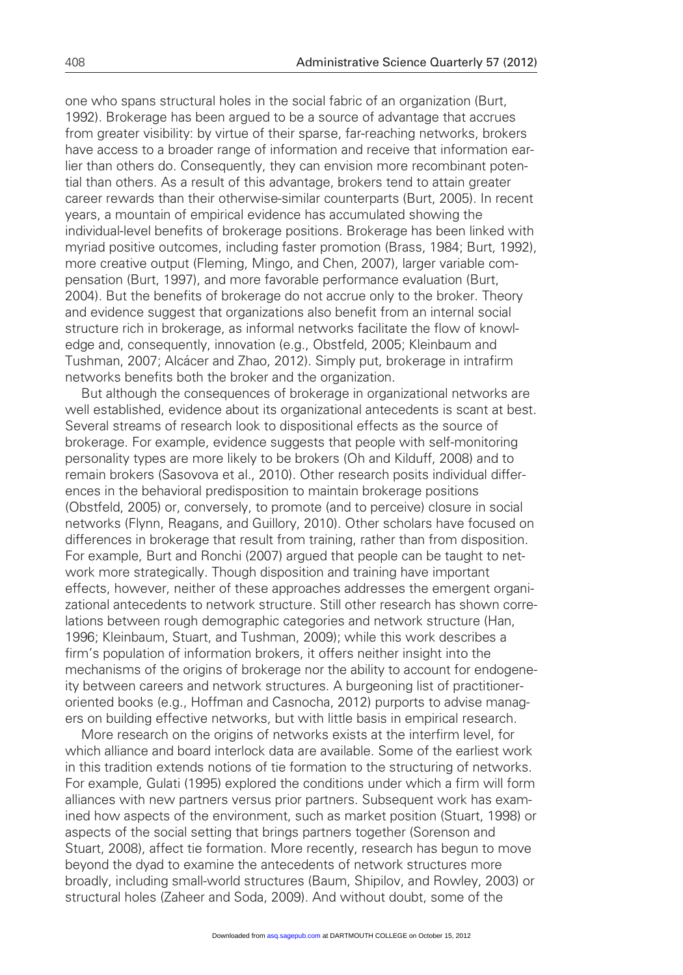one who spans structural holes in the social fabric of an organization (Burt, 1992). Brokerage has been argued to be a source of advantage that accrues from greater visibility: by virtue of their sparse, far-reaching networks, brokers have access to a broader range of information and receive that information earlier than others do. Consequently, they can envision more recombinant potential than others. As a result of this advantage, brokers tend to attain greater career rewards than their otherwise-similar counterparts (Burt, 2005). In recent years, a mountain of empirical evidence has accumulated showing the individual-level benefits of brokerage positions. Brokerage has been linked with myriad positive outcomes, including faster promotion (Brass, 1984; Burt, 1992), more creative output (Fleming, Mingo, and Chen, 2007), larger variable compensation (Burt, 1997), and more favorable performance evaluation (Burt, 2004). But the benefits of brokerage do not accrue only to the broker. Theory and evidence suggest that organizations also benefit from an internal social structure rich in brokerage, as informal networks facilitate the flow of knowledge and, consequently, innovation (e.g., Obstfeld, 2005; Kleinbaum and Tushman, 2007; Alcácer and Zhao, 2012). Simply put, brokerage in intrafirm networks benefits both the broker and the organization.

But although the consequences of brokerage in organizational networks are well established, evidence about its organizational antecedents is scant at best. Several streams of research look to dispositional effects as the source of brokerage. For example, evidence suggests that people with self-monitoring personality types are more likely to be brokers (Oh and Kilduff, 2008) and to remain brokers (Sasovova et al., 2010). Other research posits individual differences in the behavioral predisposition to maintain brokerage positions (Obstfeld, 2005) or, conversely, to promote (and to perceive) closure in social networks (Flynn, Reagans, and Guillory, 2010). Other scholars have focused on differences in brokerage that result from training, rather than from disposition. For example, Burt and Ronchi (2007) argued that people can be taught to network more strategically. Though disposition and training have important effects, however, neither of these approaches addresses the emergent organizational antecedents to network structure. Still other research has shown correlations between rough demographic categories and network structure (Han, 1996; Kleinbaum, Stuart, and Tushman, 2009); while this work describes a firm's population of information brokers, it offers neither insight into the mechanisms of the origins of brokerage nor the ability to account for endogeneity between careers and network structures. A burgeoning list of practitioneroriented books (e.g., Hoffman and Casnocha, 2012) purports to advise managers on building effective networks, but with little basis in empirical research.

More research on the origins of networks exists at the interfirm level, for which alliance and board interlock data are available. Some of the earliest work in this tradition extends notions of tie formation to the structuring of networks. For example, Gulati (1995) explored the conditions under which a firm will form alliances with new partners versus prior partners. Subsequent work has examined how aspects of the environment, such as market position (Stuart, 1998) or aspects of the social setting that brings partners together (Sorenson and Stuart, 2008), affect tie formation. More recently, research has begun to move beyond the dyad to examine the antecedents of network structures more broadly, including small-world structures (Baum, Shipilov, and Rowley, 2003) or structural holes (Zaheer and Soda, 2009). And without doubt, some of the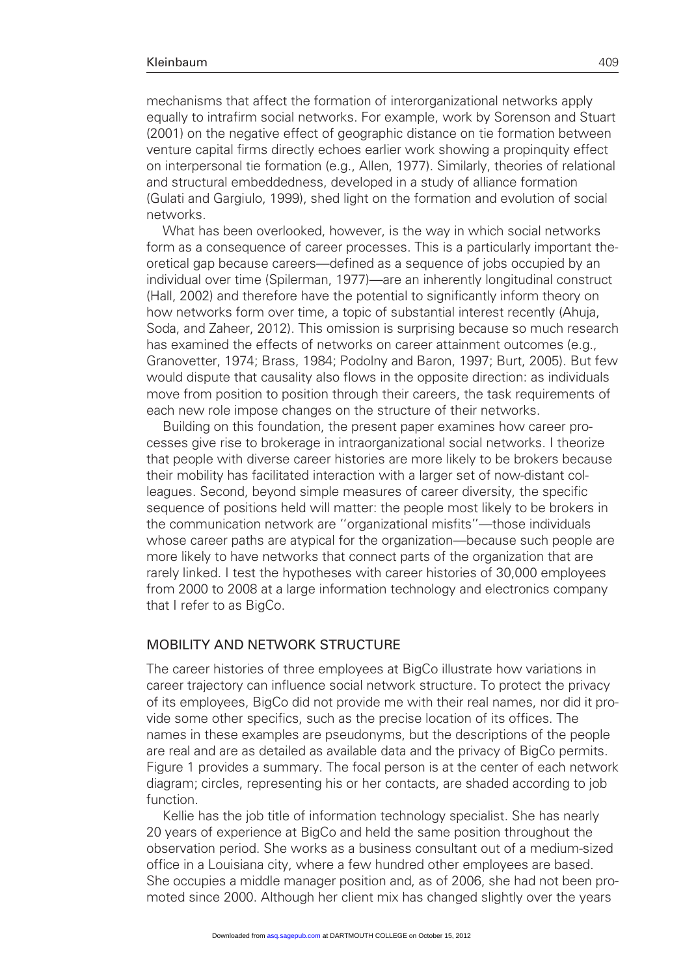mechanisms that affect the formation of interorganizational networks apply equally to intrafirm social networks. For example, work by Sorenson and Stuart (2001) on the negative effect of geographic distance on tie formation between venture capital firms directly echoes earlier work showing a propinquity effect on interpersonal tie formation (e.g., Allen, 1977). Similarly, theories of relational and structural embeddedness, developed in a study of alliance formation (Gulati and Gargiulo, 1999), shed light on the formation and evolution of social networks.

What has been overlooked, however, is the way in which social networks form as a consequence of career processes. This is a particularly important theoretical gap because careers—defined as a sequence of jobs occupied by an individual over time (Spilerman, 1977)—are an inherently longitudinal construct (Hall, 2002) and therefore have the potential to significantly inform theory on how networks form over time, a topic of substantial interest recently (Ahuja, Soda, and Zaheer, 2012). This omission is surprising because so much research has examined the effects of networks on career attainment outcomes (e.g., Granovetter, 1974; Brass, 1984; Podolny and Baron, 1997; Burt, 2005). But few would dispute that causality also flows in the opposite direction: as individuals move from position to position through their careers, the task requirements of each new role impose changes on the structure of their networks.

Building on this foundation, the present paper examines how career processes give rise to brokerage in intraorganizational social networks. I theorize that people with diverse career histories are more likely to be brokers because their mobility has facilitated interaction with a larger set of now-distant colleagues. Second, beyond simple measures of career diversity, the specific sequence of positions held will matter: the people most likely to be brokers in the communication network are ''organizational misfits''—those individuals whose career paths are atypical for the organization—because such people are more likely to have networks that connect parts of the organization that are rarely linked. I test the hypotheses with career histories of 30,000 employees from 2000 to 2008 at a large information technology and electronics company that I refer to as BigCo.

# MOBILITY AND NETWORK STRUCTURE

The career histories of three employees at BigCo illustrate how variations in career trajectory can influence social network structure. To protect the privacy of its employees, BigCo did not provide me with their real names, nor did it provide some other specifics, such as the precise location of its offices. The names in these examples are pseudonyms, but the descriptions of the people are real and are as detailed as available data and the privacy of BigCo permits. Figure 1 provides a summary. The focal person is at the center of each network diagram; circles, representing his or her contacts, are shaded according to job function.

Kellie has the job title of information technology specialist. She has nearly 20 years of experience at BigCo and held the same position throughout the observation period. She works as a business consultant out of a medium-sized office in a Louisiana city, where a few hundred other employees are based. She occupies a middle manager position and, as of 2006, she had not been promoted since 2000. Although her client mix has changed slightly over the years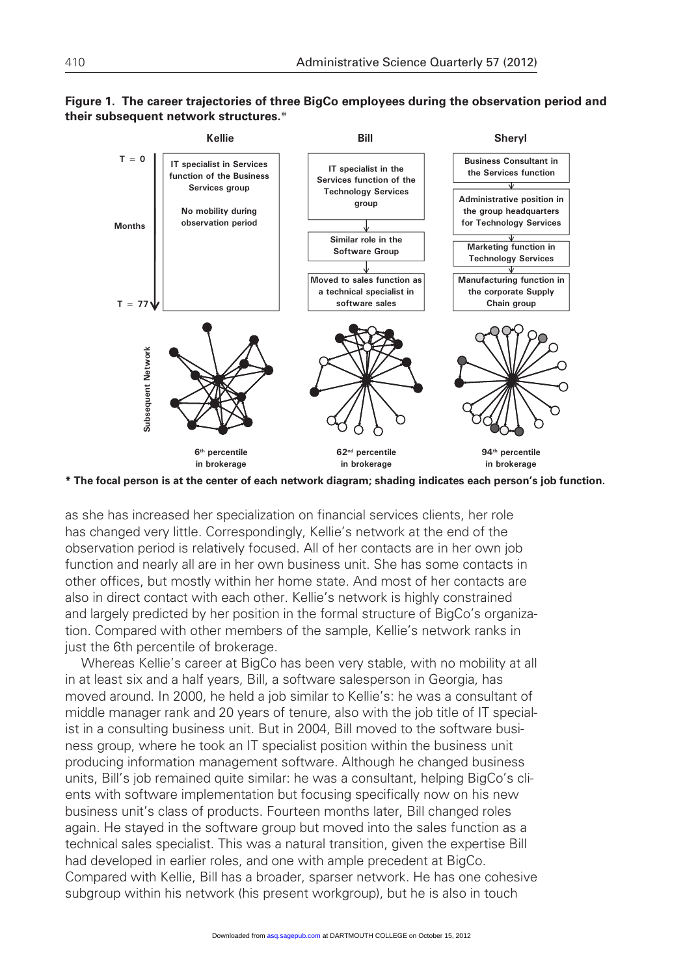



\* The focal person is at the center of each network diagram; shading indicates each person's job function.

as she has increased her specialization on financial services clients, her role has changed very little. Correspondingly, Kellie's network at the end of the observation period is relatively focused. All of her contacts are in her own job function and nearly all are in her own business unit. She has some contacts in other offices, but mostly within her home state. And most of her contacts are also in direct contact with each other. Kellie's network is highly constrained and largely predicted by her position in the formal structure of BigCo's organization. Compared with other members of the sample, Kellie's network ranks in just the 6th percentile of brokerage.

Whereas Kellie's career at BigCo has been very stable, with no mobility at all in at least six and a half years, Bill, a software salesperson in Georgia, has moved around. In 2000, he held a job similar to Kellie's: he was a consultant of middle manager rank and 20 years of tenure, also with the job title of IT specialist in a consulting business unit. But in 2004, Bill moved to the software business group, where he took an IT specialist position within the business unit producing information management software. Although he changed business units, Bill's job remained quite similar: he was a consultant, helping BigCo's clients with software implementation but focusing specifically now on his new business unit's class of products. Fourteen months later, Bill changed roles again. He stayed in the software group but moved into the sales function as a technical sales specialist. This was a natural transition, given the expertise Bill had developed in earlier roles, and one with ample precedent at BigCo. Compared with Kellie, Bill has a broader, sparser network. He has one cohesive subgroup within his network (his present workgroup), but he is also in touch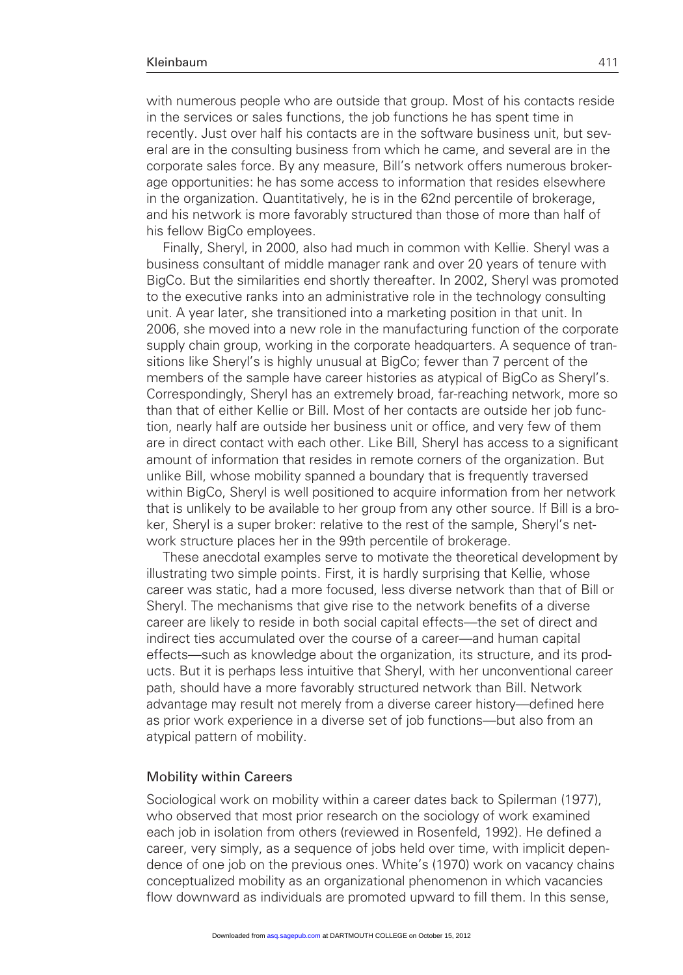with numerous people who are outside that group. Most of his contacts reside in the services or sales functions, the job functions he has spent time in recently. Just over half his contacts are in the software business unit, but several are in the consulting business from which he came, and several are in the corporate sales force. By any measure, Bill's network offers numerous brokerage opportunities: he has some access to information that resides elsewhere in the organization. Quantitatively, he is in the 62nd percentile of brokerage, and his network is more favorably structured than those of more than half of his fellow BigCo employees.

Finally, Sheryl, in 2000, also had much in common with Kellie. Sheryl was a business consultant of middle manager rank and over 20 years of tenure with BigCo. But the similarities end shortly thereafter. In 2002, Sheryl was promoted to the executive ranks into an administrative role in the technology consulting unit. A year later, she transitioned into a marketing position in that unit. In 2006, she moved into a new role in the manufacturing function of the corporate supply chain group, working in the corporate headquarters. A sequence of transitions like Sheryl's is highly unusual at BigCo; fewer than 7 percent of the members of the sample have career histories as atypical of BigCo as Sheryl's. Correspondingly, Sheryl has an extremely broad, far-reaching network, more so than that of either Kellie or Bill. Most of her contacts are outside her job function, nearly half are outside her business unit or office, and very few of them are in direct contact with each other. Like Bill, Sheryl has access to a significant amount of information that resides in remote corners of the organization. But unlike Bill, whose mobility spanned a boundary that is frequently traversed within BigCo, Sheryl is well positioned to acquire information from her network that is unlikely to be available to her group from any other source. If Bill is a broker, Sheryl is a super broker: relative to the rest of the sample, Sheryl's network structure places her in the 99th percentile of brokerage.

These anecdotal examples serve to motivate the theoretical development by illustrating two simple points. First, it is hardly surprising that Kellie, whose career was static, had a more focused, less diverse network than that of Bill or Sheryl. The mechanisms that give rise to the network benefits of a diverse career are likely to reside in both social capital effects—the set of direct and indirect ties accumulated over the course of a career—and human capital effects—such as knowledge about the organization, its structure, and its products. But it is perhaps less intuitive that Sheryl, with her unconventional career path, should have a more favorably structured network than Bill. Network advantage may result not merely from a diverse career history—defined here as prior work experience in a diverse set of job functions—but also from an atypical pattern of mobility.

# Mobility within Careers

Sociological work on mobility within a career dates back to Spilerman (1977), who observed that most prior research on the sociology of work examined each job in isolation from others (reviewed in Rosenfeld, 1992). He defined a career, very simply, as a sequence of jobs held over time, with implicit dependence of one job on the previous ones. White's (1970) work on vacancy chains conceptualized mobility as an organizational phenomenon in which vacancies flow downward as individuals are promoted upward to fill them. In this sense,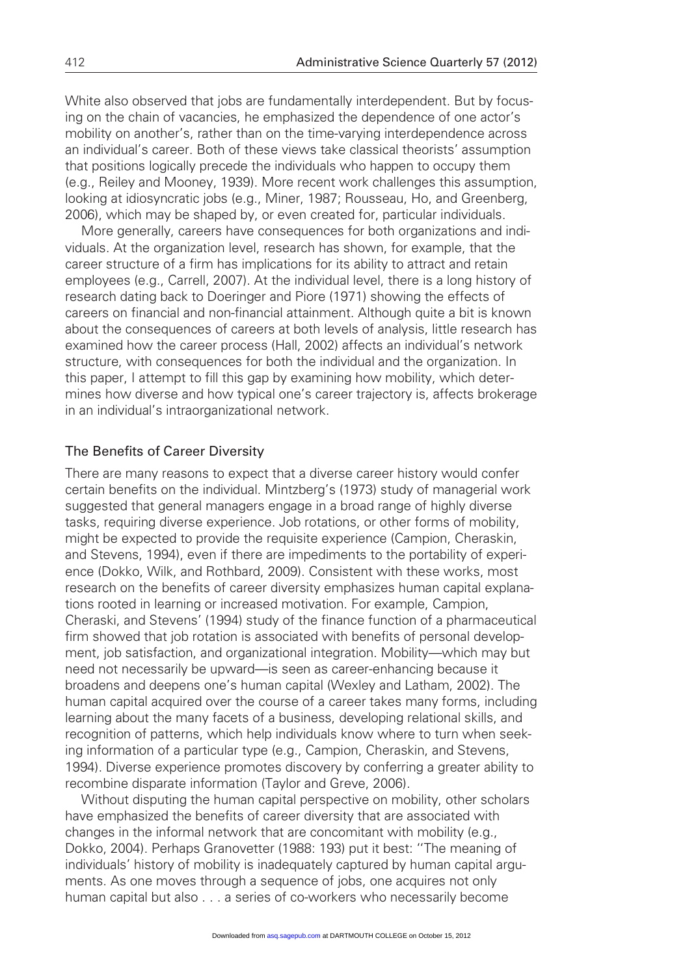White also observed that jobs are fundamentally interdependent. But by focusing on the chain of vacancies, he emphasized the dependence of one actor's mobility on another's, rather than on the time-varying interdependence across an individual's career. Both of these views take classical theorists' assumption that positions logically precede the individuals who happen to occupy them (e.g., Reiley and Mooney, 1939). More recent work challenges this assumption, looking at idiosyncratic jobs (e.g., Miner, 1987; Rousseau, Ho, and Greenberg, 2006), which may be shaped by, or even created for, particular individuals.

More generally, careers have consequences for both organizations and individuals. At the organization level, research has shown, for example, that the career structure of a firm has implications for its ability to attract and retain employees (e.g., Carrell, 2007). At the individual level, there is a long history of research dating back to Doeringer and Piore (1971) showing the effects of careers on financial and non-financial attainment. Although quite a bit is known about the consequences of careers at both levels of analysis, little research has examined how the career process (Hall, 2002) affects an individual's network structure, with consequences for both the individual and the organization. In this paper, I attempt to fill this gap by examining how mobility, which determines how diverse and how typical one's career trajectory is, affects brokerage in an individual's intraorganizational network.

# The Benefits of Career Diversity

There are many reasons to expect that a diverse career history would confer certain benefits on the individual. Mintzberg's (1973) study of managerial work suggested that general managers engage in a broad range of highly diverse tasks, requiring diverse experience. Job rotations, or other forms of mobility, might be expected to provide the requisite experience (Campion, Cheraskin, and Stevens, 1994), even if there are impediments to the portability of experience (Dokko, Wilk, and Rothbard, 2009). Consistent with these works, most research on the benefits of career diversity emphasizes human capital explanations rooted in learning or increased motivation. For example, Campion, Cheraski, and Stevens' (1994) study of the finance function of a pharmaceutical firm showed that job rotation is associated with benefits of personal development, job satisfaction, and organizational integration. Mobility—which may but need not necessarily be upward—is seen as career-enhancing because it broadens and deepens one's human capital (Wexley and Latham, 2002). The human capital acquired over the course of a career takes many forms, including learning about the many facets of a business, developing relational skills, and recognition of patterns, which help individuals know where to turn when seeking information of a particular type (e.g., Campion, Cheraskin, and Stevens, 1994). Diverse experience promotes discovery by conferring a greater ability to recombine disparate information (Taylor and Greve, 2006).

Without disputing the human capital perspective on mobility, other scholars have emphasized the benefits of career diversity that are associated with changes in the informal network that are concomitant with mobility (e.g., Dokko, 2004). Perhaps Granovetter (1988: 193) put it best: ''The meaning of individuals' history of mobility is inadequately captured by human capital arguments. As one moves through a sequence of jobs, one acquires not only human capital but also . . . a series of co-workers who necessarily become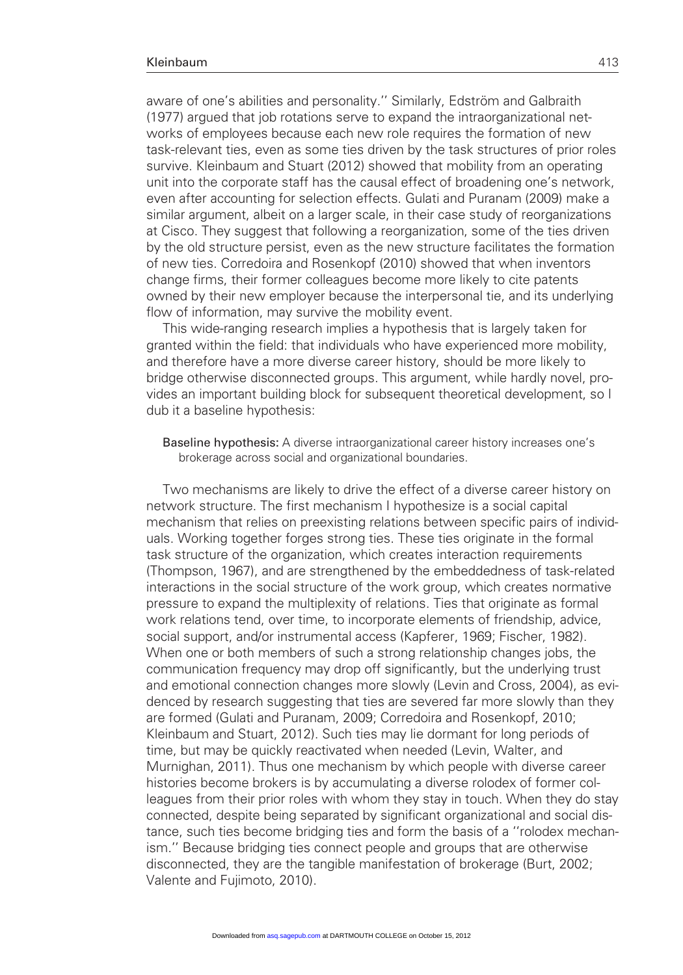#### Kleinbaum 413

aware of one's abilities and personality." Similarly, Edström and Galbraith (1977) argued that job rotations serve to expand the intraorganizational networks of employees because each new role requires the formation of new task-relevant ties, even as some ties driven by the task structures of prior roles survive. Kleinbaum and Stuart (2012) showed that mobility from an operating unit into the corporate staff has the causal effect of broadening one's network, even after accounting for selection effects. Gulati and Puranam (2009) make a similar argument, albeit on a larger scale, in their case study of reorganizations at Cisco. They suggest that following a reorganization, some of the ties driven by the old structure persist, even as the new structure facilitates the formation of new ties. Corredoira and Rosenkopf (2010) showed that when inventors change firms, their former colleagues become more likely to cite patents owned by their new employer because the interpersonal tie, and its underlying flow of information, may survive the mobility event.

This wide-ranging research implies a hypothesis that is largely taken for granted within the field: that individuals who have experienced more mobility, and therefore have a more diverse career history, should be more likely to bridge otherwise disconnected groups. This argument, while hardly novel, provides an important building block for subsequent theoretical development, so I dub it a baseline hypothesis:

Baseline hypothesis: A diverse intraorganizational career history increases one's brokerage across social and organizational boundaries.

Two mechanisms are likely to drive the effect of a diverse career history on network structure. The first mechanism I hypothesize is a social capital mechanism that relies on preexisting relations between specific pairs of individuals. Working together forges strong ties. These ties originate in the formal task structure of the organization, which creates interaction requirements (Thompson, 1967), and are strengthened by the embeddedness of task-related interactions in the social structure of the work group, which creates normative pressure to expand the multiplexity of relations. Ties that originate as formal work relations tend, over time, to incorporate elements of friendship, advice, social support, and/or instrumental access (Kapferer, 1969; Fischer, 1982). When one or both members of such a strong relationship changes jobs, the communication frequency may drop off significantly, but the underlying trust and emotional connection changes more slowly (Levin and Cross, 2004), as evidenced by research suggesting that ties are severed far more slowly than they are formed (Gulati and Puranam, 2009; Corredoira and Rosenkopf, 2010; Kleinbaum and Stuart, 2012). Such ties may lie dormant for long periods of time, but may be quickly reactivated when needed (Levin, Walter, and Murnighan, 2011). Thus one mechanism by which people with diverse career histories become brokers is by accumulating a diverse rolodex of former colleagues from their prior roles with whom they stay in touch. When they do stay connected, despite being separated by significant organizational and social distance, such ties become bridging ties and form the basis of a ''rolodex mechanism.'' Because bridging ties connect people and groups that are otherwise disconnected, they are the tangible manifestation of brokerage (Burt, 2002; Valente and Fujimoto, 2010).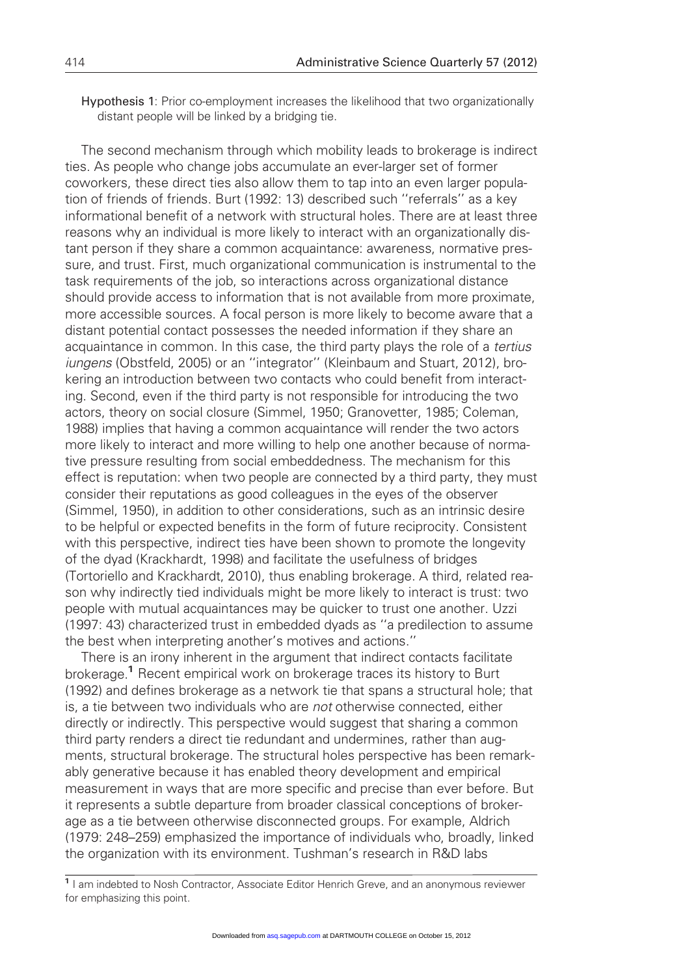Hypothesis 1: Prior co-employment increases the likelihood that two organizationally distant people will be linked by a bridging tie.

The second mechanism through which mobility leads to brokerage is indirect ties. As people who change jobs accumulate an ever-larger set of former coworkers, these direct ties also allow them to tap into an even larger population of friends of friends. Burt (1992: 13) described such ''referrals'' as a key informational benefit of a network with structural holes. There are at least three reasons why an individual is more likely to interact with an organizationally distant person if they share a common acquaintance: awareness, normative pressure, and trust. First, much organizational communication is instrumental to the task requirements of the job, so interactions across organizational distance should provide access to information that is not available from more proximate, more accessible sources. A focal person is more likely to become aware that a distant potential contact possesses the needed information if they share an acquaintance in common. In this case, the third party plays the role of a *tertius* iungens (Obstfeld, 2005) or an "integrator" (Kleinbaum and Stuart, 2012), brokering an introduction between two contacts who could benefit from interacting. Second, even if the third party is not responsible for introducing the two actors, theory on social closure (Simmel, 1950; Granovetter, 1985; Coleman, 1988) implies that having a common acquaintance will render the two actors more likely to interact and more willing to help one another because of normative pressure resulting from social embeddedness. The mechanism for this effect is reputation: when two people are connected by a third party, they must consider their reputations as good colleagues in the eyes of the observer (Simmel, 1950), in addition to other considerations, such as an intrinsic desire to be helpful or expected benefits in the form of future reciprocity. Consistent with this perspective, indirect ties have been shown to promote the longevity of the dyad (Krackhardt, 1998) and facilitate the usefulness of bridges (Tortoriello and Krackhardt, 2010), thus enabling brokerage. A third, related reason why indirectly tied individuals might be more likely to interact is trust: two people with mutual acquaintances may be quicker to trust one another. Uzzi (1997: 43) characterized trust in embedded dyads as ''a predilection to assume the best when interpreting another's motives and actions.''

There is an irony inherent in the argument that indirect contacts facilitate brokerage.<sup>1</sup> Recent empirical work on brokerage traces its history to Burt (1992) and defines brokerage as a network tie that spans a structural hole; that is, a tie between two individuals who are not otherwise connected, either directly or indirectly. This perspective would suggest that sharing a common third party renders a direct tie redundant and undermines, rather than augments, structural brokerage. The structural holes perspective has been remarkably generative because it has enabled theory development and empirical measurement in ways that are more specific and precise than ever before. But it represents a subtle departure from broader classical conceptions of brokerage as a tie between otherwise disconnected groups. For example, Aldrich (1979: 248–259) emphasized the importance of individuals who, broadly, linked the organization with its environment. Tushman's research in R&D labs

<sup>&</sup>lt;sup>1</sup> I am indebted to Nosh Contractor, Associate Editor Henrich Greve, and an anonymous reviewer for emphasizing this point.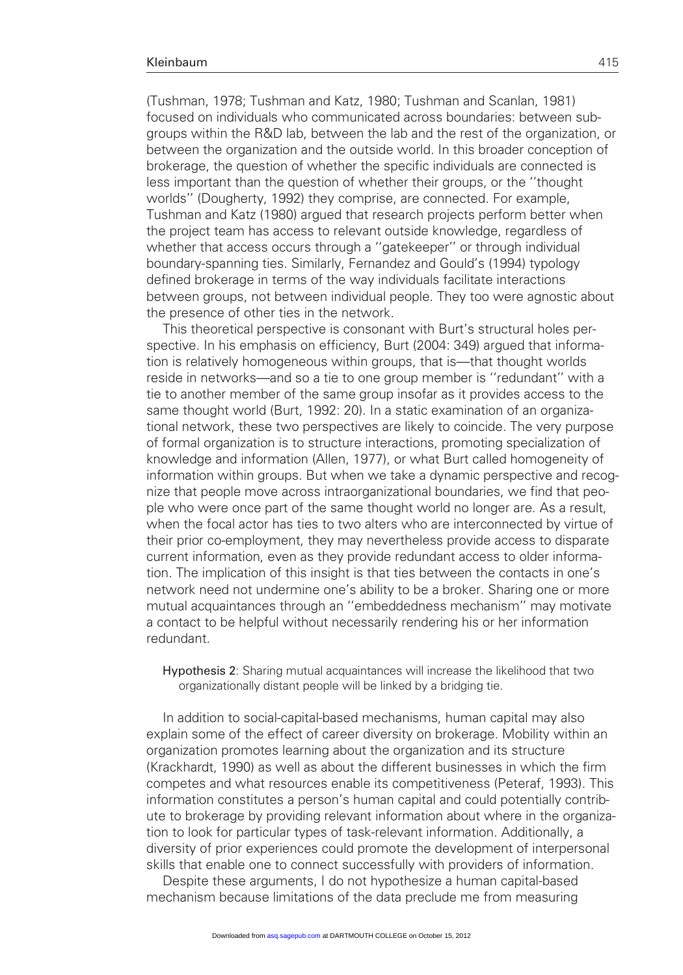#### Kleinbaum 415

(Tushman, 1978; Tushman and Katz, 1980; Tushman and Scanlan, 1981) focused on individuals who communicated across boundaries: between subgroups within the R&D lab, between the lab and the rest of the organization, or between the organization and the outside world. In this broader conception of brokerage, the question of whether the specific individuals are connected is less important than the question of whether their groups, or the ''thought worlds'' (Dougherty, 1992) they comprise, are connected. For example, Tushman and Katz (1980) argued that research projects perform better when the project team has access to relevant outside knowledge, regardless of whether that access occurs through a ''gatekeeper'' or through individual boundary-spanning ties. Similarly, Fernandez and Gould's (1994) typology defined brokerage in terms of the way individuals facilitate interactions between groups, not between individual people. They too were agnostic about the presence of other ties in the network.

This theoretical perspective is consonant with Burt's structural holes perspective. In his emphasis on efficiency, Burt (2004: 349) argued that information is relatively homogeneous within groups, that is—that thought worlds reside in networks—and so a tie to one group member is ''redundant'' with a tie to another member of the same group insofar as it provides access to the same thought world (Burt, 1992: 20). In a static examination of an organizational network, these two perspectives are likely to coincide. The very purpose of formal organization is to structure interactions, promoting specialization of knowledge and information (Allen, 1977), or what Burt called homogeneity of information within groups. But when we take a dynamic perspective and recognize that people move across intraorganizational boundaries, we find that people who were once part of the same thought world no longer are. As a result, when the focal actor has ties to two alters who are interconnected by virtue of their prior co-employment, they may nevertheless provide access to disparate current information, even as they provide redundant access to older information. The implication of this insight is that ties between the contacts in one's network need not undermine one's ability to be a broker. Sharing one or more mutual acquaintances through an ''embeddedness mechanism'' may motivate a contact to be helpful without necessarily rendering his or her information redundant.

#### Hypothesis 2: Sharing mutual acquaintances will increase the likelihood that two organizationally distant people will be linked by a bridging tie.

In addition to social-capital-based mechanisms, human capital may also explain some of the effect of career diversity on brokerage. Mobility within an organization promotes learning about the organization and its structure (Krackhardt, 1990) as well as about the different businesses in which the firm competes and what resources enable its competitiveness (Peteraf, 1993). This information constitutes a person's human capital and could potentially contribute to brokerage by providing relevant information about where in the organization to look for particular types of task-relevant information. Additionally, a diversity of prior experiences could promote the development of interpersonal skills that enable one to connect successfully with providers of information.

Despite these arguments, I do not hypothesize a human capital-based mechanism because limitations of the data preclude me from measuring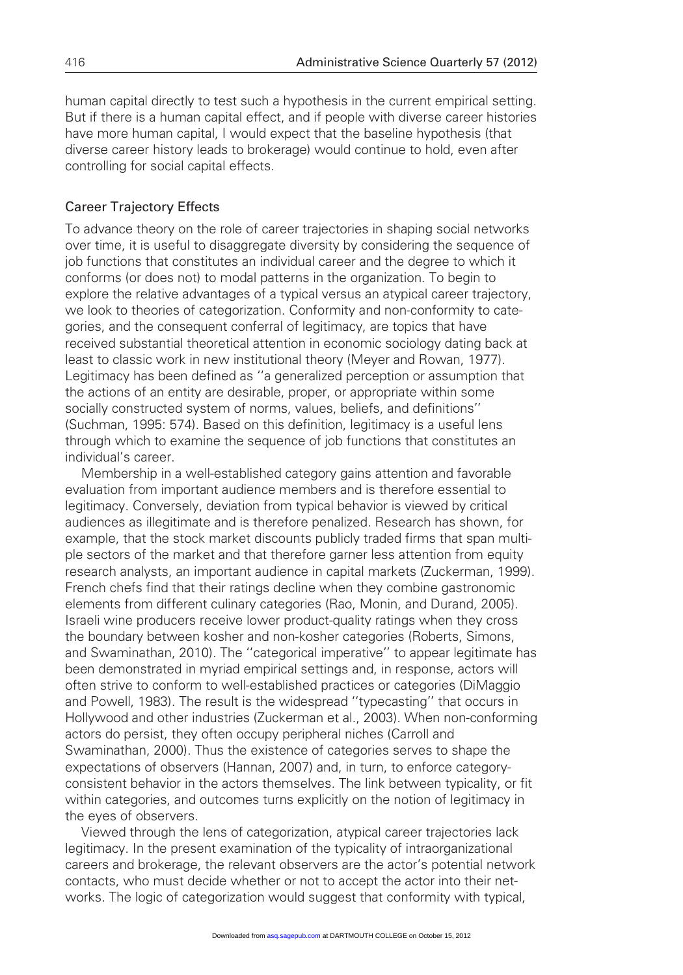human capital directly to test such a hypothesis in the current empirical setting. But if there is a human capital effect, and if people with diverse career histories have more human capital, I would expect that the baseline hypothesis (that diverse career history leads to brokerage) would continue to hold, even after controlling for social capital effects.

# Career Trajectory Effects

To advance theory on the role of career trajectories in shaping social networks over time, it is useful to disaggregate diversity by considering the sequence of job functions that constitutes an individual career and the degree to which it conforms (or does not) to modal patterns in the organization. To begin to explore the relative advantages of a typical versus an atypical career trajectory, we look to theories of categorization. Conformity and non-conformity to categories, and the consequent conferral of legitimacy, are topics that have received substantial theoretical attention in economic sociology dating back at least to classic work in new institutional theory (Meyer and Rowan, 1977). Legitimacy has been defined as ''a generalized perception or assumption that the actions of an entity are desirable, proper, or appropriate within some socially constructed system of norms, values, beliefs, and definitions'' (Suchman, 1995: 574). Based on this definition, legitimacy is a useful lens through which to examine the sequence of job functions that constitutes an individual's career.

Membership in a well-established category gains attention and favorable evaluation from important audience members and is therefore essential to legitimacy. Conversely, deviation from typical behavior is viewed by critical audiences as illegitimate and is therefore penalized. Research has shown, for example, that the stock market discounts publicly traded firms that span multiple sectors of the market and that therefore garner less attention from equity research analysts, an important audience in capital markets (Zuckerman, 1999). French chefs find that their ratings decline when they combine gastronomic elements from different culinary categories (Rao, Monin, and Durand, 2005). Israeli wine producers receive lower product-quality ratings when they cross the boundary between kosher and non-kosher categories (Roberts, Simons, and Swaminathan, 2010). The ''categorical imperative'' to appear legitimate has been demonstrated in myriad empirical settings and, in response, actors will often strive to conform to well-established practices or categories (DiMaggio and Powell, 1983). The result is the widespread ''typecasting'' that occurs in Hollywood and other industries (Zuckerman et al., 2003). When non-conforming actors do persist, they often occupy peripheral niches (Carroll and Swaminathan, 2000). Thus the existence of categories serves to shape the expectations of observers (Hannan, 2007) and, in turn, to enforce categoryconsistent behavior in the actors themselves. The link between typicality, or fit within categories, and outcomes turns explicitly on the notion of legitimacy in the eyes of observers.

Viewed through the lens of categorization, atypical career trajectories lack legitimacy. In the present examination of the typicality of intraorganizational careers and brokerage, the relevant observers are the actor's potential network contacts, who must decide whether or not to accept the actor into their networks. The logic of categorization would suggest that conformity with typical,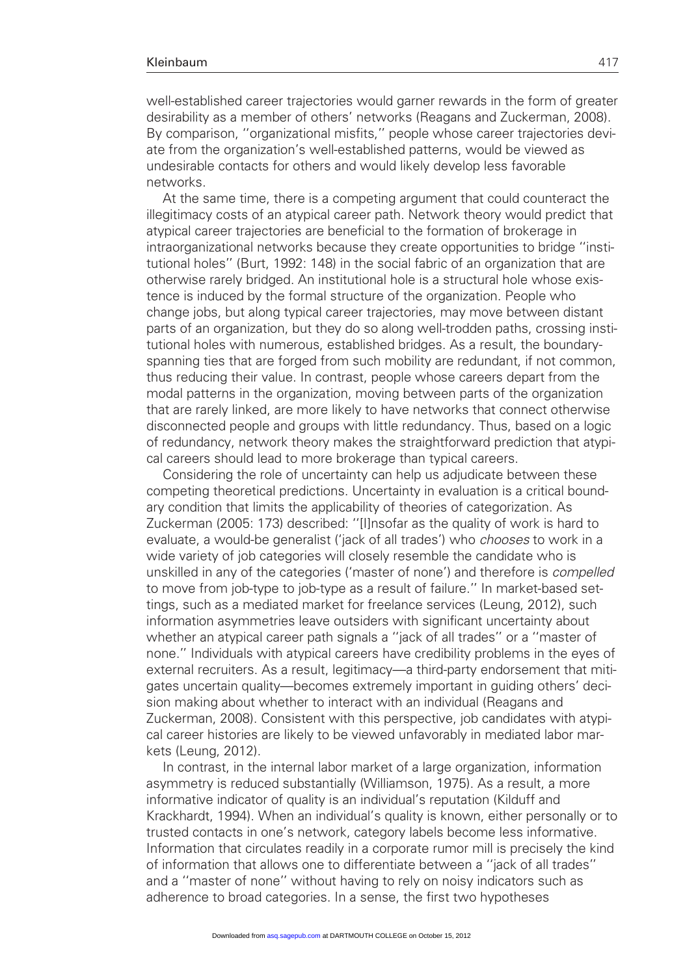well-established career trajectories would garner rewards in the form of greater desirability as a member of others' networks (Reagans and Zuckerman, 2008). By comparison, ''organizational misfits,'' people whose career trajectories deviate from the organization's well-established patterns, would be viewed as undesirable contacts for others and would likely develop less favorable networks.

At the same time, there is a competing argument that could counteract the illegitimacy costs of an atypical career path. Network theory would predict that atypical career trajectories are beneficial to the formation of brokerage in intraorganizational networks because they create opportunities to bridge ''institutional holes'' (Burt, 1992: 148) in the social fabric of an organization that are otherwise rarely bridged. An institutional hole is a structural hole whose existence is induced by the formal structure of the organization. People who change jobs, but along typical career trajectories, may move between distant parts of an organization, but they do so along well-trodden paths, crossing institutional holes with numerous, established bridges. As a result, the boundaryspanning ties that are forged from such mobility are redundant, if not common, thus reducing their value. In contrast, people whose careers depart from the modal patterns in the organization, moving between parts of the organization that are rarely linked, are more likely to have networks that connect otherwise disconnected people and groups with little redundancy. Thus, based on a logic of redundancy, network theory makes the straightforward prediction that atypical careers should lead to more brokerage than typical careers.

Considering the role of uncertainty can help us adjudicate between these competing theoretical predictions. Uncertainty in evaluation is a critical boundary condition that limits the applicability of theories of categorization. As Zuckerman (2005: 173) described: ''[I]nsofar as the quality of work is hard to evaluate, a would-be generalist ('jack of all trades') who *chooses* to work in a wide variety of job categories will closely resemble the candidate who is unskilled in any of the categories ('master of none') and therefore is compelled to move from job-type to job-type as a result of failure.'' In market-based settings, such as a mediated market for freelance services (Leung, 2012), such information asymmetries leave outsiders with significant uncertainty about whether an atypical career path signals a "jack of all trades" or a "master of none.'' Individuals with atypical careers have credibility problems in the eyes of external recruiters. As a result, legitimacy—a third-party endorsement that mitigates uncertain quality—becomes extremely important in guiding others' decision making about whether to interact with an individual (Reagans and Zuckerman, 2008). Consistent with this perspective, job candidates with atypical career histories are likely to be viewed unfavorably in mediated labor markets (Leung, 2012).

In contrast, in the internal labor market of a large organization, information asymmetry is reduced substantially (Williamson, 1975). As a result, a more informative indicator of quality is an individual's reputation (Kilduff and Krackhardt, 1994). When an individual's quality is known, either personally or to trusted contacts in one's network, category labels become less informative. Information that circulates readily in a corporate rumor mill is precisely the kind of information that allows one to differentiate between a ''jack of all trades'' and a ''master of none'' without having to rely on noisy indicators such as adherence to broad categories. In a sense, the first two hypotheses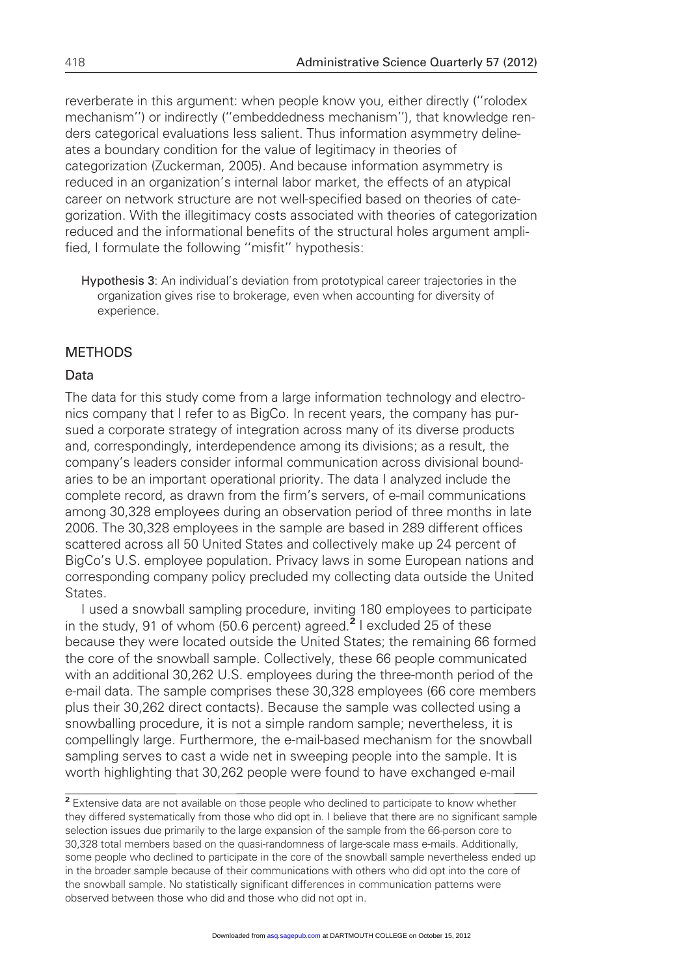reverberate in this argument: when people know you, either directly (''rolodex mechanism'') or indirectly (''embeddedness mechanism''), that knowledge renders categorical evaluations less salient. Thus information asymmetry delineates a boundary condition for the value of legitimacy in theories of categorization (Zuckerman, 2005). And because information asymmetry is reduced in an organization's internal labor market, the effects of an atypical career on network structure are not well-specified based on theories of categorization. With the illegitimacy costs associated with theories of categorization reduced and the informational benefits of the structural holes argument amplified, I formulate the following ''misfit'' hypothesis:

# **METHODS**

# Data

The data for this study come from a large information technology and electronics company that I refer to as BigCo. In recent years, the company has pursued a corporate strategy of integration across many of its diverse products and, correspondingly, interdependence among its divisions; as a result, the company's leaders consider informal communication across divisional boundaries to be an important operational priority. The data I analyzed include the complete record, as drawn from the firm's servers, of e-mail communications among 30,328 employees during an observation period of three months in late 2006. The 30,328 employees in the sample are based in 289 different offices scattered across all 50 United States and collectively make up 24 percent of BigCo's U.S. employee population. Privacy laws in some European nations and corresponding company policy precluded my collecting data outside the United States.

I used a snowball sampling procedure, inviting 180 employees to participate in the study, 91 of whom (50.6 percent) agreed.<sup>2</sup> l excluded 25 of these because they were located outside the United States; the remaining 66 formed the core of the snowball sample. Collectively, these 66 people communicated with an additional 30,262 U.S. employees during the three-month period of the e-mail data. The sample comprises these 30,328 employees (66 core members plus their 30,262 direct contacts). Because the sample was collected using a snowballing procedure, it is not a simple random sample; nevertheless, it is compellingly large. Furthermore, the e-mail-based mechanism for the snowball sampling serves to cast a wide net in sweeping people into the sample. It is worth highlighting that 30,262 people were found to have exchanged e-mail

<sup>2</sup> Extensive data are not available on those people who declined to participate to know whether they differed systematically from those who did opt in. I believe that there are no significant sample selection issues due primarily to the large expansion of the sample from the 66-person core to 30,328 total members based on the quasi-randomness of large-scale mass e-mails. Additionally, some people who declined to participate in the core of the snowball sample nevertheless ended up in the broader sample because of their communications with others who did opt into the core of the snowball sample. No statistically significant differences in communication patterns were observed between those who did and those who did not opt in.

Hypothesis 3: An individual's deviation from prototypical career trajectories in the organization gives rise to brokerage, even when accounting for diversity of experience.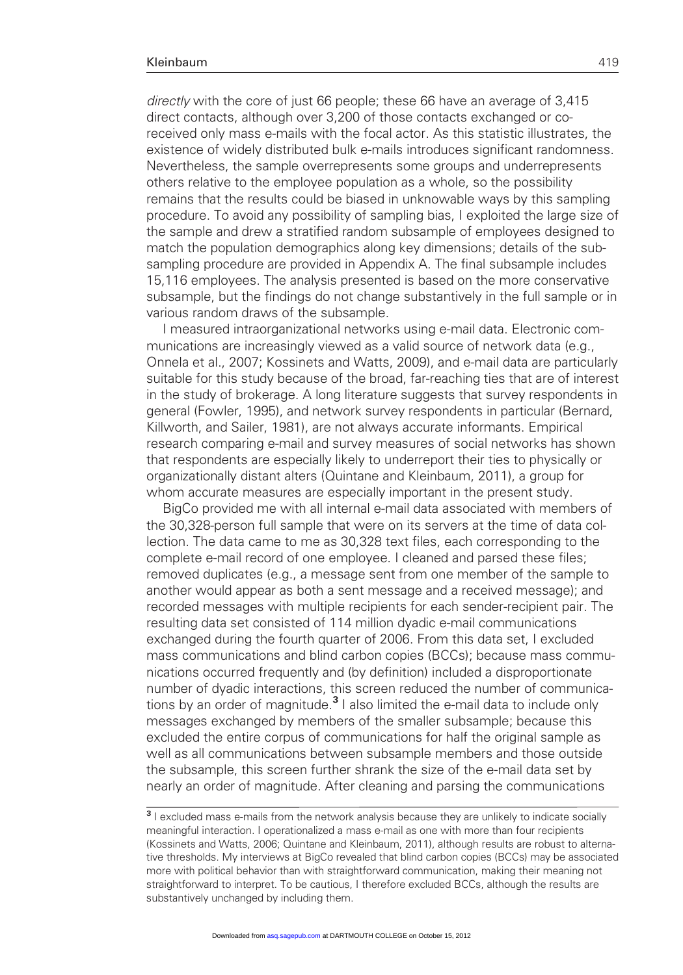# Kleinbaum 419

directly with the core of just 66 people; these 66 have an average of 3,415 direct contacts, although over 3,200 of those contacts exchanged or coreceived only mass e-mails with the focal actor. As this statistic illustrates, the existence of widely distributed bulk e-mails introduces significant randomness. Nevertheless, the sample overrepresents some groups and underrepresents others relative to the employee population as a whole, so the possibility remains that the results could be biased in unknowable ways by this sampling procedure. To avoid any possibility of sampling bias, I exploited the large size of the sample and drew a stratified random subsample of employees designed to match the population demographics along key dimensions; details of the subsampling procedure are provided in Appendix A. The final subsample includes 15,116 employees. The analysis presented is based on the more conservative subsample, but the findings do not change substantively in the full sample or in various random draws of the subsample.

I measured intraorganizational networks using e-mail data. Electronic communications are increasingly viewed as a valid source of network data (e.g., Onnela et al., 2007; Kossinets and Watts, 2009), and e-mail data are particularly suitable for this study because of the broad, far-reaching ties that are of interest in the study of brokerage. A long literature suggests that survey respondents in general (Fowler, 1995), and network survey respondents in particular (Bernard, Killworth, and Sailer, 1981), are not always accurate informants. Empirical research comparing e-mail and survey measures of social networks has shown that respondents are especially likely to underreport their ties to physically or organizationally distant alters (Quintane and Kleinbaum, 2011), a group for whom accurate measures are especially important in the present study.

BigCo provided me with all internal e-mail data associated with members of the 30,328-person full sample that were on its servers at the time of data collection. The data came to me as 30,328 text files, each corresponding to the complete e-mail record of one employee. I cleaned and parsed these files; removed duplicates (e.g., a message sent from one member of the sample to another would appear as both a sent message and a received message); and recorded messages with multiple recipients for each sender-recipient pair. The resulting data set consisted of 114 million dyadic e-mail communications exchanged during the fourth quarter of 2006. From this data set, I excluded mass communications and blind carbon copies (BCCs); because mass communications occurred frequently and (by definition) included a disproportionate number of dyadic interactions, this screen reduced the number of communications by an order of magnitude.<sup>3</sup> I also limited the e-mail data to include only messages exchanged by members of the smaller subsample; because this excluded the entire corpus of communications for half the original sample as well as all communications between subsample members and those outside the subsample, this screen further shrank the size of the e-mail data set by nearly an order of magnitude. After cleaning and parsing the communications

 $31$  excluded mass e-mails from the network analysis because they are unlikely to indicate socially meaningful interaction. I operationalized a mass e-mail as one with more than four recipients (Kossinets and Watts, 2006; Quintane and Kleinbaum, 2011), although results are robust to alternative thresholds. My interviews at BigCo revealed that blind carbon copies (BCCs) may be associated more with political behavior than with straightforward communication, making their meaning not straightforward to interpret. To be cautious, I therefore excluded BCCs, although the results are substantively unchanged by including them.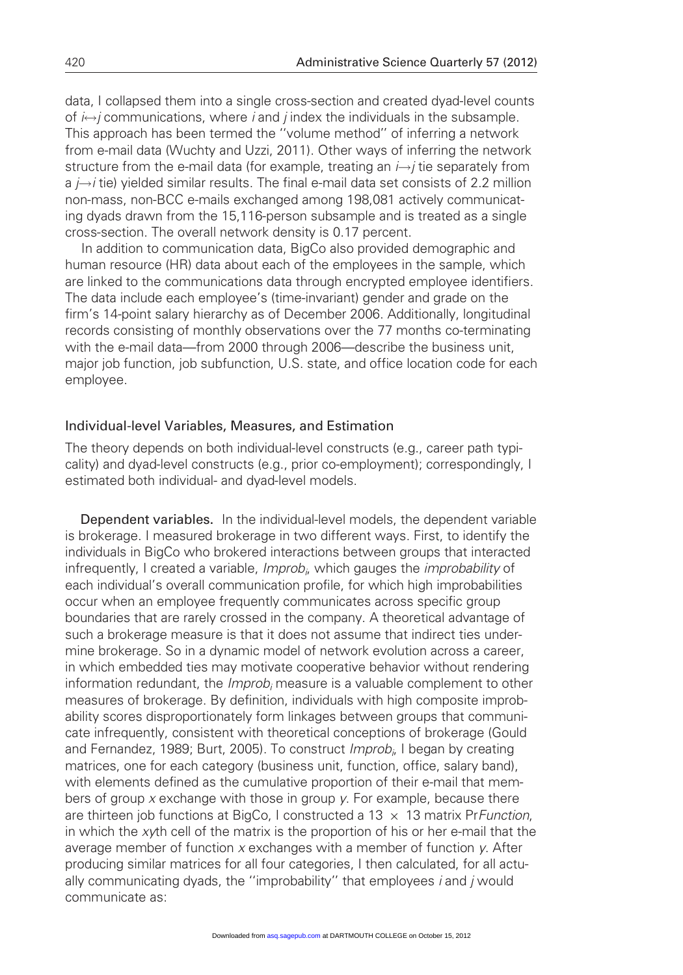data, I collapsed them into a single cross-section and created dyad-level counts of  $i \leftrightarrow j$  communications, where i and j index the individuals in the subsample. This approach has been termed the ''volume method'' of inferring a network from e-mail data (Wuchty and Uzzi, 2011). Other ways of inferring the network structure from the e-mail data (for example, treating an  $i \rightarrow j$  tie separately from a  $j \rightarrow i$  tie) yielded similar results. The final e-mail data set consists of 2.2 million non-mass, non-BCC e-mails exchanged among 198,081 actively communicating dyads drawn from the 15,116-person subsample and is treated as a single cross-section. The overall network density is 0.17 percent.

In addition to communication data, BigCo also provided demographic and human resource (HR) data about each of the employees in the sample, which are linked to the communications data through encrypted employee identifiers. The data include each employee's (time-invariant) gender and grade on the firm's 14-point salary hierarchy as of December 2006. Additionally, longitudinal records consisting of monthly observations over the 77 months co-terminating with the e-mail data—from 2000 through 2006—describe the business unit, major job function, job subfunction, U.S. state, and office location code for each employee.

# Individual-level Variables, Measures, and Estimation

The theory depends on both individual-level constructs (e.g., career path typicality) and dyad-level constructs (e.g., prior co-employment); correspondingly, I estimated both individual- and dyad-level models.

Dependent variables. In the individual-level models, the dependent variable is brokerage. I measured brokerage in two different ways. First, to identify the individuals in BigCo who brokered interactions between groups that interacted infrequently, I created a variable, *Improb<sub>i</sub>, which gauges the improbability* of each individual's overall communication profile, for which high improbabilities occur when an employee frequently communicates across specific group boundaries that are rarely crossed in the company. A theoretical advantage of such a brokerage measure is that it does not assume that indirect ties undermine brokerage. So in a dynamic model of network evolution across a career, in which embedded ties may motivate cooperative behavior without rendering information redundant, the  $Improb<sub>i</sub>$  measure is a valuable complement to other measures of brokerage. By definition, individuals with high composite improbability scores disproportionately form linkages between groups that communicate infrequently, consistent with theoretical conceptions of brokerage (Gould and Fernandez, 1989; Burt, 2005). To construct *Improb<sub>i</sub>,* I began by creating matrices, one for each category (business unit, function, office, salary band), with elements defined as the cumulative proportion of their e-mail that members of group x exchange with those in group y. For example, because there are thirteen job functions at BigCo, I constructed a 13  $\times$  13 matrix PrFunction, in which the xyth cell of the matrix is the proportion of his or her e-mail that the average member of function  $x$  exchanges with a member of function  $y$ . After producing similar matrices for all four categories, I then calculated, for all actually communicating dyads, the "improbability" that employees *i* and *j* would communicate as: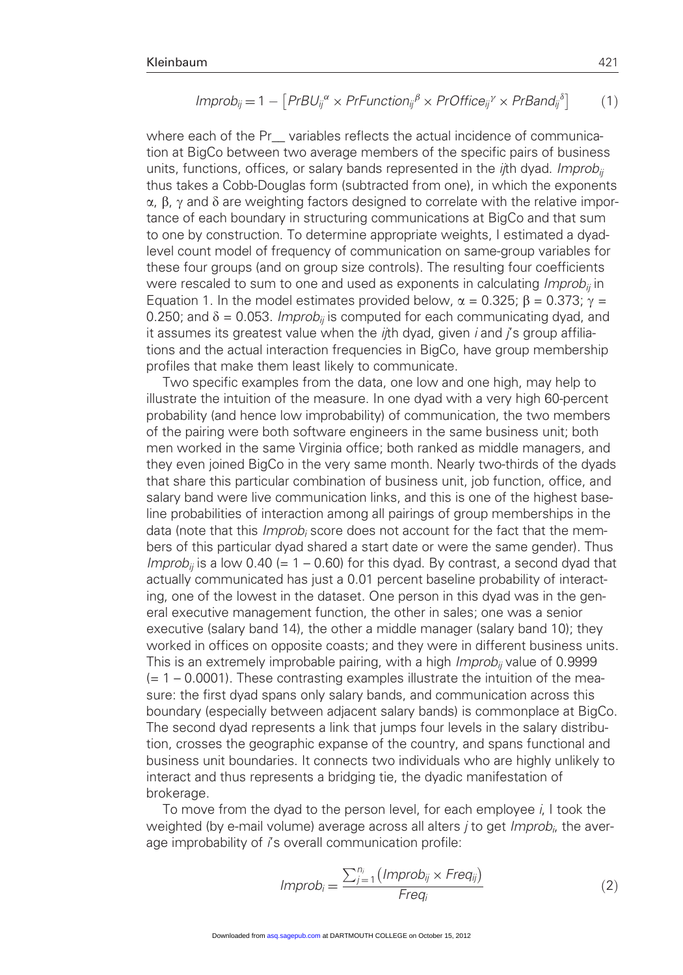$$
Improb_{ij} = 1 - [PrBU_{ij}^{\alpha} \times PrFunction_{ij}^{\beta} \times PrOffice_{ij}^{\gamma} \times PrBand_{ij}^{\delta}] \tag{1}
$$

where each of the Pr variables reflects the actual incidence of communication at BigCo between two average members of the specific pairs of business units, functions, offices, or salary bands represented in the  $i$ <sub>t</sub>h dyad. *Improb* $i$ thus takes a Cobb-Douglas form (subtracted from one), in which the exponents  $\alpha$ ,  $\beta$ ,  $\gamma$  and  $\delta$  are weighting factors designed to correlate with the relative importance of each boundary in structuring communications at BigCo and that sum to one by construction. To determine appropriate weights, I estimated a dyadlevel count model of frequency of communication on same-group variables for these four groups (and on group size controls). The resulting four coefficients were rescaled to sum to one and used as exponents in calculating  $Improb_{ii}$  in Equation 1. In the model estimates provided below,  $\alpha = 0.325$ ;  $\beta = 0.373$ ;  $\gamma =$ 0.250; and  $\delta$  = 0.053. Improb<sub>ii</sub> is computed for each communicating dyad, and it assumes its greatest value when the  $i$ th dyad, given  $i$  and  $j$ 's group affiliations and the actual interaction frequencies in BigCo, have group membership profiles that make them least likely to communicate.

Two specific examples from the data, one low and one high, may help to illustrate the intuition of the measure. In one dyad with a very high 60-percent probability (and hence low improbability) of communication, the two members of the pairing were both software engineers in the same business unit; both men worked in the same Virginia office; both ranked as middle managers, and they even joined BigCo in the very same month. Nearly two-thirds of the dyads that share this particular combination of business unit, job function, office, and salary band were live communication links, and this is one of the highest baseline probabilities of interaction among all pairings of group memberships in the data (note that this  $Improb_i$  score does not account for the fact that the members of this particular dyad shared a start date or were the same gender). Thus Improb<sub>ii</sub> is a low 0.40 (=  $1 - 0.60$ ) for this dyad. By contrast, a second dyad that actually communicated has just a 0.01 percent baseline probability of interacting, one of the lowest in the dataset. One person in this dyad was in the general executive management function, the other in sales; one was a senior executive (salary band 14), the other a middle manager (salary band 10); they worked in offices on opposite coasts; and they were in different business units. This is an extremely improbable pairing, with a high *Improb<sub>ii</sub>* value of 0.9999  $(= 1 - 0.0001)$ . These contrasting examples illustrate the intuition of the measure: the first dyad spans only salary bands, and communication across this boundary (especially between adjacent salary bands) is commonplace at BigCo. The second dyad represents a link that jumps four levels in the salary distribution, crosses the geographic expanse of the country, and spans functional and business unit boundaries. It connects two individuals who are highly unlikely to interact and thus represents a bridging tie, the dyadic manifestation of brokerage.

To move from the dyad to the person level, for each employee i, I took the weighted (by e-mail volume) average across all alters  $j$  to get  $\mathit{Improb}_{i\hskip-2.5pt\bar{}}$  the average improbability of i's overall communication profile:

$$
Improb_i = \frac{\sum_{j=1}^{n_i} (Improb_{ij} \times Freq_{ij})}{Freq_i}
$$
 (2)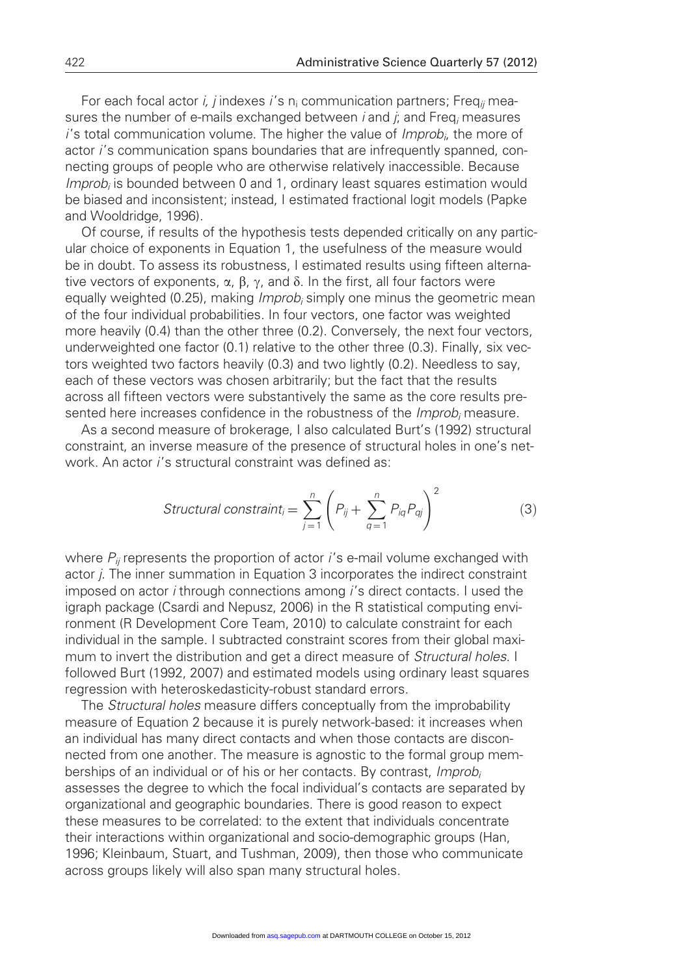For each focal actor *i, j* indexes *i's*  $n_i$  communication partners; Freq<sub>ii</sub> measures the number of e-mails exchanged between  $i$  and  $j$ ; and Freq<sub>i</sub> measures i's total communication volume. The higher the value of Improb<sub>i</sub>, the more of actor i's communication spans boundaries that are infrequently spanned, connecting groups of people who are otherwise relatively inaccessible. Because  $Improb<sub>i</sub>$  is bounded between 0 and 1, ordinary least squares estimation would be biased and inconsistent; instead, I estimated fractional logit models (Papke and Wooldridge, 1996).

Of course, if results of the hypothesis tests depended critically on any particular choice of exponents in Equation 1, the usefulness of the measure would be in doubt. To assess its robustness, I estimated results using fifteen alternative vectors of exponents,  $\alpha$ ,  $\beta$ ,  $\gamma$ , and  $\delta$ . In the first, all four factors were equally weighted  $(0.25)$ , making *Improb<sub>i</sub>* simply one minus the geometric mean of the four individual probabilities. In four vectors, one factor was weighted more heavily (0.4) than the other three (0.2). Conversely, the next four vectors, underweighted one factor (0.1) relative to the other three (0.3). Finally, six vectors weighted two factors heavily (0.3) and two lightly (0.2). Needless to say, each of these vectors was chosen arbitrarily; but the fact that the results across all fifteen vectors were substantively the same as the core results presented here increases confidence in the robustness of the *Improb<sub>i</sub>* measure.

As a second measure of brokerage, I also calculated Burt's (1992) structural constraint, an inverse measure of the presence of structural holes in one's network. An actor *i's* structural constraint was defined as:

$$
Structural constraint_i = \sum_{j=1}^{n} \left( P_{ij} + \sum_{q=1}^{n} P_{iq} P_{qj} \right)^2 \tag{3}
$$

where  $P_{ii}$  represents the proportion of actor *i's* e-mail volume exchanged with actor j. The inner summation in Equation 3 incorporates the indirect constraint imposed on actor i through connections among i's direct contacts. I used the igraph package (Csardi and Nepusz, 2006) in the R statistical computing environment (R Development Core Team, 2010) to calculate constraint for each individual in the sample. I subtracted constraint scores from their global maximum to invert the distribution and get a direct measure of Structural holes. I followed Burt (1992, 2007) and estimated models using ordinary least squares regression with heteroskedasticity-robust standard errors.

The Structural holes measure differs conceptually from the improbability measure of Equation 2 because it is purely network-based: it increases when an individual has many direct contacts and when those contacts are disconnected from one another. The measure is agnostic to the formal group memberships of an individual or of his or her contacts. By contrast, *Improb* assesses the degree to which the focal individual's contacts are separated by organizational and geographic boundaries. There is good reason to expect these measures to be correlated: to the extent that individuals concentrate their interactions within organizational and socio-demographic groups (Han, 1996; Kleinbaum, Stuart, and Tushman, 2009), then those who communicate across groups likely will also span many structural holes.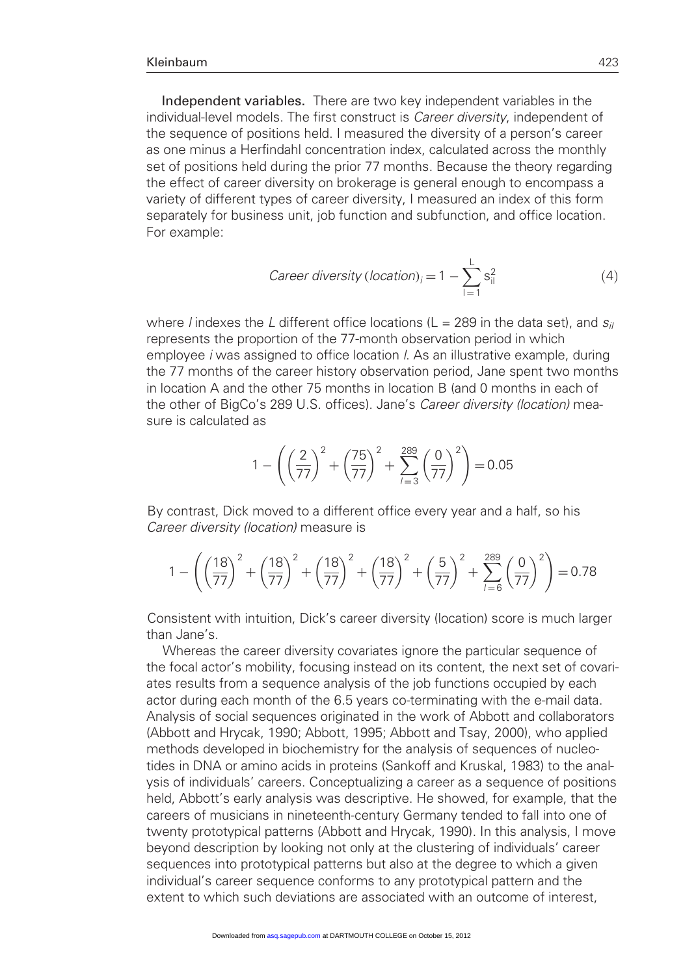Independent variables. There are two key independent variables in the individual-level models. The first construct is Career diversity, independent of the sequence of positions held. I measured the diversity of a person's career as one minus a Herfindahl concentration index, calculated across the monthly set of positions held during the prior 77 months. Because the theory regarding the effect of career diversity on brokerage is general enough to encompass a variety of different types of career diversity, I measured an index of this form separately for business unit, job function and subfunction, and office location. For example:

*Career diversity (location)*<sub>i</sub> = 
$$
1 - \sum_{i=1}^{L} s_{ii}^2
$$
 (4)

where l indexes the L different office locations (L = 289 in the data set), and  $s_{il}$ represents the proportion of the 77-month observation period in which employee *i* was assigned to office location *l*. As an illustrative example, during the 77 months of the career history observation period, Jane spent two months in location A and the other 75 months in location B (and 0 months in each of the other of BigCo's 289 U.S. offices). Jane's Career diversity (location) measure is calculated as

$$
1 - \left( \left( \frac{2}{77} \right)^2 + \left( \frac{75}{77} \right)^2 + \sum_{i=3}^{289} \left( \frac{0}{77} \right)^2 \right) = 0.05
$$

By contrast, Dick moved to a different office every year and a half, so his Career diversity (location) measure is

$$
1 - \left( \left( \frac{18}{77} \right)^2 + \left( \frac{18}{77} \right)^2 + \left( \frac{18}{77} \right)^2 + \left( \frac{18}{77} \right)^2 + \left( \frac{5}{77} \right)^2 + \sum_{l=6}^{289} \left( \frac{0}{77} \right)^2 \right) = 0.78
$$

Consistent with intuition, Dick's career diversity (location) score is much larger than Jane's.

Whereas the career diversity covariates ignore the particular sequence of the focal actor's mobility, focusing instead on its content, the next set of covariates results from a sequence analysis of the job functions occupied by each actor during each month of the 6.5 years co-terminating with the e-mail data. Analysis of social sequences originated in the work of Abbott and collaborators (Abbott and Hrycak, 1990; Abbott, 1995; Abbott and Tsay, 2000), who applied methods developed in biochemistry for the analysis of sequences of nucleotides in DNA or amino acids in proteins (Sankoff and Kruskal, 1983) to the analysis of individuals' careers. Conceptualizing a career as a sequence of positions held, Abbott's early analysis was descriptive. He showed, for example, that the careers of musicians in nineteenth-century Germany tended to fall into one of twenty prototypical patterns (Abbott and Hrycak, 1990). In this analysis, I move beyond description by looking not only at the clustering of individuals' career sequences into prototypical patterns but also at the degree to which a given individual's career sequence conforms to any prototypical pattern and the extent to which such deviations are associated with an outcome of interest,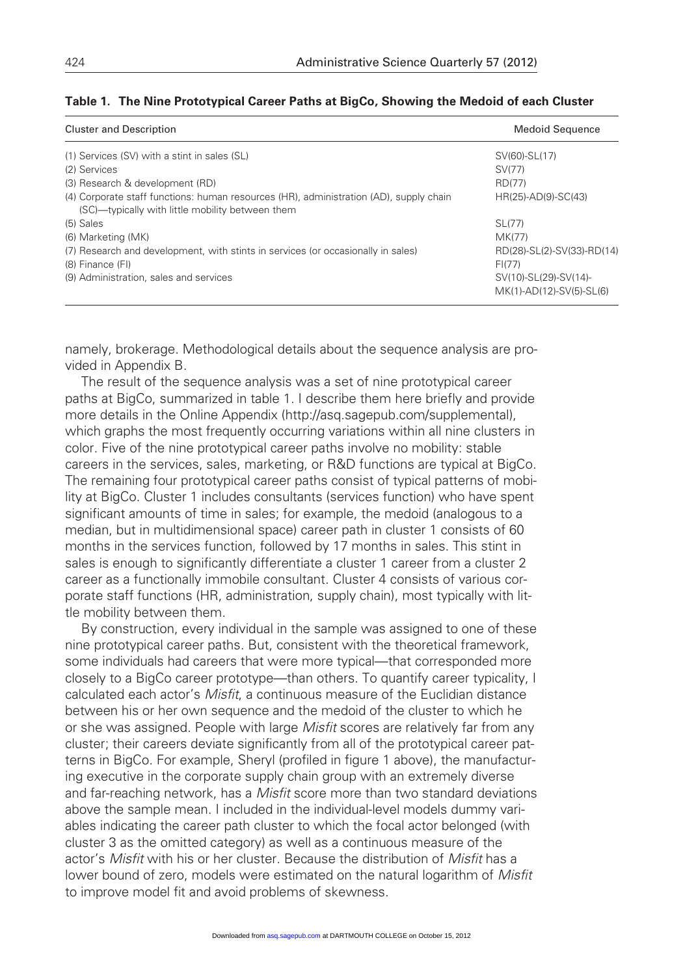| <b>Cluster and Description</b>                                                                                                             | <b>Medoid Sequence</b>                            |
|--------------------------------------------------------------------------------------------------------------------------------------------|---------------------------------------------------|
| (1) Services (SV) with a stint in sales (SL)                                                                                               | SV(60)-SL(17)                                     |
| (2) Services                                                                                                                               | SV(77)                                            |
| (3) Research & development (RD)                                                                                                            | <b>RD(77)</b>                                     |
| (4) Corporate staff functions: human resources (HR), administration (AD), supply chain<br>(SC)—typically with little mobility between them | HR(25)-AD(9)-SC(43)                               |
| $(5)$ Sales                                                                                                                                | SL(77)                                            |
| (6) Marketing (MK)                                                                                                                         | MK(77)                                            |
| (7) Research and development, with stints in services (or occasionally in sales)                                                           | RD(28)-SL(2)-SV(33)-RD(14)                        |
| (8) Finance (FI)                                                                                                                           | FI(77)                                            |
| (9) Administration, sales and services                                                                                                     | SV(10)-SL(29)-SV(14)-<br>MK(1)-AD(12)-SV(5)-SL(6) |

# Table 1. The Nine Prototypical Career Paths at BigCo, Showing the Medoid of each Cluster

namely, brokerage. Methodological details about the sequence analysis are provided in Appendix B.

The result of the sequence analysis was a set of nine prototypical career paths at BigCo, summarized in table 1. I describe them here briefly and provide more details in the Online Appendix (http://asq.sagepub.com/supplemental), which graphs the most frequently occurring variations within all nine clusters in color. Five of the nine prototypical career paths involve no mobility: stable careers in the services, sales, marketing, or R&D functions are typical at BigCo. The remaining four prototypical career paths consist of typical patterns of mobility at BigCo. Cluster 1 includes consultants (services function) who have spent significant amounts of time in sales; for example, the medoid (analogous to a median, but in multidimensional space) career path in cluster 1 consists of 60 months in the services function, followed by 17 months in sales. This stint in sales is enough to significantly differentiate a cluster 1 career from a cluster 2 career as a functionally immobile consultant. Cluster 4 consists of various corporate staff functions (HR, administration, supply chain), most typically with little mobility between them.

By construction, every individual in the sample was assigned to one of these nine prototypical career paths. But, consistent with the theoretical framework, some individuals had careers that were more typical—that corresponded more closely to a BigCo career prototype—than others. To quantify career typicality, I calculated each actor's Misfit, a continuous measure of the Euclidian distance between his or her own sequence and the medoid of the cluster to which he or she was assigned. People with large *Misfit* scores are relatively far from any cluster; their careers deviate significantly from all of the prototypical career patterns in BigCo. For example, Sheryl (profiled in figure 1 above), the manufacturing executive in the corporate supply chain group with an extremely diverse and far-reaching network, has a Misfit score more than two standard deviations above the sample mean. I included in the individual-level models dummy variables indicating the career path cluster to which the focal actor belonged (with cluster 3 as the omitted category) as well as a continuous measure of the actor's *Misfit* with his or her cluster. Because the distribution of *Misfit* has a lower bound of zero, models were estimated on the natural logarithm of Misfit to improve model fit and avoid problems of skewness.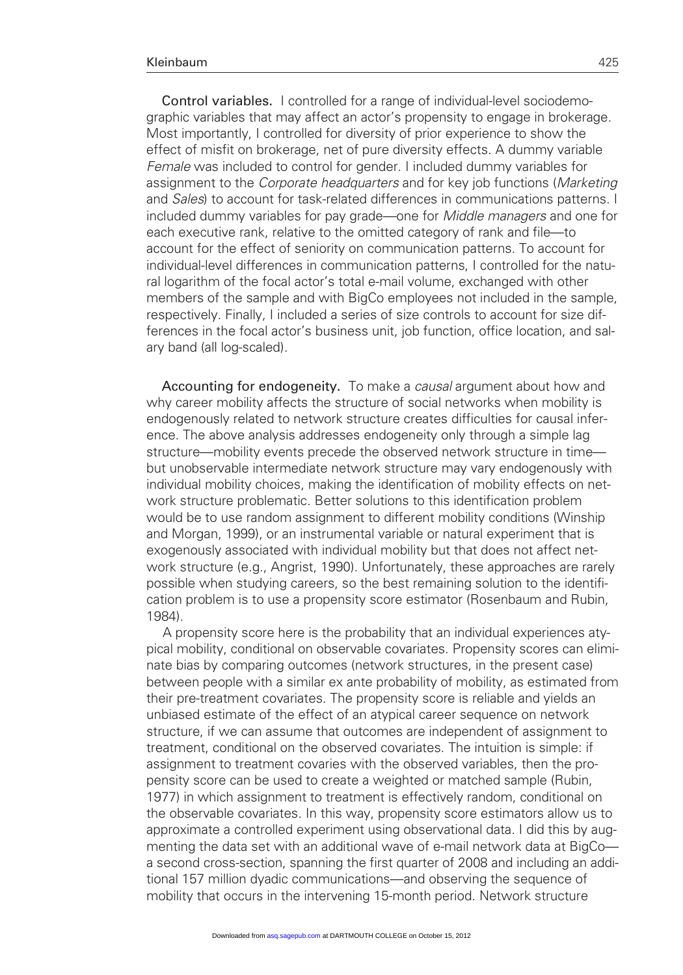Control variables. I controlled for a range of individual-level sociodemographic variables that may affect an actor's propensity to engage in brokerage. Most importantly, I controlled for diversity of prior experience to show the effect of misfit on brokerage, net of pure diversity effects. A dummy variable Female was included to control for gender. I included dummy variables for assignment to the *Corporate headquarters* and for key job functions (*Marketing* and Sales) to account for task-related differences in communications patterns. I included dummy variables for pay grade—one for Middle managers and one for each executive rank, relative to the omitted category of rank and file—to account for the effect of seniority on communication patterns. To account for individual-level differences in communication patterns, I controlled for the natural logarithm of the focal actor's total e-mail volume, exchanged with other members of the sample and with BigCo employees not included in the sample, respectively. Finally, I included a series of size controls to account for size differences in the focal actor's business unit, job function, office location, and salary band (all log-scaled).

Accounting for endogeneity. To make a *causal* argument about how and why career mobility affects the structure of social networks when mobility is endogenously related to network structure creates difficulties for causal inference. The above analysis addresses endogeneity only through a simple lag structure—mobility events precede the observed network structure in time but unobservable intermediate network structure may vary endogenously with individual mobility choices, making the identification of mobility effects on network structure problematic. Better solutions to this identification problem would be to use random assignment to different mobility conditions (Winship and Morgan, 1999), or an instrumental variable or natural experiment that is exogenously associated with individual mobility but that does not affect network structure (e.g., Angrist, 1990). Unfortunately, these approaches are rarely possible when studying careers, so the best remaining solution to the identification problem is to use a propensity score estimator (Rosenbaum and Rubin, 1984).

A propensity score here is the probability that an individual experiences atypical mobility, conditional on observable covariates. Propensity scores can eliminate bias by comparing outcomes (network structures, in the present case) between people with a similar ex ante probability of mobility, as estimated from their pre-treatment covariates. The propensity score is reliable and yields an unbiased estimate of the effect of an atypical career sequence on network structure, if we can assume that outcomes are independent of assignment to treatment, conditional on the observed covariates. The intuition is simple: if assignment to treatment covaries with the observed variables, then the propensity score can be used to create a weighted or matched sample (Rubin, 1977) in which assignment to treatment is effectively random, conditional on the observable covariates. In this way, propensity score estimators allow us to approximate a controlled experiment using observational data. I did this by augmenting the data set with an additional wave of e-mail network data at BigCo a second cross-section, spanning the first quarter of 2008 and including an additional 157 million dyadic communications—and observing the sequence of mobility that occurs in the intervening 15-month period. Network structure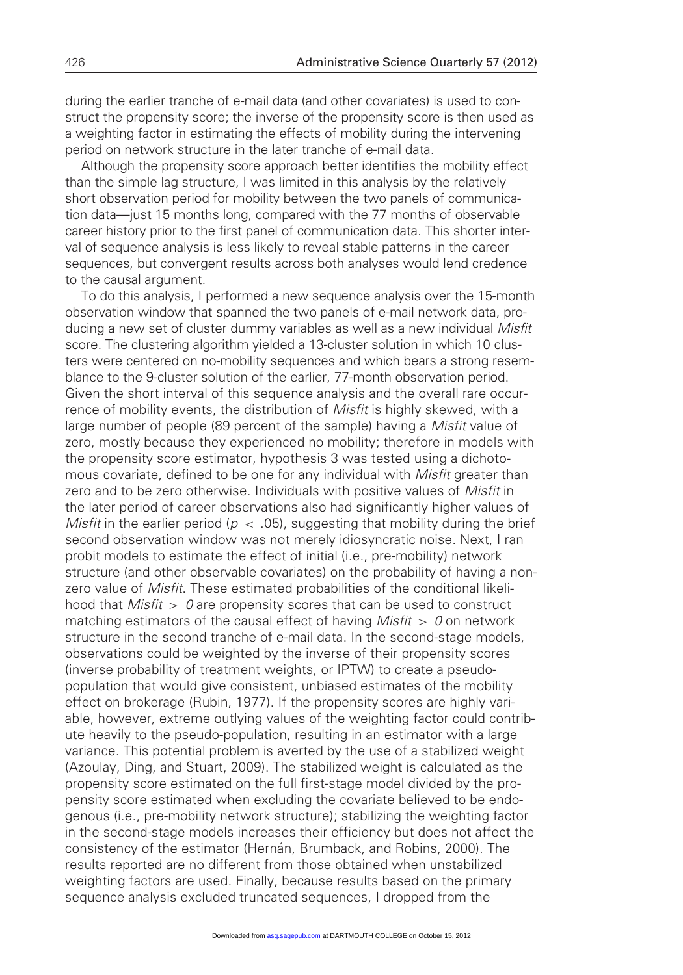during the earlier tranche of e-mail data (and other covariates) is used to construct the propensity score; the inverse of the propensity score is then used as a weighting factor in estimating the effects of mobility during the intervening period on network structure in the later tranche of e-mail data.

Although the propensity score approach better identifies the mobility effect than the simple lag structure, I was limited in this analysis by the relatively short observation period for mobility between the two panels of communication data—just 15 months long, compared with the 77 months of observable career history prior to the first panel of communication data. This shorter interval of sequence analysis is less likely to reveal stable patterns in the career sequences, but convergent results across both analyses would lend credence to the causal argument.

To do this analysis, I performed a new sequence analysis over the 15-month observation window that spanned the two panels of e-mail network data, producing a new set of cluster dummy variables as well as a new individual Misfit score. The clustering algorithm yielded a 13-cluster solution in which 10 clusters were centered on no-mobility sequences and which bears a strong resemblance to the 9-cluster solution of the earlier, 77-month observation period. Given the short interval of this sequence analysis and the overall rare occurrence of mobility events, the distribution of Misfit is highly skewed, with a large number of people (89 percent of the sample) having a Misfit value of zero, mostly because they experienced no mobility; therefore in models with the propensity score estimator, hypothesis 3 was tested using a dichotomous covariate, defined to be one for any individual with *Misfit* greater than zero and to be zero otherwise. Individuals with positive values of Misfit in the later period of career observations also had significantly higher values of Misfit in the earlier period ( $p < .05$ ), suggesting that mobility during the brief second observation window was not merely idiosyncratic noise. Next, I ran probit models to estimate the effect of initial (i.e., pre-mobility) network structure (and other observable covariates) on the probability of having a nonzero value of Misfit. These estimated probabilities of the conditional likelihood that  $M\text{ is fit} > 0$  are propensity scores that can be used to construct matching estimators of the causal effect of having  $Misfit > 0$  on network structure in the second tranche of e-mail data. In the second-stage models, observations could be weighted by the inverse of their propensity scores (inverse probability of treatment weights, or IPTW) to create a pseudopopulation that would give consistent, unbiased estimates of the mobility effect on brokerage (Rubin, 1977). If the propensity scores are highly variable, however, extreme outlying values of the weighting factor could contribute heavily to the pseudo-population, resulting in an estimator with a large variance. This potential problem is averted by the use of a stabilized weight (Azoulay, Ding, and Stuart, 2009). The stabilized weight is calculated as the propensity score estimated on the full first-stage model divided by the propensity score estimated when excluding the covariate believed to be endogenous (i.e., pre-mobility network structure); stabilizing the weighting factor in the second-stage models increases their efficiency but does not affect the consistency of the estimator (Hernán, Brumback, and Robins, 2000). The results reported are no different from those obtained when unstabilized weighting factors are used. Finally, because results based on the primary sequence analysis excluded truncated sequences, I dropped from the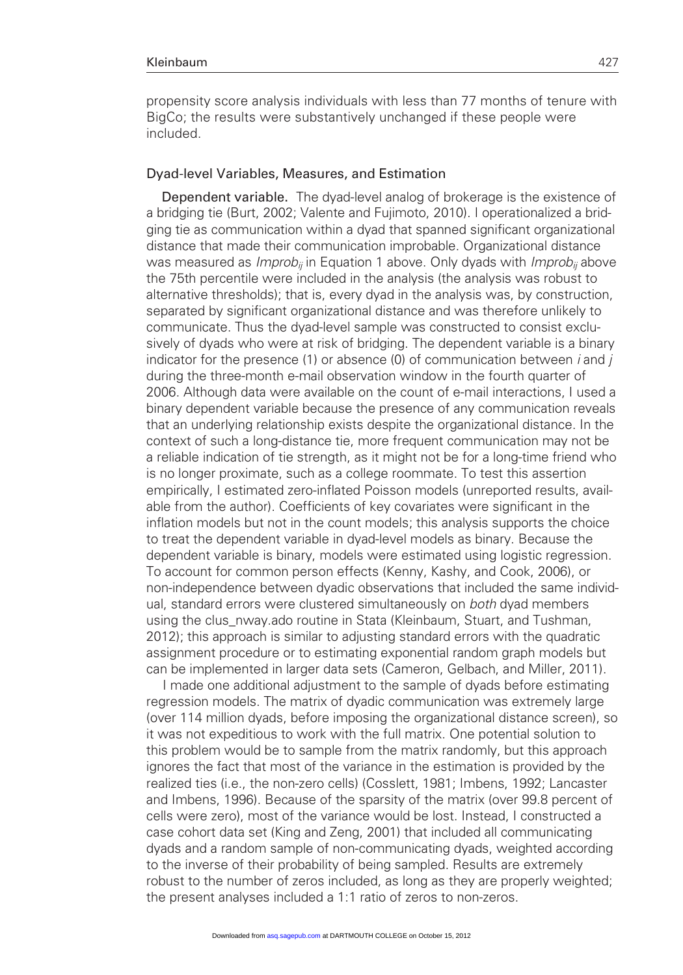propensity score analysis individuals with less than 77 months of tenure with BigCo; the results were substantively unchanged if these people were included.

# Dyad-level Variables, Measures, and Estimation

Dependent variable. The dyad-level analog of brokerage is the existence of a bridging tie (Burt, 2002; Valente and Fujimoto, 2010). I operationalized a bridging tie as communication within a dyad that spanned significant organizational distance that made their communication improbable. Organizational distance was measured as *Improb<sub>ii</sub>* in Equation 1 above. Only dyads with *Improb<sub>ii</sub>* above the 75th percentile were included in the analysis (the analysis was robust to alternative thresholds); that is, every dyad in the analysis was, by construction, separated by significant organizational distance and was therefore unlikely to communicate. Thus the dyad-level sample was constructed to consist exclusively of dyads who were at risk of bridging. The dependent variable is a binary indicator for the presence (1) or absence (0) of communication between *i* and  $j$ during the three-month e-mail observation window in the fourth quarter of 2006. Although data were available on the count of e-mail interactions, I used a binary dependent variable because the presence of any communication reveals that an underlying relationship exists despite the organizational distance. In the context of such a long-distance tie, more frequent communication may not be a reliable indication of tie strength, as it might not be for a long-time friend who is no longer proximate, such as a college roommate. To test this assertion empirically, I estimated zero-inflated Poisson models (unreported results, available from the author). Coefficients of key covariates were significant in the inflation models but not in the count models; this analysis supports the choice to treat the dependent variable in dyad-level models as binary. Because the dependent variable is binary, models were estimated using logistic regression. To account for common person effects (Kenny, Kashy, and Cook, 2006), or non-independence between dyadic observations that included the same individual, standard errors were clustered simultaneously on both dyad members using the clus\_nway.ado routine in Stata (Kleinbaum, Stuart, and Tushman, 2012); this approach is similar to adjusting standard errors with the quadratic assignment procedure or to estimating exponential random graph models but can be implemented in larger data sets (Cameron, Gelbach, and Miller, 2011).

I made one additional adjustment to the sample of dyads before estimating regression models. The matrix of dyadic communication was extremely large (over 114 million dyads, before imposing the organizational distance screen), so it was not expeditious to work with the full matrix. One potential solution to this problem would be to sample from the matrix randomly, but this approach ignores the fact that most of the variance in the estimation is provided by the realized ties (i.e., the non-zero cells) (Cosslett, 1981; Imbens, 1992; Lancaster and Imbens, 1996). Because of the sparsity of the matrix (over 99.8 percent of cells were zero), most of the variance would be lost. Instead, I constructed a case cohort data set (King and Zeng, 2001) that included all communicating dyads and a random sample of non-communicating dyads, weighted according to the inverse of their probability of being sampled. Results are extremely robust to the number of zeros included, as long as they are properly weighted; the present analyses included a 1:1 ratio of zeros to non-zeros.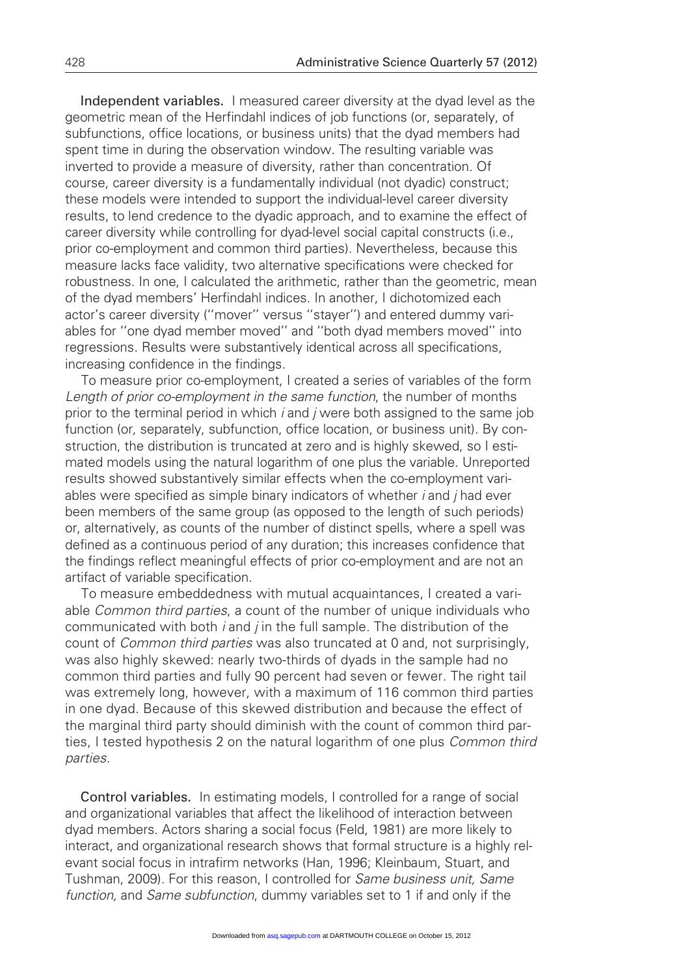Independent variables. I measured career diversity at the dyad level as the geometric mean of the Herfindahl indices of job functions (or, separately, of subfunctions, office locations, or business units) that the dyad members had spent time in during the observation window. The resulting variable was inverted to provide a measure of diversity, rather than concentration. Of course, career diversity is a fundamentally individual (not dyadic) construct; these models were intended to support the individual-level career diversity results, to lend credence to the dyadic approach, and to examine the effect of career diversity while controlling for dyad-level social capital constructs (i.e., prior co-employment and common third parties). Nevertheless, because this measure lacks face validity, two alternative specifications were checked for robustness. In one, I calculated the arithmetic, rather than the geometric, mean of the dyad members' Herfindahl indices. In another, I dichotomized each actor's career diversity (''mover'' versus ''stayer'') and entered dummy variables for ''one dyad member moved'' and ''both dyad members moved'' into regressions. Results were substantively identical across all specifications, increasing confidence in the findings.

To measure prior co-employment, I created a series of variables of the form Length of prior co-employment in the same function, the number of months prior to the terminal period in which  $i$  and  $j$  were both assigned to the same job function (or, separately, subfunction, office location, or business unit). By construction, the distribution is truncated at zero and is highly skewed, so I estimated models using the natural logarithm of one plus the variable. Unreported results showed substantively similar effects when the co-employment variables were specified as simple binary indicators of whether *i* and *j* had ever been members of the same group (as opposed to the length of such periods) or, alternatively, as counts of the number of distinct spells, where a spell was defined as a continuous period of any duration; this increases confidence that the findings reflect meaningful effects of prior co-employment and are not an artifact of variable specification.

To measure embeddedness with mutual acquaintances, I created a variable Common third parties, a count of the number of unique individuals who communicated with both  $i$  and  $j$  in the full sample. The distribution of the count of Common third parties was also truncated at 0 and, not surprisingly, was also highly skewed: nearly two-thirds of dyads in the sample had no common third parties and fully 90 percent had seven or fewer. The right tail was extremely long, however, with a maximum of 116 common third parties in one dyad. Because of this skewed distribution and because the effect of the marginal third party should diminish with the count of common third parties, I tested hypothesis 2 on the natural logarithm of one plus Common third parties.

Control variables. In estimating models, I controlled for a range of social and organizational variables that affect the likelihood of interaction between dyad members. Actors sharing a social focus (Feld, 1981) are more likely to interact, and organizational research shows that formal structure is a highly relevant social focus in intrafirm networks (Han, 1996; Kleinbaum, Stuart, and Tushman, 2009). For this reason, I controlled for Same business unit, Same function, and Same subfunction, dummy variables set to 1 if and only if the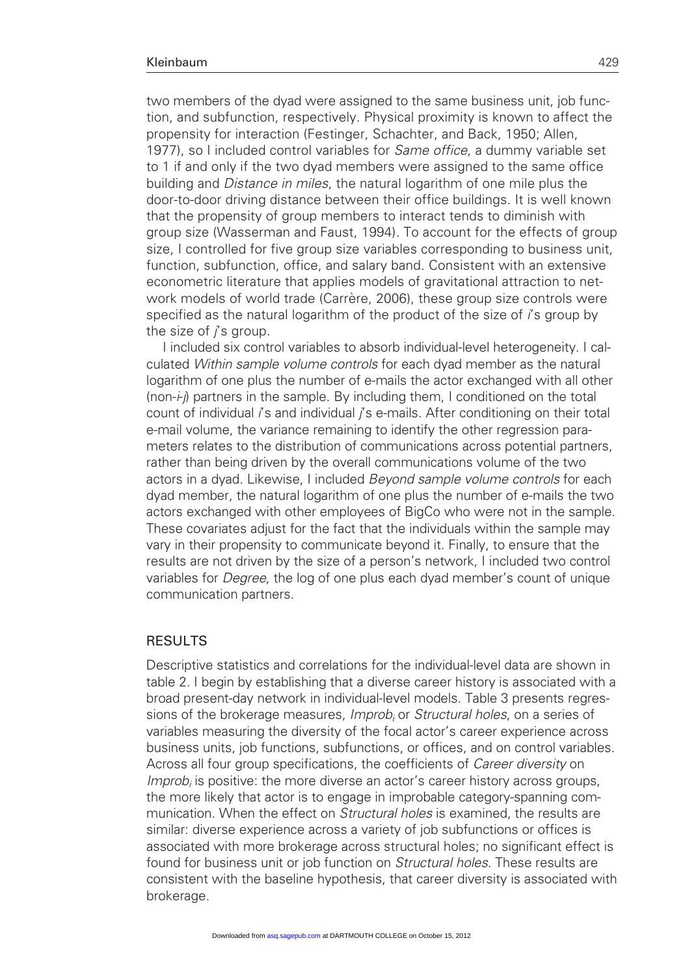two members of the dyad were assigned to the same business unit, job function, and subfunction, respectively. Physical proximity is known to affect the propensity for interaction (Festinger, Schachter, and Back, 1950; Allen, 1977), so I included control variables for Same office, a dummy variable set to 1 if and only if the two dyad members were assigned to the same office building and Distance in miles, the natural logarithm of one mile plus the door-to-door driving distance between their office buildings. It is well known that the propensity of group members to interact tends to diminish with group size (Wasserman and Faust, 1994). To account for the effects of group size, I controlled for five group size variables corresponding to business unit, function, subfunction, office, and salary band. Consistent with an extensive econometric literature that applies models of gravitational attraction to network models of world trade (Carrère, 2006), these group size controls were specified as the natural logarithm of the product of the size of i's group by the size of  $i$ 's group.

I included six control variables to absorb individual-level heterogeneity. I calculated Within sample volume controls for each dyad member as the natural logarithm of one plus the number of e-mails the actor exchanged with all other  $(non-i)$  partners in the sample. By including them, I conditioned on the total count of individual i's and individual i's e-mails. After conditioning on their total e-mail volume, the variance remaining to identify the other regression parameters relates to the distribution of communications across potential partners, rather than being driven by the overall communications volume of the two actors in a dyad. Likewise, I included Beyond sample volume controls for each dyad member, the natural logarithm of one plus the number of e-mails the two actors exchanged with other employees of BigCo who were not in the sample. These covariates adjust for the fact that the individuals within the sample may vary in their propensity to communicate beyond it. Finally, to ensure that the results are not driven by the size of a person's network, I included two control variables for Degree, the log of one plus each dyad member's count of unique communication partners.

# RESULTS

Descriptive statistics and correlations for the individual-level data are shown in table 2. I begin by establishing that a diverse career history is associated with a broad present-day network in individual-level models. Table 3 presents regressions of the brokerage measures, Improb<sub>i</sub> or Structural holes, on a series of variables measuring the diversity of the focal actor's career experience across business units, job functions, subfunctions, or offices, and on control variables. Across all four group specifications, the coefficients of Career diversity on  $Improb<sub>i</sub>$  is positive: the more diverse an actor's career history across groups, the more likely that actor is to engage in improbable category-spanning communication. When the effect on Structural holes is examined, the results are similar: diverse experience across a variety of job subfunctions or offices is associated with more brokerage across structural holes; no significant effect is found for business unit or job function on Structural holes. These results are consistent with the baseline hypothesis, that career diversity is associated with brokerage.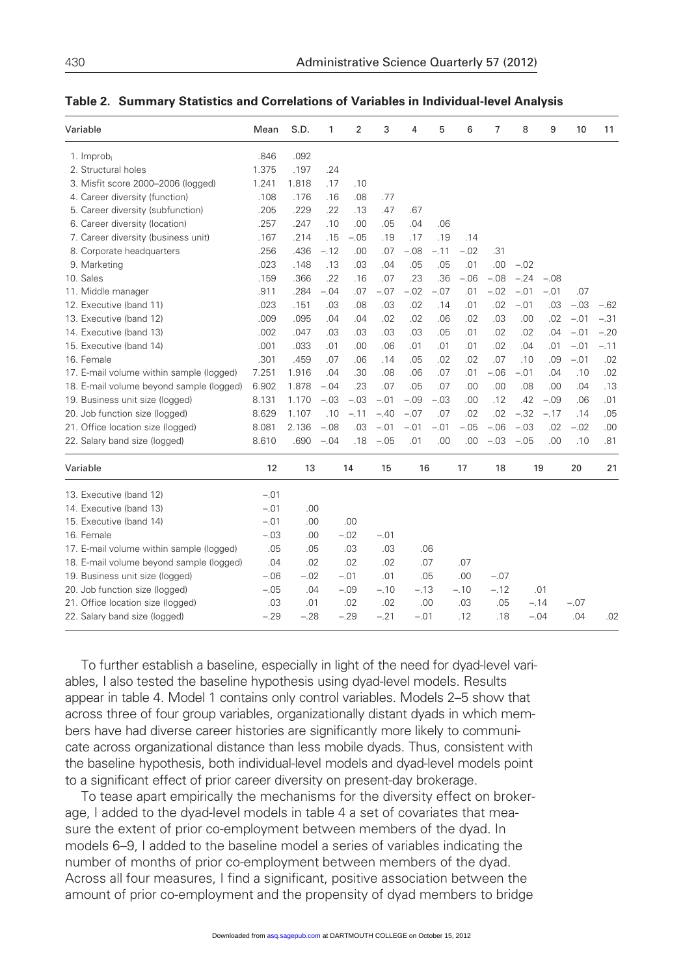| Variable                                 | Mean   | S.D.   | 1      | 2      | 3      | 4      | 5      | 6      | $\overline{7}$ | 8      | 9      | 10     | 11     |
|------------------------------------------|--------|--------|--------|--------|--------|--------|--------|--------|----------------|--------|--------|--------|--------|
| 1. Improb <sub>i</sub>                   | .846   | .092   |        |        |        |        |        |        |                |        |        |        |        |
| 2. Structural holes                      | 1.375  | .197   | .24    |        |        |        |        |        |                |        |        |        |        |
| 3. Misfit score 2000-2006 (logged)       | 1.241  | 1.818  | .17    | .10    |        |        |        |        |                |        |        |        |        |
| 4. Career diversity (function)           | .108   | .176   | .16    | .08    | .77    |        |        |        |                |        |        |        |        |
| 5. Career diversity (subfunction)        | .205   | .229   | .22    | .13    | .47    | .67    |        |        |                |        |        |        |        |
| 6. Career diversity (location)           | .257   | .247   | .10    | .00    | .05    | .04    | .06    |        |                |        |        |        |        |
| 7. Career diversity (business unit)      | .167   | .214   | .15    | $-.05$ | .19    | .17    | .19    | .14    |                |        |        |        |        |
| 8. Corporate headquarters                | .256   | .436   | $-.12$ | .00    | .07    | $-.08$ | $-.11$ | $-.02$ | .31            |        |        |        |        |
| 9. Marketing                             | .023   | .148   | .13    | .03    | .04    | .05    | .05    | .01    | .00            | $-.02$ |        |        |        |
| 10. Sales                                | .159   | .366   | .22    | .16    | .07    | .23    | .36    | $-.06$ | $-.08$         | $-.24$ | $-.08$ |        |        |
| 11. Middle manager                       | .911   | .284   | $-.04$ | .07    | $-.07$ | $-.02$ | $-.07$ | .01    | $-.02$         | $-.01$ | $-.01$ | .07    |        |
| 12. Executive (band 11)                  | .023   | .151   | .03    | .08    | .03    | .02    | .14    | .01    | .02            | $-.01$ | .03    | $-.03$ | $-.62$ |
| 13. Executive (band 12)                  | .009   | .095   | .04    | .04    | .02    | .02    | .06    | .02    | .03            | .00    | .02    | $-.01$ | $-.31$ |
| 14. Executive (band 13)                  | .002   | .047   | .03    | .03    | .03    | .03    | .05    | .01    | .02            | .02    | .04    | $-.01$ | $-.20$ |
| 15. Executive (band 14)                  | .001   | .033   | .01    | .00    | .06    | .01    | .01    | .01    | .02            | .04    | .01    | $-.01$ | $-.11$ |
| 16. Female                               | .301   | .459   | .07    | .06    | .14    | .05    | .02    | .02    | .07            | .10    | .09    | $-.01$ | .02    |
| 17. E-mail volume within sample (logged) | 7.251  | 1.916  | .04    | .30    | .08    | .06    | .07    | .01    | $-.06$         | $-.01$ | .04    | .10    | .02    |
| 18. E-mail volume beyond sample (logged) | 6.902  | 1.878  | $-.04$ | .23    | .07    | .05    | .07    | .00    | .00            | .08    | .00    | .04    | .13    |
| 19. Business unit size (logged)          | 8.131  | 1.170  | $-.03$ | $-.03$ | $-.01$ | $-.09$ | $-.03$ | .00    | .12            | .42    | $-.09$ | .06    | .01    |
| 20. Job function size (logged)           | 8.629  | 1.107  | .10    | $-.11$ | $-.40$ | $-.07$ | .07    | .02    | .02            | $-.32$ | $-.17$ | .14    | .05    |
| 21. Office location size (logged)        | 8.081  | 2.136  | $-.08$ | .03    | $-.01$ | $-.01$ | $-.01$ | $-.05$ | $-.06$         | $-.03$ | .02    | $-.02$ | .00    |
| 22. Salary band size (logged)            | 8.610  | .690   | $-.04$ | .18    | $-.05$ | .01    | .00    | .00    | $-.03$         | $-.05$ | .00    | .10    | .81    |
| Variable                                 | 12     | 13     |        | 14     | 15     | 16     |        | 17     | 18             |        | 19     | 20     | 21     |
| 13. Executive (band 12)                  | $-.01$ |        |        |        |        |        |        |        |                |        |        |        |        |
| 14. Executive (band 13)                  | $-.01$ | .00    |        |        |        |        |        |        |                |        |        |        |        |
| 15. Executive (band 14)                  | $-.01$ | .00    |        | .00    |        |        |        |        |                |        |        |        |        |
| 16. Female                               | $-.03$ | .00    |        | $-.02$ | $-.01$ |        |        |        |                |        |        |        |        |
| 17. E-mail volume within sample (logged) | .05    | .05    |        | .03    | .03    | .06    |        |        |                |        |        |        |        |
| 18. E-mail volume beyond sample (logged) | .04    | .02    |        | .02    | .02    | .07    |        | .07    |                |        |        |        |        |
| 19. Business unit size (logged)          | $-.06$ | $-.02$ |        | $-.01$ | .01    | .05    |        | .00    | $-.07$         |        |        |        |        |
| 20. Job function size (logged)           | $-.05$ | .04    |        | $-.09$ | $-.10$ | $-.13$ |        | $-.10$ | $-.12$         |        | .01    |        |        |
| 21. Office location size (logged)        | .03    | .01    |        | .02    | .02    | .00    |        | .03    | .05            |        | $-.14$ | $-.07$ |        |
| 22. Salary band size (logged)            | $-.29$ | $-.28$ |        | $-.29$ | $-.21$ | $-.01$ |        | .12    | .18            |        | $-.04$ | .04    | .02    |

#### Table 2. Summary Statistics and Correlations of Variables in Individual-level Analysis

To further establish a baseline, especially in light of the need for dyad-level variables, I also tested the baseline hypothesis using dyad-level models. Results appear in table 4. Model 1 contains only control variables. Models 2–5 show that across three of four group variables, organizationally distant dyads in which members have had diverse career histories are significantly more likely to communicate across organizational distance than less mobile dyads. Thus, consistent with the baseline hypothesis, both individual-level models and dyad-level models point to a significant effect of prior career diversity on present-day brokerage.

To tease apart empirically the mechanisms for the diversity effect on brokerage, I added to the dyad-level models in table 4 a set of covariates that measure the extent of prior co-employment between members of the dyad. In models 6–9, I added to the baseline model a series of variables indicating the number of months of prior co-employment between members of the dyad. Across all four measures, I find a significant, positive association between the amount of prior co-employment and the propensity of dyad members to bridge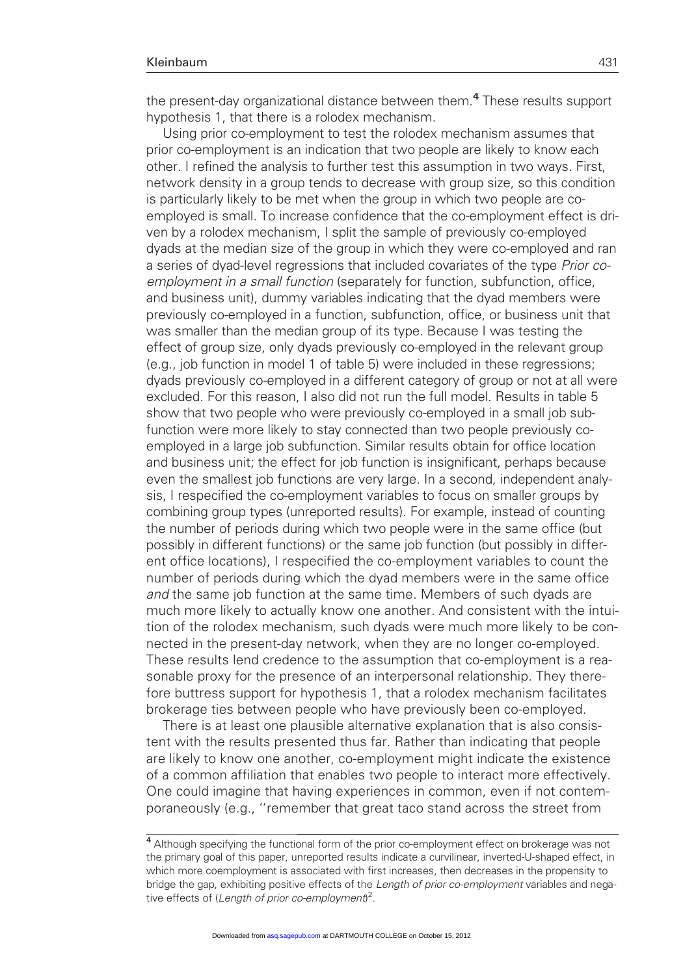the present-day organizational distance between them.<sup>4</sup> These results support hypothesis 1, that there is a rolodex mechanism.

Using prior co-employment to test the rolodex mechanism assumes that prior co-employment is an indication that two people are likely to know each other. I refined the analysis to further test this assumption in two ways. First, network density in a group tends to decrease with group size, so this condition is particularly likely to be met when the group in which two people are coemployed is small. To increase confidence that the co-employment effect is driven by a rolodex mechanism, I split the sample of previously co-employed dyads at the median size of the group in which they were co-employed and ran a series of dyad-level regressions that included covariates of the type Prior coemployment in a small function (separately for function, subfunction, office, and business unit), dummy variables indicating that the dyad members were previously co-employed in a function, subfunction, office, or business unit that was smaller than the median group of its type. Because I was testing the effect of group size, only dyads previously co-employed in the relevant group (e.g., job function in model 1 of table 5) were included in these regressions; dyads previously co-employed in a different category of group or not at all were excluded. For this reason, I also did not run the full model. Results in table 5 show that two people who were previously co-employed in a small job subfunction were more likely to stay connected than two people previously coemployed in a large job subfunction. Similar results obtain for office location and business unit; the effect for job function is insignificant, perhaps because even the smallest job functions are very large. In a second, independent analysis, I respecified the co-employment variables to focus on smaller groups by combining group types (unreported results). For example, instead of counting the number of periods during which two people were in the same office (but possibly in different functions) or the same job function (but possibly in different office locations), I respecified the co-employment variables to count the number of periods during which the dyad members were in the same office and the same job function at the same time. Members of such dyads are much more likely to actually know one another. And consistent with the intuition of the rolodex mechanism, such dyads were much more likely to be connected in the present-day network, when they are no longer co-employed. These results lend credence to the assumption that co-employment is a reasonable proxy for the presence of an interpersonal relationship. They therefore buttress support for hypothesis 1, that a rolodex mechanism facilitates brokerage ties between people who have previously been co-employed.

There is at least one plausible alternative explanation that is also consistent with the results presented thus far. Rather than indicating that people are likely to know one another, co-employment might indicate the existence of a common affiliation that enables two people to interact more effectively. One could imagine that having experiences in common, even if not contemporaneously (e.g., ''remember that great taco stand across the street from

<sup>&</sup>lt;sup>4</sup> Although specifying the functional form of the prior co-employment effect on brokerage was not the primary goal of this paper, unreported results indicate a curvilinear, inverted-U-shaped effect, in which more coemployment is associated with first increases, then decreases in the propensity to bridge the gap, exhibiting positive effects of the Length of prior co-employment variables and negative effects of (Length of prior co-employment)<sup>2</sup>.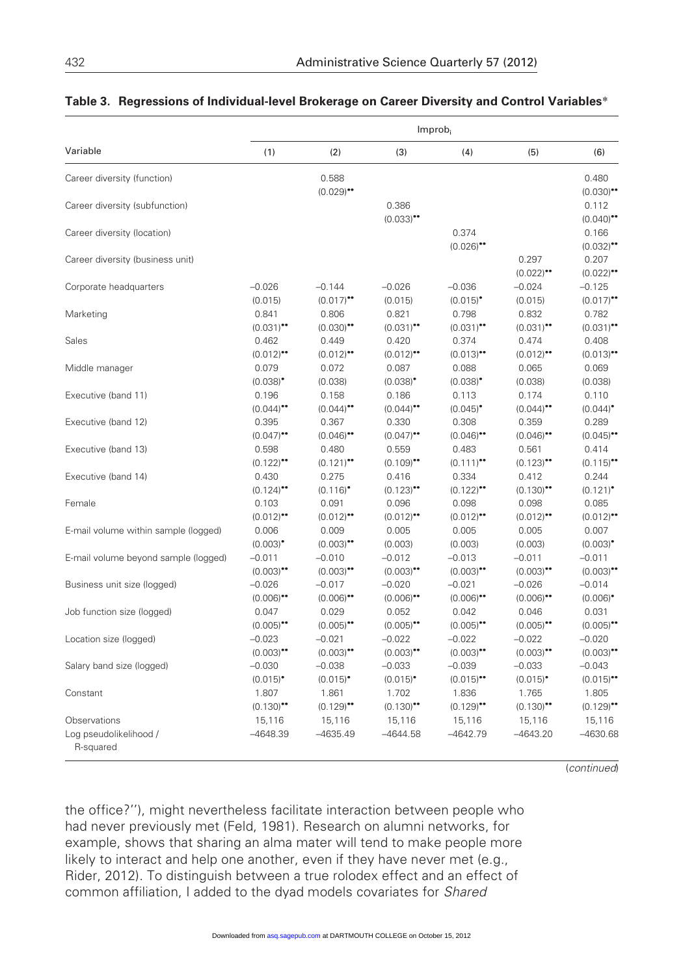|                                      | Improb <sub>i</sub>     |                         |                         |                         |                         |                         |  |  |  |  |  |
|--------------------------------------|-------------------------|-------------------------|-------------------------|-------------------------|-------------------------|-------------------------|--|--|--|--|--|
| Variable                             | (1)                     | (2)                     | (3)                     | (4)                     | (5)                     | (6)                     |  |  |  |  |  |
| Career diversity (function)          |                         | 0.588                   |                         |                         |                         | 0.480                   |  |  |  |  |  |
|                                      |                         | $(0.029)$ **            |                         |                         |                         | $(0.030)$ **            |  |  |  |  |  |
| Career diversity (subfunction)       |                         |                         | 0.386                   |                         |                         | 0.112                   |  |  |  |  |  |
|                                      |                         |                         | $(0.033)$ **            |                         |                         | $(0.040)$ <sup>**</sup> |  |  |  |  |  |
| Career diversity (location)          |                         |                         |                         | 0.374                   |                         | 0.166                   |  |  |  |  |  |
|                                      |                         |                         |                         | $(0.026)$ <sup>**</sup> |                         | $(0.032)$ **            |  |  |  |  |  |
| Career diversity (business unit)     |                         |                         |                         |                         | 0.297                   | 0.207                   |  |  |  |  |  |
|                                      |                         |                         |                         |                         | $(0.022)$ <sup>**</sup> | $(0.022)$ **            |  |  |  |  |  |
| Corporate headquarters               | $-0.026$                | $-0.144$                | $-0.026$                | $-0.036$                | $-0.024$                | $-0.125$                |  |  |  |  |  |
|                                      | (0.015)                 | $(0.017)$ <sup>**</sup> | (0.015)                 | $(0.015)$ <sup>*</sup>  | (0.015)                 | $(0.017)$ <sup>**</sup> |  |  |  |  |  |
| Marketing                            | 0.841                   | 0.806                   | 0.821                   | 0.798                   | 0.832                   | 0.782                   |  |  |  |  |  |
|                                      | $(0.031)$ <sup>**</sup> | $(0.030)$ <sup>**</sup> | $(0.031)$ <sup>**</sup> | $(0.031)$ <sup>**</sup> | $(0.031)$ <sup>**</sup> | $(0.031)$ <sup>**</sup> |  |  |  |  |  |
| Sales                                | 0.462                   | 0.449                   | 0.420                   | 0.374                   | 0.474                   | 0.408                   |  |  |  |  |  |
|                                      | $(0.012)$ <sup>**</sup> | $(0.012)$ <sup>**</sup> | $(0.012)$ <sup>**</sup> | $(0.013)$ **            | $(0.012)$ <sup>**</sup> | $(0.013)$ **            |  |  |  |  |  |
| Middle manager                       | 0.079                   | 0.072                   | 0.087                   | 0.088                   | 0.065                   | 0.069                   |  |  |  |  |  |
|                                      | $(0.038)$ <sup>*</sup>  | (0.038)                 | $(0.038)$ <sup>*</sup>  | $(0.038)$ <sup>*</sup>  | (0.038)                 | (0.038)                 |  |  |  |  |  |
| Executive (band 11)                  | 0.196                   | 0.158                   | 0.186                   | 0.113                   | 0.174                   | 0.110                   |  |  |  |  |  |
|                                      | $(0.044)$ <sup>**</sup> | $(0.044)$ <sup>**</sup> | $(0.044)$ <sup>**</sup> | $(0.045)$ <sup>*</sup>  | $(0.044)$ <sup>**</sup> | $(0.044)$ <sup>*</sup>  |  |  |  |  |  |
| Executive (band 12)                  | 0.395                   | 0.367                   | 0.330                   | 0.308                   | 0.359                   | 0.289                   |  |  |  |  |  |
|                                      | $(0.047)$ <sup>**</sup> | $(0.046)$ <sup>**</sup> | $(0.047)$ <sup>**</sup> | $(0.046)$ <sup>**</sup> | $(0.046)$ <sup>**</sup> | $(0.045)$ <sup>**</sup> |  |  |  |  |  |
| Executive (band 13)                  | 0.598                   | 0.480                   | 0.559                   | 0.483                   | 0.561                   | 0.414                   |  |  |  |  |  |
|                                      | $(0.122)$ <sup>**</sup> | $(0.121)$ <sup>**</sup> | $(0.109)$ <sup>**</sup> | $(0.111)$ <sup>**</sup> | $(0.123)$ <sup>**</sup> | $(0.115)$ <sup>**</sup> |  |  |  |  |  |
| Executive (band 14)                  | 0.430                   | 0.275                   | 0.416                   | 0.334                   | 0.412                   | 0.244                   |  |  |  |  |  |
|                                      | $(0.124)$ <sup>**</sup> | $(0.116)$ <sup>*</sup>  | $(0.123)$ <sup>**</sup> | $(0.122)$ <sup>**</sup> | $(0.130)$ <sup>**</sup> | $(0.121)$ <sup>*</sup>  |  |  |  |  |  |
| Female                               | 0.103                   | 0.091                   | 0.096                   | 0.098                   | 0.098                   | 0.085                   |  |  |  |  |  |
|                                      | $(0.012)$ <sup>**</sup> | $(0.012)$ <sup>**</sup> | $(0.012)$ <sup>**</sup> | $(0.012)$ <sup>**</sup> | $(0.012)$ <sup>**</sup> | $(0.012)$ <sup>**</sup> |  |  |  |  |  |
| E-mail volume within sample (logged) | 0.006                   | 0.009                   | 0.005                   | 0.005                   | 0.005                   | 0.007                   |  |  |  |  |  |
|                                      | $(0.003)$ <sup>*</sup>  | $(0.003)$ <sup>**</sup> | (0.003)                 | (0.003)                 | (0.003)                 | $(0.003)$ <sup>*</sup>  |  |  |  |  |  |
| E-mail volume beyond sample (logged) | $-0.011$                | $-0.010$                | $-0.012$                | $-0.013$                | $-0.011$                | $-0.011$                |  |  |  |  |  |
|                                      | $(0.003)$ <sup>**</sup> | $(0.003)$ <sup>**</sup> | $(0.003)$ <sup>**</sup> | $(0.003)$ <sup>**</sup> | $(0.003)$ <sup>**</sup> | $(0.003)$ **            |  |  |  |  |  |
| Business unit size (logged)          | $-0.026$                | $-0.017$                | $-0.020$                | $-0.021$                | $-0.026$                | $-0.014$                |  |  |  |  |  |
|                                      | $(0.006)$ <sup>**</sup> | $(0.006)$ <sup>**</sup> | $(0.006)$ <sup>*</sup>  | $(0.006)$ <sup>**</sup> | $(0.006)$ <sup>**</sup> | $(0.006)$ <sup>*</sup>  |  |  |  |  |  |
| Job function size (logged)           | 0.047                   | 0.029                   | 0.052                   | 0.042                   | 0.046                   | 0.031                   |  |  |  |  |  |
|                                      | $(0.005)$ <sup>**</sup> | $(0.005)$ <sup>**</sup> | $(0.005)$ <sup>**</sup> | $(0.005)$ <sup>**</sup> | $(0.005)$ <sup>**</sup> | $(0.005)$ <sup>**</sup> |  |  |  |  |  |
| Location size (logged)               | $-0.023$                | $-0.021$                | $-0.022$                | $-0.022$                | $-0.022$                | $-0.020$                |  |  |  |  |  |
|                                      | $(0.003)$ <sup>**</sup> | $(0.003)$ <sup>**</sup> | $(0.003)$ <sup>**</sup> | $(0.003)$ <sup>**</sup> | $(0.003)$ <sup>**</sup> | $(0.003)$ <sup>**</sup> |  |  |  |  |  |
| Salary band size (logged)            | $-0.030$                | $-0.038$                | $-0.033$                | $-0.039$                | $-0.033$                | $-0.043$                |  |  |  |  |  |
|                                      | $(0.015)$ <sup>*</sup>  | $(0.015)$ <sup>*</sup>  | $(0.015)$ <sup>*</sup>  | $(0.015)$ <sup>**</sup> | $(0.015)$ <sup>*</sup>  | $(0.015)$ <sup>**</sup> |  |  |  |  |  |
| Constant                             | 1.807                   | 1.861                   | 1.702                   | 1.836                   | 1.765                   | 1.805                   |  |  |  |  |  |
|                                      | $(0.130)$ <sup>**</sup> | $(0.129)$ **            | $(0.130)$ <sup>**</sup> | $(0.129)$ **            | $(0.130)$ <sup>**</sup> | $(0.129)$ **            |  |  |  |  |  |
| Observations                         | 15,116                  | 15,116                  | 15,116                  | 15,116                  | 15,116                  | 15,116                  |  |  |  |  |  |
| Log pseudolikelihood /<br>R-squared  | $-4648.39$              | $-4635.49$              | $-4644.58$              | $-4642.79$              | $-4643.20$              | $-4630.68$              |  |  |  |  |  |

# Table 3. Regressions of Individual-level Brokerage on Career Diversity and Control Variables\*

(continued)

the office?''), might nevertheless facilitate interaction between people who had never previously met (Feld, 1981). Research on alumni networks, for example, shows that sharing an alma mater will tend to make people more likely to interact and help one another, even if they have never met (e.g., Rider, 2012). To distinguish between a true rolodex effect and an effect of common affiliation, I added to the dyad models covariates for Shared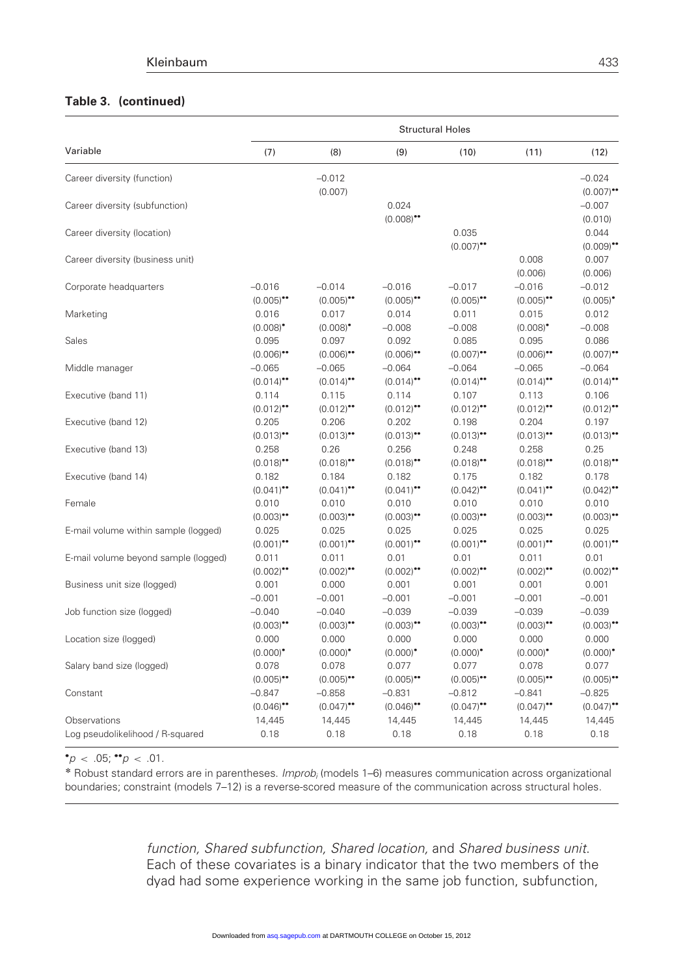#### Table 3. (continued)

|                                      | <b>Structural Holes</b> |                         |                         |                         |                         |                         |  |  |  |  |  |
|--------------------------------------|-------------------------|-------------------------|-------------------------|-------------------------|-------------------------|-------------------------|--|--|--|--|--|
| Variable                             | (7)                     | (8)                     | (9)                     | (10)                    | (11)                    | (12)                    |  |  |  |  |  |
| Career diversity (function)          |                         | $-0.012$                |                         |                         |                         | $-0.024$                |  |  |  |  |  |
|                                      |                         | (0.007)                 |                         |                         |                         | $(0.007)$ **            |  |  |  |  |  |
| Career diversity (subfunction)       |                         |                         | 0.024                   |                         |                         | $-0.007$                |  |  |  |  |  |
|                                      |                         |                         | $(0.008)$ **            |                         |                         | (0.010)                 |  |  |  |  |  |
| Career diversity (location)          |                         |                         |                         | 0.035                   |                         | 0.044                   |  |  |  |  |  |
|                                      |                         |                         |                         | $(0.007)$ <sup>**</sup> |                         | $(0.009)$ <sup>**</sup> |  |  |  |  |  |
| Career diversity (business unit)     |                         |                         |                         |                         | 0.008                   | 0.007                   |  |  |  |  |  |
|                                      |                         |                         |                         |                         | (0.006)                 | (0.006)                 |  |  |  |  |  |
| Corporate headquarters               | $-0.016$                | $-0.014$                | $-0.016$                | $-0.017$                | $-0.016$                | $-0.012$                |  |  |  |  |  |
|                                      | $(0.005)$ <sup>**</sup> | $(0.005)$ <sup>**</sup> | $(0.005)$ <sup>**</sup> | $(0.005)$ <sup>**</sup> | $(0.005)$ <sup>**</sup> | $(0.005)$ <sup>*</sup>  |  |  |  |  |  |
| Marketing                            | 0.016                   | 0.017                   | 0.014                   | 0.011                   | 0.015                   | 0.012                   |  |  |  |  |  |
|                                      | $(0.008)^{\bullet}$     | $(0.008)^{\bullet}$     | $-0.008$                | $-0.008$                | $(0.008)^{\bullet}$     | $-0.008$                |  |  |  |  |  |
| Sales                                | 0.095                   | 0.097                   | 0.092                   | 0.085                   | 0.095                   | 0.086                   |  |  |  |  |  |
|                                      | $(0.006)$ <sup>**</sup> | $(0.006)$ <sup>**</sup> | $(0.006)$ <sup>**</sup> | $(0.007)$ <sup>**</sup> | $(0.006)$ <sup>**</sup> | $(0.007)$ <sup>**</sup> |  |  |  |  |  |
| Middle manager                       | $-0.065$                | $-0.065$                | $-0.064$                | $-0.064$                | $-0.065$                | $-0.064$                |  |  |  |  |  |
|                                      | $(0.014)$ <sup>**</sup> | $(0.014)$ <sup>**</sup> | $(0.014)$ <sup>**</sup> | $(0.014)$ <sup>**</sup> | $(0.014)$ <sup>**</sup> | $(0.014)$ <sup>**</sup> |  |  |  |  |  |
| Executive (band 11)                  | 0.114                   | 0.115                   | 0.114                   | 0.107                   | 0.113                   | 0.106                   |  |  |  |  |  |
|                                      | $(0.012)$ <sup>**</sup> | $(0.012)$ <sup>**</sup> | $(0.012)$ <sup>**</sup> | $(0.012)$ <sup>**</sup> | $(0.012)$ <sup>**</sup> | $(0.012)$ <sup>**</sup> |  |  |  |  |  |
| Executive (band 12)                  | 0.205                   | 0.206                   | 0.202                   | 0.198                   | 0.204                   | 0.197                   |  |  |  |  |  |
|                                      | $(0.013)$ <sup>**</sup> | $(0.013)$ <sup>**</sup> | $(0.013)$ <sup>**</sup> | $(0.013)$ <sup>**</sup> | $(0.013)$ <sup>**</sup> | $(0.013)$ **            |  |  |  |  |  |
| Executive (band 13)                  | 0.258                   | 0.26                    | 0.256                   | 0.248                   | 0.258                   | 0.25                    |  |  |  |  |  |
|                                      | $(0.018)$ <sup>**</sup> | $(0.018)$ <sup>**</sup> | $(0.018)$ <sup>**</sup> | $(0.018)$ <sup>**</sup> | $(0.018)$ <sup>**</sup> | $(0.018)$ <sup>**</sup> |  |  |  |  |  |
| Executive (band 14)                  | 0.182                   | 0.184                   | 0.182                   | 0.175                   | 0.182                   | 0.178                   |  |  |  |  |  |
|                                      | $(0.041)$ <sup>**</sup> | $(0.041)$ <sup>**</sup> | $(0.041)$ <sup>**</sup> | $(0.042)$ <sup>**</sup> | $(0.041)$ **            | $(0.042)$ <sup>**</sup> |  |  |  |  |  |
| Female                               | 0.010                   | 0.010                   | 0.010                   | 0.010                   | 0.010                   | 0.010                   |  |  |  |  |  |
|                                      | $(0.003)$ <sup>**</sup> | $(0.003)$ <sup>**</sup> | $(0.003)$ <sup>**</sup> | $(0.003)$ <sup>**</sup> | $(0.003)$ <sup>**</sup> | $(0.003)$ **            |  |  |  |  |  |
| E-mail volume within sample (logged) | 0.025                   | 0.025                   | 0.025                   | 0.025                   | 0.025                   | 0.025                   |  |  |  |  |  |
|                                      | $(0.001)$ <sup>**</sup> | $(0.001)$ <sup>**</sup> | $(0.001)$ <sup>**</sup> | $(0.001)$ <sup>**</sup> | $(0.001)$ <sup>**</sup> | $(0.001)$ **            |  |  |  |  |  |
| E-mail volume beyond sample (logged) | 0.011                   | 0.011                   | 0.01                    | 0.01                    | 0.011                   | 0.01                    |  |  |  |  |  |
|                                      | $(0.002)$ <sup>**</sup> | $(0.002)$ <sup>**</sup> | $(0.002)$ <sup>**</sup> | $(0.002)$ <sup>**</sup> | $(0.002)$ <sup>**</sup> | $(0.002)$ <sup>**</sup> |  |  |  |  |  |
| Business unit size (logged)          | 0.001                   | 0.000                   | 0.001                   | 0.001                   | 0.001                   | 0.001                   |  |  |  |  |  |
|                                      | $-0.001$                | $-0.001$                | $-0.001$                | $-0.001$                | $-0.001$                | $-0.001$                |  |  |  |  |  |
| Job function size (logged)           | $-0.040$                | $-0.040$                | -0.039                  | $-0.039$                | $-0.039$                | $-0.039$                |  |  |  |  |  |
|                                      | $(0.003)$ <sup>**</sup> | $(0.003)$ <sup>**</sup> | $(0.003)$ <sup>**</sup> | $(0.003)$ <sup>**</sup> | $(0.003)$ <sup>**</sup> | $(0.003)$ <sup>**</sup> |  |  |  |  |  |
| Location size (logged)               | 0.000                   | 0.000                   | 0.000                   | 0.000                   | 0.000                   | 0.000                   |  |  |  |  |  |
|                                      | $(0.000)$ <sup>*</sup>  | $(0.000)$ <sup>*</sup>  | $(0.000)$ <sup>*</sup>  | $(0.000)$ <sup>*</sup>  | $(0.000)$ <sup>*</sup>  | $(0.000)$ <sup>*</sup>  |  |  |  |  |  |
| Salary band size (logged)            | 0.078                   | 0.078                   | 0.077                   | 0.077                   | 0.078                   | 0.077                   |  |  |  |  |  |
|                                      | $(0.005)$ <sup>**</sup> | $(0.005)$ <sup>**</sup> | $(0.005)$ <sup>**</sup> | $(0.005)$ <sup>**</sup> | $(0.005)$ <sup>**</sup> | $(0.005)$ <sup>**</sup> |  |  |  |  |  |
| Constant                             | $-0.847$                | $-0.858$                | $-0.831$                | $-0.812$                | $-0.841$                | $-0.825$                |  |  |  |  |  |
|                                      | $(0.046)$ <sup>**</sup> | $(0.047)$ <sup>**</sup> | $(0.046)$ <sup>**</sup> | $(0.047)$ <sup>**</sup> | $(0.047)$ <sup>**</sup> | $(0.047)$ <sup>**</sup> |  |  |  |  |  |
| Observations                         | 14,445                  | 14,445                  | 14,445                  | 14,445                  | 14,445                  | 14,445                  |  |  |  |  |  |
| Log pseudolikelihood / R-squared     | 0.18                    | 0.18                    | 0.18                    | 0.18                    | 0.18                    | 0.18                    |  |  |  |  |  |
|                                      |                         |                         |                         |                         |                         |                         |  |  |  |  |  |

• $p < .05;$  •• $p < .01$ .

\* Robust standard errors are in parentheses. Improb<sub>i</sub> (models 1–6) measures communication across organizational boundaries; constraint (models 7–12) is a reverse-scored measure of the communication across structural holes.

> function, Shared subfunction, Shared location, and Shared business unit. Each of these covariates is a binary indicator that the two members of the dyad had some experience working in the same job function, subfunction,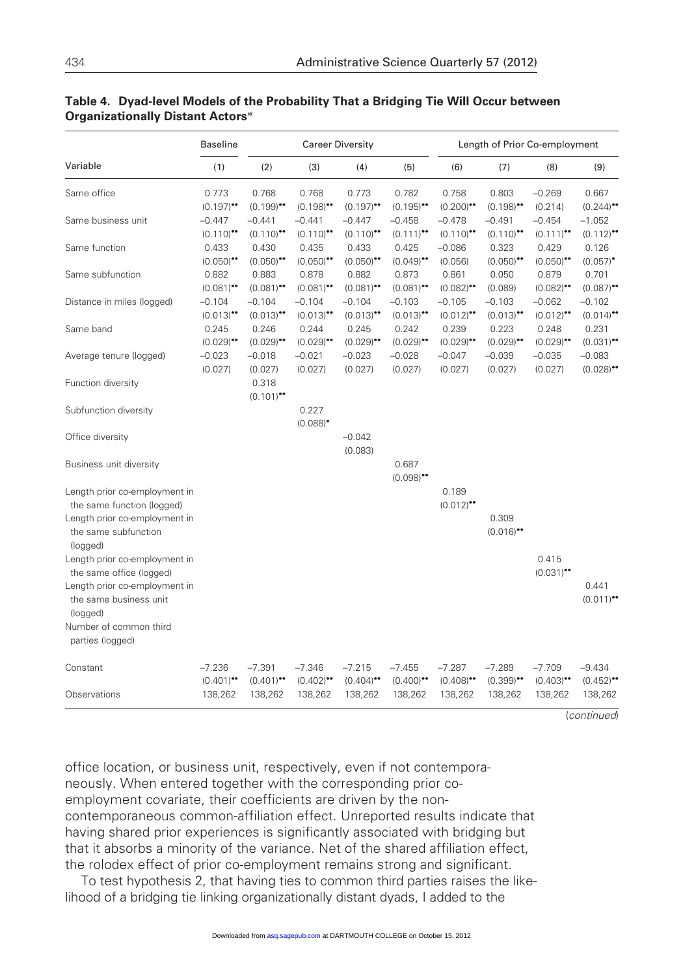|                                            | <b>Baseline</b>         | <b>Career Diversity</b> |                         |                         |                         |                         |                         |                         |                         |  | Length of Prior Co-employment |  |  |  |
|--------------------------------------------|-------------------------|-------------------------|-------------------------|-------------------------|-------------------------|-------------------------|-------------------------|-------------------------|-------------------------|--|-------------------------------|--|--|--|
| Variable                                   | (1)                     | (2)                     | (3)                     | (4)                     | (5)                     | (6)                     | (7)                     | (8)                     | (9)                     |  |                               |  |  |  |
| Same office                                | 0.773                   | 0.768                   | 0.768                   | 0.773                   | 0.782                   | 0.758                   | 0.803                   | $-0.269$                | 0.667                   |  |                               |  |  |  |
|                                            | $(0.197)$ <sup>**</sup> | $(0.199)$ <sup>**</sup> | $(0.198)$ <sup>**</sup> | $(0.197)$ <sup>**</sup> | $(0.195)$ **            | $(0.200)$ <sup>**</sup> | $(0.198)$ <sup>**</sup> | (0.214)                 | $(0.244)$ <sup>**</sup> |  |                               |  |  |  |
| Same business unit                         | $-0.447$                | $-0.441$                | $-0.441$                | $-0.447$                | $-0.458$                | $-0.478$                | $-0.491$                | $-0.454$                | $-1.052$                |  |                               |  |  |  |
|                                            | $(0.110)$ <sup>**</sup> | $(0.110)$ <sup>**</sup> | $(0.110)$ <sup>**</sup> | $(0.110)$ <sup>**</sup> | $(0.111)$ <sup>**</sup> | $(0.110)$ <sup>**</sup> | $(0.110)$ <sup>**</sup> | $(0.111)^{\bullet}$     | $(0.112)$ <sup>**</sup> |  |                               |  |  |  |
| Same function                              | 0.433                   | 0.430                   | 0.435                   | 0.433                   | 0.425                   | $-0.086$                | 0.323                   | 0.429                   | 0.126                   |  |                               |  |  |  |
|                                            | $(0.050)$ <sup>**</sup> | $(0.050)$ <sup>**</sup> | $(0.050)$ <sup>**</sup> | $(0.050)$ <sup>**</sup> | $(0.049)$ <sup>**</sup> | (0.056)                 | $(0.050)$ <sup>**</sup> | $(0.050)$ <sup>**</sup> | $(0.057)$ <sup>*</sup>  |  |                               |  |  |  |
| Same subfunction                           | 0.882                   | 0.883                   | 0.878                   | 0.882                   | 0.873                   | 0.861                   | 0.050                   | 0.879                   | 0.701                   |  |                               |  |  |  |
|                                            | $(0.081)$ <sup>**</sup> | $(0.081)$ <sup>**</sup> | $(0.081)$ <sup>**</sup> | $(0.081)$ <sup>**</sup> | $(0.081)$ <sup>**</sup> | $(0.082)$ **            | (0.089)                 | $(0.082)$ <sup>**</sup> | $(0.087)$ **            |  |                               |  |  |  |
| Distance in miles (logged)                 | $-0.104$                | $-0.104$                | $-0.104$                | $-0.104$                | $-0.103$                | $-0.105$                | $-0.103$                | $-0.062$                | $-0.102$                |  |                               |  |  |  |
|                                            | $(0.013)$ <sup>**</sup> | $(0.013)$ <sup>**</sup> | $(0.013)$ <sup>**</sup> | $(0.013)$ <sup>**</sup> | $(0.013)$ **            | $(0.012)$ <sup>**</sup> | $(0.013)$ <sup>**</sup> | $(0.012)$ <sup>**</sup> | $(0.014)$ <sup>**</sup> |  |                               |  |  |  |
| Same band                                  | 0.245                   | 0.246                   | 0.244                   | 0.245                   | 0.242                   | 0.239                   | 0.223                   | 0.248                   | 0.231                   |  |                               |  |  |  |
|                                            | $(0.029)$ **            | $(0.029)$ **            | $(0.029)$ **            | $(0.029)$ **            | $(0.029)$ **            | $(0.029)$ **            | $(0.029)$ **            | $(0.029)$ <sup>**</sup> | $(0.031)$ **            |  |                               |  |  |  |
| Average tenure (logged)                    | $-0.023$                | $-0.018$                | $-0.021$                | $-0.023$                | $-0.028$                | $-0.047$                | $-0.039$                | $-0.035$                | $-0.083$                |  |                               |  |  |  |
|                                            | (0.027)                 | (0.027)                 | (0.027)                 | (0.027)                 | (0.027)                 | (0.027)                 | (0.027)                 | (0.027)                 | $(0.028)$ <sup>**</sup> |  |                               |  |  |  |
| Function diversity                         |                         | 0.318                   |                         |                         |                         |                         |                         |                         |                         |  |                               |  |  |  |
|                                            |                         | $(0.101)$ **            |                         |                         |                         |                         |                         |                         |                         |  |                               |  |  |  |
| Subfunction diversity                      |                         |                         | 0.227                   |                         |                         |                         |                         |                         |                         |  |                               |  |  |  |
|                                            |                         |                         | $(0.088)$ <sup>*</sup>  |                         |                         |                         |                         |                         |                         |  |                               |  |  |  |
| Office diversity                           |                         |                         |                         | $-0.042$                |                         |                         |                         |                         |                         |  |                               |  |  |  |
|                                            |                         |                         |                         | (0.083)                 |                         |                         |                         |                         |                         |  |                               |  |  |  |
| Business unit diversity                    |                         |                         |                         |                         | 0.687                   |                         |                         |                         |                         |  |                               |  |  |  |
|                                            |                         |                         |                         |                         | $(0.098)$ <sup>**</sup> |                         |                         |                         |                         |  |                               |  |  |  |
| Length prior co-employment in              |                         |                         |                         |                         |                         | 0.189                   |                         |                         |                         |  |                               |  |  |  |
| the same function (logged)                 |                         |                         |                         |                         |                         | $(0.012)$ <sup>**</sup> |                         |                         |                         |  |                               |  |  |  |
| Length prior co-employment in              |                         |                         |                         |                         |                         |                         | 0.309                   |                         |                         |  |                               |  |  |  |
| the same subfunction<br>(logged)           |                         |                         |                         |                         |                         |                         | $(0.016)$ <sup>**</sup> |                         |                         |  |                               |  |  |  |
| Length prior co-employment in              |                         |                         |                         |                         |                         |                         |                         | 0.415                   |                         |  |                               |  |  |  |
| the same office (logged)                   |                         |                         |                         |                         |                         |                         |                         | $(0.031)$ **            |                         |  |                               |  |  |  |
| Length prior co-employment in              |                         |                         |                         |                         |                         |                         |                         |                         | 0.441                   |  |                               |  |  |  |
| the same business unit                     |                         |                         |                         |                         |                         |                         |                         |                         | $(0.011)$ <sup>**</sup> |  |                               |  |  |  |
| (logged)                                   |                         |                         |                         |                         |                         |                         |                         |                         |                         |  |                               |  |  |  |
| Number of common third<br>parties (logged) |                         |                         |                         |                         |                         |                         |                         |                         |                         |  |                               |  |  |  |
| Constant                                   | $-7.236$                | $-7.391$                | $-7.346$                | $-7.215$                | $-7.455$                | $-7.287$                | $-7.289$                | $-7.709$                | $-9.434$                |  |                               |  |  |  |
|                                            | $(0.401)$ <sup>**</sup> | $(0.401)$ <sup>**</sup> | $(0.402)$ <sup>**</sup> | $(0.404)$ <sup>**</sup> | $(0.400)$ <sup>**</sup> | $(0.408)$ <sup>**</sup> | $(0.399)$ **            | $(0.403)$ **            | $(0.452)$ <sup>**</sup> |  |                               |  |  |  |
| Observations                               | 138,262                 | 138,262                 | 138,262                 | 138,262                 | 138,262                 | 138,262                 | 138,262                 | 138,262                 | 138,262                 |  |                               |  |  |  |

Table 4. Dyad-level Models of the Probability That a Bridging Tie Will Occur between Organizationally Distant Actors\*

(continued)

office location, or business unit, respectively, even if not contemporaneously. When entered together with the corresponding prior coemployment covariate, their coefficients are driven by the noncontemporaneous common-affiliation effect. Unreported results indicate that having shared prior experiences is significantly associated with bridging but that it absorbs a minority of the variance. Net of the shared affiliation effect, the rolodex effect of prior co-employment remains strong and significant.

To test hypothesis 2, that having ties to common third parties raises the likelihood of a bridging tie linking organizationally distant dyads, I added to the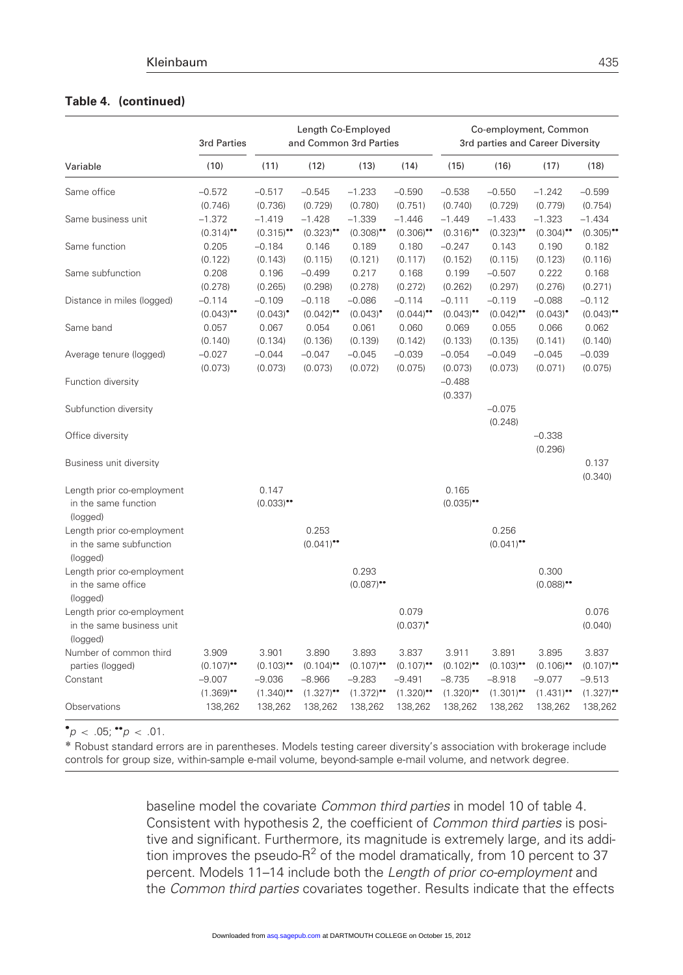#### Table 4. (continued)

|                            | 3rd Parties             | Length Co-Employed<br>and Common 3rd Parties |                         |                         |                         | Co-employment, Common<br>3rd parties and Career Diversity |                         |                         |                         |
|----------------------------|-------------------------|----------------------------------------------|-------------------------|-------------------------|-------------------------|-----------------------------------------------------------|-------------------------|-------------------------|-------------------------|
| Variable                   | (10)                    | (11)                                         | (12)                    | (13)                    | (14)                    | (15)                                                      | (16)                    | (17)                    | (18)                    |
| Same office                | $-0.572$                | $-0.517$                                     | $-0.545$                | $-1.233$                | $-0.590$                | $-0.538$                                                  | $-0.550$                | $-1.242$                | $-0.599$                |
|                            | (0.746)                 | (0.736)                                      | (0.729)                 | (0.780)                 | (0.751)                 | (0.740)                                                   | (0.729)                 | (0.779)                 | (0.754)                 |
| Same business unit         | $-1.372$                | $-1.419$                                     | $-1.428$                | $-1.339$                | $-1.446$                | $-1.449$                                                  | $-1.433$                | $-1.323$                | $-1.434$                |
|                            | $(0.314)$ <sup>**</sup> | $(0.315)$ <sup>**</sup>                      | $(0.323)$ <sup>**</sup> | $(0.308)$ **            | $(0.306)$ **            | $(0.316)$ <sup>**</sup>                                   | $(0.323)$ <sup>**</sup> | $(0.304)$ **            | $(0.305)$ <sup>**</sup> |
| Same function              | 0.205                   | $-0.184$                                     | 0.146                   | 0.189                   | 0.180                   | $-0.247$                                                  | 0.143                   | 0.190                   | 0.182                   |
|                            | (0.122)                 | (0.143)                                      | (0.115)                 | (0.121)                 | (0.117)                 | (0.152)                                                   | (0.115)                 | (0.123)                 | (0.116)                 |
| Same subfunction           | 0.208                   | 0.196                                        | $-0.499$                | 0.217                   | 0.168                   | 0.199                                                     | $-0.507$                | 0.222                   | 0.168                   |
|                            | (0.278)                 | (0.265)                                      | (0.298)                 | (0.278)                 | (0.272)                 | (0.262)                                                   | (0.297)                 | (0.276)                 | (0.271)                 |
| Distance in miles (logged) | $-0.114$                | $-0.109$                                     | $-0.118$                | $-0.086$                | $-0.114$                | $-0.111$                                                  | $-0.119$                | $-0.088$                | $-0.112$                |
|                            | $(0.043)$ <sup>**</sup> | $(0.043)$ <sup>*</sup>                       | $(0.042)$ <sup>**</sup> | $(0.043)$ <sup>*</sup>  | $(0.044)$ <sup>**</sup> | $(0.043)$ <sup>**</sup>                                   | $(0.042)$ <sup>**</sup> | $(0.043)$ <sup>*</sup>  | $(0.043)$ <sup>**</sup> |
| Same band                  | 0.057                   | 0.067                                        | 0.054                   | 0.061                   | 0.060                   | 0.069                                                     | 0.055                   | 0.066                   | 0.062                   |
|                            | (0.140)                 | (0.134)                                      | (0.136)                 | (0.139)                 | (0.142)                 | (0.133)                                                   | (0.135)                 | (0.141)                 | (0.140)                 |
| Average tenure (logged)    | $-0.027$                | $-0.044$                                     | $-0.047$                | $-0.045$                | $-0.039$                | $-0.054$                                                  | $-0.049$                | $-0.045$                | $-0.039$                |
|                            | (0.073)                 | (0.073)                                      | (0.073)                 | (0.072)                 | (0.075)                 | (0.073)                                                   | (0.073)                 | (0.071)                 | (0.075)                 |
| Function diversity         |                         |                                              |                         |                         |                         | $-0.488$                                                  |                         |                         |                         |
|                            |                         |                                              |                         |                         |                         | (0.337)                                                   |                         |                         |                         |
| Subfunction diversity      |                         |                                              |                         |                         |                         |                                                           | $-0.075$                |                         |                         |
|                            |                         |                                              |                         |                         |                         |                                                           | (0.248)                 |                         |                         |
| Office diversity           |                         |                                              |                         |                         |                         |                                                           |                         | $-0.338$                |                         |
|                            |                         |                                              |                         |                         |                         |                                                           |                         | (0.296)                 |                         |
| Business unit diversity    |                         |                                              |                         |                         |                         |                                                           |                         |                         | 0.137                   |
|                            |                         |                                              |                         |                         |                         |                                                           |                         |                         | (0.340)                 |
| Length prior co-employment |                         | 0.147                                        |                         |                         |                         | 0.165                                                     |                         |                         |                         |
| in the same function       |                         | $(0.033)$ **                                 |                         |                         |                         | $(0.035)$ <sup>**</sup>                                   |                         |                         |                         |
| (logged)                   |                         |                                              |                         |                         |                         |                                                           |                         |                         |                         |
| Length prior co-employment |                         |                                              | 0.253                   |                         |                         |                                                           | 0.256                   |                         |                         |
| in the same subfunction    |                         |                                              | $(0.041)$ **            |                         |                         |                                                           | $(0.041)$ **            |                         |                         |
| (logged)                   |                         |                                              |                         |                         |                         |                                                           |                         |                         |                         |
| Length prior co-employment |                         |                                              |                         | 0.293                   |                         |                                                           |                         | 0.300                   |                         |
| in the same office         |                         |                                              |                         | $(0.087)$ <sup>**</sup> |                         |                                                           |                         | $(0.088)$ **            |                         |
| (logged)                   |                         |                                              |                         |                         |                         |                                                           |                         |                         |                         |
| Length prior co-employment |                         |                                              |                         |                         | 0.079                   |                                                           |                         |                         | 0.076                   |
| in the same business unit  |                         |                                              |                         |                         | $(0.037)$ <sup>*</sup>  |                                                           |                         |                         | (0.040)                 |
| (logged)                   |                         |                                              |                         |                         |                         |                                                           |                         |                         |                         |
| Number of common third     | 3.909                   | 3.901                                        | 3.890                   | 3.893                   | 3.837                   | 3.911                                                     | 3.891                   | 3.895                   | 3.837                   |
| parties (logged)           | $(0.107)$ <sup>**</sup> | $(0.103)$ <sup>**</sup>                      | $(0.104)$ <sup>**</sup> | $(0.107)$ <sup>**</sup> | $(0.107)$ <sup>**</sup> | $(0.102)$ <sup>**</sup>                                   | $(0.103)$ <sup>**</sup> | $(0.106)$ <sup>**</sup> | $(0.107)$ <sup>**</sup> |
| Constant                   | $-9.007$                | $-9.036$                                     | $-8.966$                | $-9.283$                | $-9.491$                | $-8.735$                                                  | $-8.918$                | $-9.077$                | $-9.513$                |
|                            | $(1.369)$ <sup>**</sup> | $(1.340)$ <sup>**</sup>                      | $(1.327)$ <sup>**</sup> | $(1.372)$ <sup>**</sup> | $(1.320)$ <sup>**</sup> | $(1.320)$ <sup>**</sup>                                   | $(1.301)$ <sup>**</sup> | $(1.431)$ <sup>**</sup> | $(1.327)$ <sup>**</sup> |
| Observations               | 138,262                 | 138,262                                      | 138,262                 | 138,262                 | 138,262                 | 138,262                                                   | 138,262                 | 138,262                 | 138,262                 |

 ${}^{\bullet}p$  < .05;  ${}^{\bullet\bullet}p$  < .01.

\* Robust standard errors are in parentheses. Models testing career diversity's association with brokerage include controls for group size, within-sample e-mail volume, beyond-sample e-mail volume, and network degree.

> baseline model the covariate Common third parties in model 10 of table 4. Consistent with hypothesis 2, the coefficient of Common third parties is positive and significant. Furthermore, its magnitude is extremely large, and its addition improves the pseudo- $R^2$  of the model dramatically, from 10 percent to 37 percent. Models 11–14 include both the Length of prior co-employment and the Common third parties covariates together. Results indicate that the effects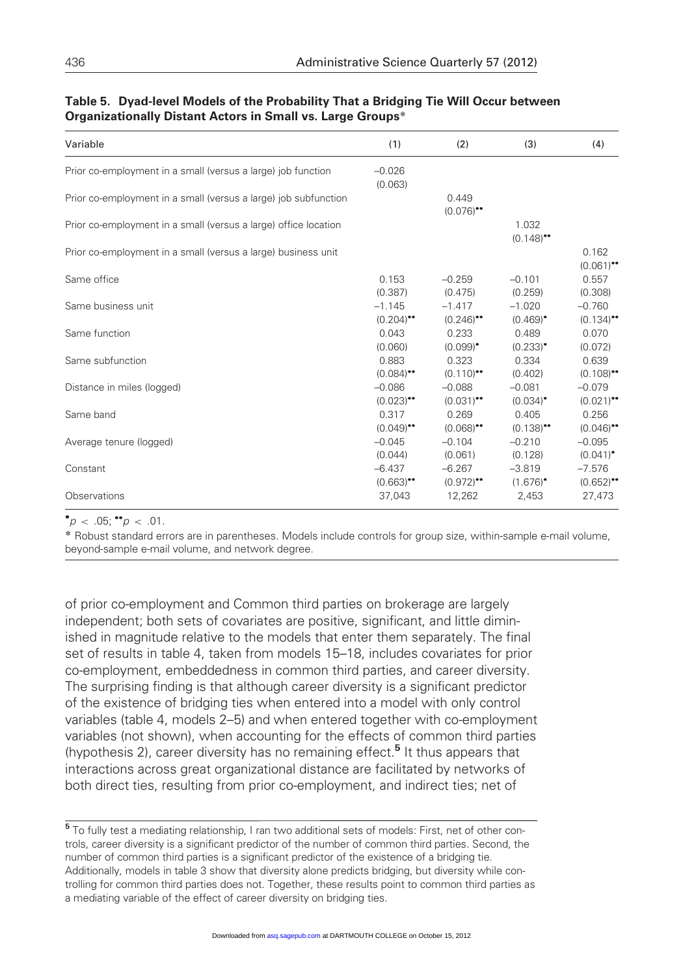| Variable                                                        | (1)                     | (2)                              | (3)                              | (4)                              |
|-----------------------------------------------------------------|-------------------------|----------------------------------|----------------------------------|----------------------------------|
| Prior co-employment in a small (versus a large) job function    | $-0.026$<br>(0.063)     |                                  |                                  |                                  |
| Prior co-employment in a small (versus a large) job subfunction |                         | 0.449<br>$(0.076)$ <sup>**</sup> |                                  |                                  |
| Prior co-employment in a small (versus a large) office location |                         |                                  | 1.032<br>$(0.148)$ <sup>**</sup> |                                  |
| Prior co-employment in a small (versus a large) business unit   |                         |                                  |                                  | 0.162<br>$(0.061)$ <sup>**</sup> |
| Same office                                                     | 0.153                   | $-0.259$                         | $-0.101$                         | 0.557                            |
|                                                                 | (0.387)                 | (0.475)                          | (0.259)                          | (0.308)                          |
| Same business unit                                              | $-1.145$                | $-1.417$                         | $-1.020$                         | $-0.760$                         |
|                                                                 | $(0.204)$ <sup>**</sup> | $(0.246)$ <sup>**</sup>          | $(0.469)$ <sup>*</sup>           | $(0.134)$ <sup>**</sup>          |
| Same function                                                   | 0.043                   | 0.233                            | 0.489                            | 0.070                            |
|                                                                 | (0.060)                 | $(0.099)$ <sup>*</sup>           | $(0.233)$ <sup>*</sup>           | (0.072)                          |
| Same subfunction                                                | 0.883                   | 0.323                            | 0.334                            | 0.639                            |
|                                                                 | $(0.084)$ <sup>**</sup> | $(0.110)$ <sup>**</sup>          | (0.402)                          | $(0.108)$ <sup>**</sup>          |
| Distance in miles (logged)                                      | $-0.086$                | $-0.088$                         | $-0.081$                         | $-0.079$                         |
|                                                                 | $(0.023)$ <sup>**</sup> | $(0.031)$ <sup>**</sup>          | $(0.034)$ <sup>*</sup>           | $(0.021)$ <sup>**</sup>          |
| Same band                                                       | 0.317                   | 0.269                            | 0.405                            | 0.256                            |
| Average tenure (logged)                                         | $(0.049)$ <sup>**</sup> | $(0.068)$ <sup>**</sup>          | $(0.138)$ <sup>**</sup>          | $(0.046)$ <sup>**</sup>          |
|                                                                 | $-0.045$                | $-0.104$                         | $-0.210$                         | $-0.095$                         |
| Constant                                                        | (0.044)                 | (0.061)                          | (0.128)                          | $(0.041)$ <sup>*</sup>           |
|                                                                 | $-6.437$                | $-6.267$                         | $-3.819$                         | $-7.576$                         |
| Observations                                                    | $(0.663)$ <sup>**</sup> | $(0.972)$ <sup>**</sup>          | $(1.676)$ <sup>*</sup>           | $(0.652)$ <sup>**</sup>          |
|                                                                 | 37,043                  | 12,262                           | 2,453                            | 27,473                           |

# Table 5. Dyad-level Models of the Probability That a Bridging Tie Will Occur between Organizationally Distant Actors in Small vs. Large Groups\*

 ${}^{\bullet}p$  < .05;  ${}^{\bullet\bullet}p$  < .01.

\* Robust standard errors are in parentheses. Models include controls for group size, within-sample e-mail volume, beyond-sample e-mail volume, and network degree.

of prior co-employment and Common third parties on brokerage are largely independent; both sets of covariates are positive, significant, and little diminished in magnitude relative to the models that enter them separately. The final set of results in table 4, taken from models 15–18, includes covariates for prior co-employment, embeddedness in common third parties, and career diversity. The surprising finding is that although career diversity is a significant predictor of the existence of bridging ties when entered into a model with only control variables (table 4, models 2–5) and when entered together with co-employment variables (not shown), when accounting for the effects of common third parties (hypothesis 2), career diversity has no remaining effect.<sup>5</sup> It thus appears that interactions across great organizational distance are facilitated by networks of both direct ties, resulting from prior co-employment, and indirect ties; net of

<sup>5</sup> To fully test a mediating relationship, I ran two additional sets of models: First, net of other controls, career diversity is a significant predictor of the number of common third parties. Second, the number of common third parties is a significant predictor of the existence of a bridging tie. Additionally, models in table 3 show that diversity alone predicts bridging, but diversity while controlling for common third parties does not. Together, these results point to common third parties as a mediating variable of the effect of career diversity on bridging ties.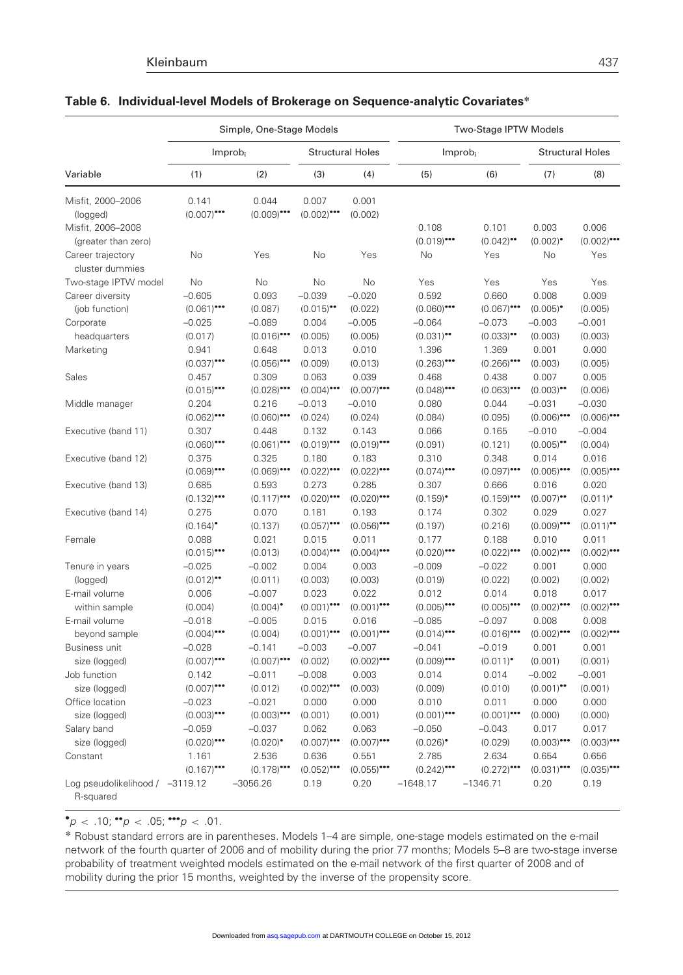|                                              | Simple, One-Stage Models                       |                          |                         |                          | Two-Stage IPTW Models    |                          |                         |                         |  |  |
|----------------------------------------------|------------------------------------------------|--------------------------|-------------------------|--------------------------|--------------------------|--------------------------|-------------------------|-------------------------|--|--|
|                                              | <b>Structural Holes</b><br>Improb <sub>i</sub> |                          |                         |                          |                          | Improb <sub>i</sub>      |                         | <b>Structural Holes</b> |  |  |
| Variable                                     | (1)                                            | (2)                      | (3)                     | (4)                      | (5)                      | (6)                      | (7)                     | (8)                     |  |  |
| Misfit, 2000-2006                            | 0.141                                          | 0.044                    | 0.007                   | 0.001                    |                          |                          |                         |                         |  |  |
| (logged)                                     | $(0.007)$ ***                                  | $(0.009)$ ***            | $(0.002)$ ***           | (0.002)                  |                          |                          |                         |                         |  |  |
| Misfit, 2006-2008                            |                                                |                          |                         |                          | 0.108                    | 0.101                    | 0.003                   | 0.006                   |  |  |
| (greater than zero)                          |                                                |                          |                         |                          | $(0.019)$ ***            | $(0.042)$ **             | $(0.002)$ <sup>*</sup>  | $(0.002)$ ***           |  |  |
| Career trajectory<br>cluster dummies         | No                                             | Yes                      | No                      | Yes                      | No                       | Yes                      | No                      | Yes                     |  |  |
| Two-stage IPTW model                         | No                                             | No                       | No                      | <b>No</b>                | Yes                      | Yes                      | Yes                     | Yes                     |  |  |
| Career diversity                             | $-0.605$                                       | 0.093                    | $-0.039$                | $-0.020$                 | 0.592                    | 0.660                    | 0.008                   | 0.009                   |  |  |
| (job function)                               | $(0.061)$ ***                                  | (0.087)                  | $(0.015)$ <sup>**</sup> | (0.022)                  | $(0.060)$ ***            | $(0.067)$ ***            | $(0.005)^{\bullet}$     | (0.005)                 |  |  |
| Corporate                                    | $-0.025$                                       | $-0.089$                 | 0.004                   | $-0.005$                 | $-0.064$                 | $-0.073$                 | $-0.003$                | $-0.001$                |  |  |
| headquarters                                 | (0.017)                                        | $(0.016)$ ***            | (0.005)                 | (0.005)                  | $(0.031)$ <sup>**</sup>  | $(0.033)$ <sup>**</sup>  | (0.003)                 | (0.003)                 |  |  |
| Marketing                                    | 0.941                                          | 0.648                    | 0.013                   | 0.010                    | 1.396                    | 1.369                    | 0.001                   | 0.000                   |  |  |
|                                              | $(0.037)$ ***                                  | $(0.056)$ <sup>***</sup> | (0.009)                 | (0.013)                  | $(0.263)$ <sup>***</sup> | $(0.266)$ ***            | (0.003)                 | (0.005)                 |  |  |
| Sales                                        | 0.457                                          | 0.309                    | 0.063                   | 0.039                    | 0.468                    | 0.438                    | 0.007                   | 0.005                   |  |  |
|                                              | $(0.015)$ ***                                  | $(0.028)$ ***            | $(0.004)$ ***           | $(0.007)$ ***            | $(0.048)$ ***            | $(0.063)$ ***            | $(0.003)$ <sup>**</sup> | (0.006)                 |  |  |
| Middle manager                               | 0.204                                          | 0.216                    | $-0.013$                | $-0.010$                 | 0.080                    | 0.044                    | $-0.031$                | $-0.030$                |  |  |
|                                              | $(0.062)$ ***                                  | $(0.060)$ <sup>***</sup> | (0.024)                 | (0.024)                  | (0.084)                  | (0.095)                  | $(0.006)$ ***           | $(0.006)$ ***           |  |  |
| Executive (band 11)                          | 0.307                                          | 0.448                    | 0.132                   | 0.143                    | 0.066                    | 0.165                    | $-0.010$                | $-0.004$                |  |  |
|                                              | $(0.060)$ ***                                  | $(0.061)$ ***            | $(0.019)$ ***           | $(0.019)$ ***            | (0.091)                  | (0.121)                  | $(0.005)$ <sup>**</sup> | (0.004)                 |  |  |
| Executive (band 12)                          | 0.375                                          | 0.325                    | 0.180                   | 0.183                    | 0.310                    | 0.348                    | 0.014                   | 0.016                   |  |  |
|                                              | $(0.069)$ ***                                  | $(0.069)$ ***            | $(0.022)$ ***           | $(0.022)$ ***            | $(0.074)$ ***            | $(0.097)$ ***            | $(0.005)$ ***           | $(0.005)$ ***           |  |  |
| Executive (band 13)                          | 0.685                                          | 0.593                    | 0.273                   | 0.285                    | 0.307                    | 0.666                    | 0.016                   | 0.020                   |  |  |
|                                              | $(0.132)$ ***                                  | $(0.117)$ ***            | $(0.020)$ ***           | $(0.020)$ ***            | $(0.159)$ <sup>*</sup>   | $(0.159)$ ***            | $(0.007)$ **            | $(0.011)$ <sup>*</sup>  |  |  |
| Executive (band 14)                          | 0.275                                          | 0.070                    | 0.181                   | 0.193                    | 0.174                    | 0.302                    | 0.029                   | 0.027                   |  |  |
|                                              | $(0.164)$ <sup>*</sup>                         | (0.137)                  | $(0.057)$ ***           | $(0.056)$ <sup>***</sup> | (0.197)                  | (0.216)                  | $(0.009)$ ***           | $(0.011)$ <sup>**</sup> |  |  |
| Female                                       | 0.088                                          | 0.021                    | 0.015                   | 0.011                    | 0.177                    | 0.188                    | 0.010                   | 0.011                   |  |  |
|                                              | $(0.015)$ ***                                  | (0.013)                  | $(0.004)$ ***           | $(0.004)$ ***            | $(0.020)$ ***            | $(0.022)$ ***            | $(0.002)$ ***           | $(0.002)$ ***           |  |  |
| Tenure in years                              | $-0.025$                                       | $-0.002$                 | 0.004                   | 0.003                    | $-0.009$                 | $-0.022$                 | 0.001                   | 0.000                   |  |  |
| (logged)                                     | $(0.012)$ <sup>**</sup>                        | (0.011)                  | (0.003)                 | (0.003)                  | (0.019)                  | (0.022)                  | (0.002)                 | (0.002)                 |  |  |
| E-mail volume                                | 0.006                                          | $-0.007$                 | 0.023                   | 0.022                    | 0.012                    | 0.014                    | 0.018                   | 0.017                   |  |  |
| within sample                                | (0.004)                                        | $(0.004)$ <sup>*</sup>   | $(0.001)$ ***           | $(0.001)$ ***            | $(0.005)$ ***            | $(0.005)$ ***            | $(0.002)$ ***           | $(0.002)$ ***           |  |  |
| E-mail volume                                | $-0.018$                                       | $-0.005$                 | 0.015                   | 0.016                    | $-0.085$                 | $-0.097$                 | 0.008                   | 0.008                   |  |  |
| beyond sample                                | $(0.004)$ ***                                  | (0.004)                  | $(0.001)$ ***           | $(0.001)$ ***            | $(0.014)$ ***            | $(0.016)$ <sup>***</sup> | $(0.002)$ ***           | $(0.002)$ ***           |  |  |
| <b>Business unit</b>                         | $-0.028$                                       | $-0.141$                 | $-0.003$                | $-0.007$                 | $-0.041$                 | $-0.019$                 | 0.001                   | 0.001                   |  |  |
| size (logged)                                | $(0.007)$ ***                                  | $(0.007)$ ***            | (0.002)                 | $(0.002)$ ***            | $(0.009)$ ***            | $(0.011)$ <sup>*</sup>   | (0.001)                 | (0.001)                 |  |  |
| Job function                                 | 0.142                                          | $-0.011$                 | $-0.008$                | 0.003                    | 0.014                    | 0.014                    | $-0.002$                | $-0.001$                |  |  |
| size (logged)                                | $(0.007)$ ***                                  | (0.012)                  | $(0.002)$ ***           | (0.003)                  | (0.009)                  | (0.010)                  | $(0.001)$ <sup>**</sup> | (0.001)                 |  |  |
| Office location                              | $-0.023$                                       | $-0.021$                 | 0.000                   | 0.000                    | 0.010                    | 0.011                    | 0.000                   | 0.000                   |  |  |
| size (logged)                                | $(0.003)$ ***                                  | $(0.003)$ ***            | (0.001)                 | (0.001)                  | $(0.001)$ ***            | $(0.001)$ ***            | (0.000)                 | (0.000)                 |  |  |
| Salary band                                  | $-0.059$                                       | $-0.037$                 | 0.062                   | 0.063                    | $-0.050$                 | $-0.043$                 | 0.017                   | 0.017                   |  |  |
| size (logged)                                | $(0.020)$ ***                                  | $(0.020)$ <sup>*</sup>   | $(0.007)$ ***           | $(0.007)$ ***            | $(0.026)$ <sup>*</sup>   | (0.029)                  | $(0.003)$ ***           | $(0.003)$ ***           |  |  |
| Constant                                     | 1.161                                          | 2.536                    | 0.636                   | 0.551                    | 2.785                    | 2.634                    | 0.654                   | 0.656                   |  |  |
|                                              | $(0.167)$ ***                                  | $(0.178)$ ***            | $(0.052)$ ***           | $(0.055)$ ***            | $(0.242)$ ***            | $(0.272)$ ***            | $(0.031)$ ***           | $(0.035)$ ***           |  |  |
| Log pseudolikelihood / -3119.12<br>R-squared |                                                | $-3056.26$               | 0.19                    | 0.20                     | $-1648.17$               | $-1346.71$               | 0.20                    | 0.19                    |  |  |

#### Table 6. Individual-level Models of Brokerage on Sequence-analytic Covariates\*

• $p < .10;$  •• $p < .05;$  ••• $p < .01$ .

\* Robust standard errors are in parentheses. Models 1–4 are simple, one-stage models estimated on the e-mail network of the fourth quarter of 2006 and of mobility during the prior 77 months; Models 5–8 are two-stage inverse probability of treatment weighted models estimated on the e-mail network of the first quarter of 2008 and of mobility during the prior 15 months, weighted by the inverse of the propensity score.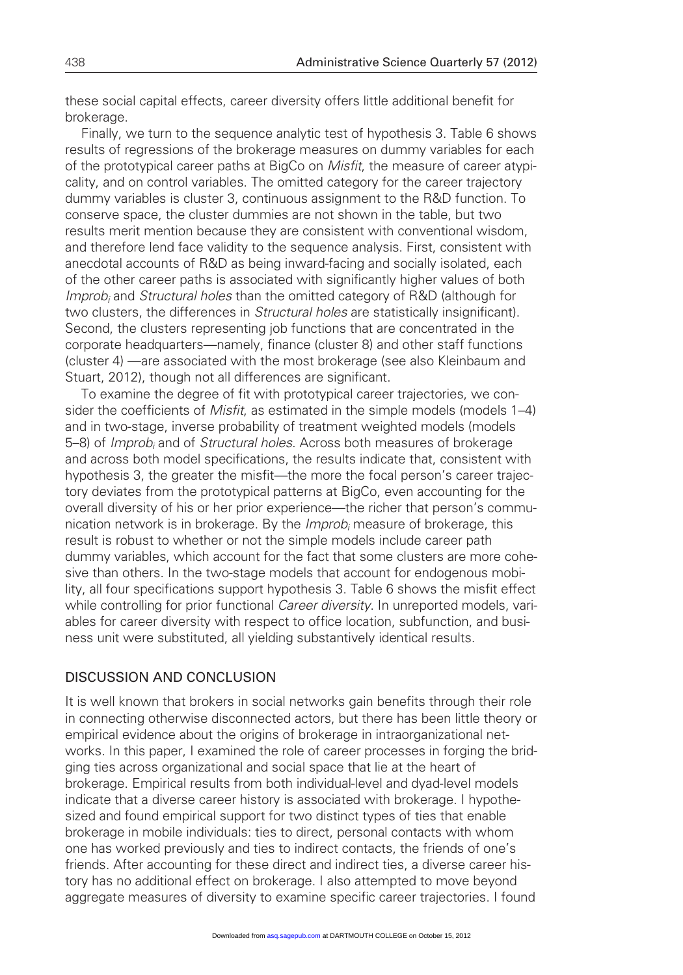these social capital effects, career diversity offers little additional benefit for brokerage.

Finally, we turn to the sequence analytic test of hypothesis 3. Table 6 shows results of regressions of the brokerage measures on dummy variables for each of the prototypical career paths at BigCo on Misfit, the measure of career atypicality, and on control variables. The omitted category for the career trajectory dummy variables is cluster 3, continuous assignment to the R&D function. To conserve space, the cluster dummies are not shown in the table, but two results merit mention because they are consistent with conventional wisdom, and therefore lend face validity to the sequence analysis. First, consistent with anecdotal accounts of R&D as being inward-facing and socially isolated, each of the other career paths is associated with significantly higher values of both Improb<sub>i</sub> and Structural holes than the omitted category of R&D (although for two clusters, the differences in *Structural holes* are statistically insignificant). Second, the clusters representing job functions that are concentrated in the corporate headquarters—namely, finance (cluster 8) and other staff functions (cluster 4) —are associated with the most brokerage (see also Kleinbaum and Stuart, 2012), though not all differences are significant.

To examine the degree of fit with prototypical career trajectories, we consider the coefficients of *Misfit*, as estimated in the simple models (models 1-4) and in two-stage, inverse probability of treatment weighted models (models 5–8) of *Improb<sub>i</sub>* and of *Structural holes*. Across both measures of brokerage and across both model specifications, the results indicate that, consistent with hypothesis 3, the greater the misfit—the more the focal person's career trajectory deviates from the prototypical patterns at BigCo, even accounting for the overall diversity of his or her prior experience—the richer that person's communication network is in brokerage. By the  $Improb_i$  measure of brokerage, this result is robust to whether or not the simple models include career path dummy variables, which account for the fact that some clusters are more cohesive than others. In the two-stage models that account for endogenous mobility, all four specifications support hypothesis 3. Table 6 shows the misfit effect while controlling for prior functional *Career diversity*. In unreported models, variables for career diversity with respect to office location, subfunction, and business unit were substituted, all yielding substantively identical results.

# DISCUSSION AND CONCLUSION

It is well known that brokers in social networks gain benefits through their role in connecting otherwise disconnected actors, but there has been little theory or empirical evidence about the origins of brokerage in intraorganizational networks. In this paper, I examined the role of career processes in forging the bridging ties across organizational and social space that lie at the heart of brokerage. Empirical results from both individual-level and dyad-level models indicate that a diverse career history is associated with brokerage. I hypothesized and found empirical support for two distinct types of ties that enable brokerage in mobile individuals: ties to direct, personal contacts with whom one has worked previously and ties to indirect contacts, the friends of one's friends. After accounting for these direct and indirect ties, a diverse career history has no additional effect on brokerage. I also attempted to move beyond aggregate measures of diversity to examine specific career trajectories. I found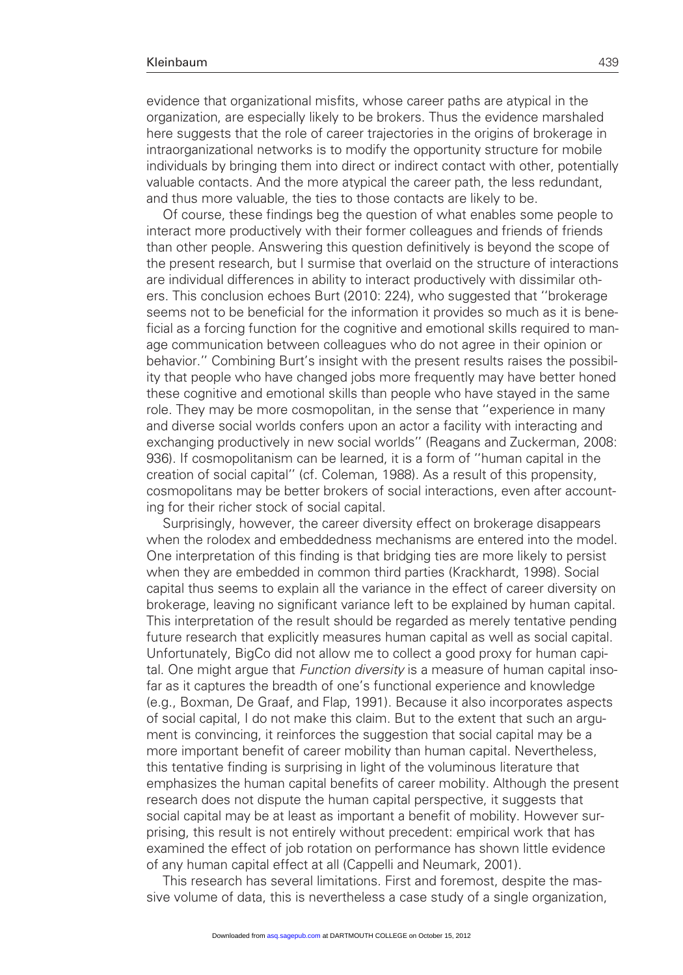evidence that organizational misfits, whose career paths are atypical in the organization, are especially likely to be brokers. Thus the evidence marshaled here suggests that the role of career trajectories in the origins of brokerage in intraorganizational networks is to modify the opportunity structure for mobile individuals by bringing them into direct or indirect contact with other, potentially valuable contacts. And the more atypical the career path, the less redundant, and thus more valuable, the ties to those contacts are likely to be.

Of course, these findings beg the question of what enables some people to interact more productively with their former colleagues and friends of friends than other people. Answering this question definitively is beyond the scope of the present research, but I surmise that overlaid on the structure of interactions are individual differences in ability to interact productively with dissimilar others. This conclusion echoes Burt (2010: 224), who suggested that ''brokerage seems not to be beneficial for the information it provides so much as it is beneficial as a forcing function for the cognitive and emotional skills required to manage communication between colleagues who do not agree in their opinion or behavior.'' Combining Burt's insight with the present results raises the possibility that people who have changed jobs more frequently may have better honed these cognitive and emotional skills than people who have stayed in the same role. They may be more cosmopolitan, in the sense that ''experience in many and diverse social worlds confers upon an actor a facility with interacting and exchanging productively in new social worlds'' (Reagans and Zuckerman, 2008: 936). If cosmopolitanism can be learned, it is a form of ''human capital in the creation of social capital'' (cf. Coleman, 1988). As a result of this propensity, cosmopolitans may be better brokers of social interactions, even after accounting for their richer stock of social capital.

Surprisingly, however, the career diversity effect on brokerage disappears when the rolodex and embeddedness mechanisms are entered into the model. One interpretation of this finding is that bridging ties are more likely to persist when they are embedded in common third parties (Krackhardt, 1998). Social capital thus seems to explain all the variance in the effect of career diversity on brokerage, leaving no significant variance left to be explained by human capital. This interpretation of the result should be regarded as merely tentative pending future research that explicitly measures human capital as well as social capital. Unfortunately, BigCo did not allow me to collect a good proxy for human capital. One might argue that *Function diversity* is a measure of human capital insofar as it captures the breadth of one's functional experience and knowledge (e.g., Boxman, De Graaf, and Flap, 1991). Because it also incorporates aspects of social capital, I do not make this claim. But to the extent that such an argument is convincing, it reinforces the suggestion that social capital may be a more important benefit of career mobility than human capital. Nevertheless, this tentative finding is surprising in light of the voluminous literature that emphasizes the human capital benefits of career mobility. Although the present research does not dispute the human capital perspective, it suggests that social capital may be at least as important a benefit of mobility. However surprising, this result is not entirely without precedent: empirical work that has examined the effect of job rotation on performance has shown little evidence of any human capital effect at all (Cappelli and Neumark, 2001).

This research has several limitations. First and foremost, despite the massive volume of data, this is nevertheless a case study of a single organization,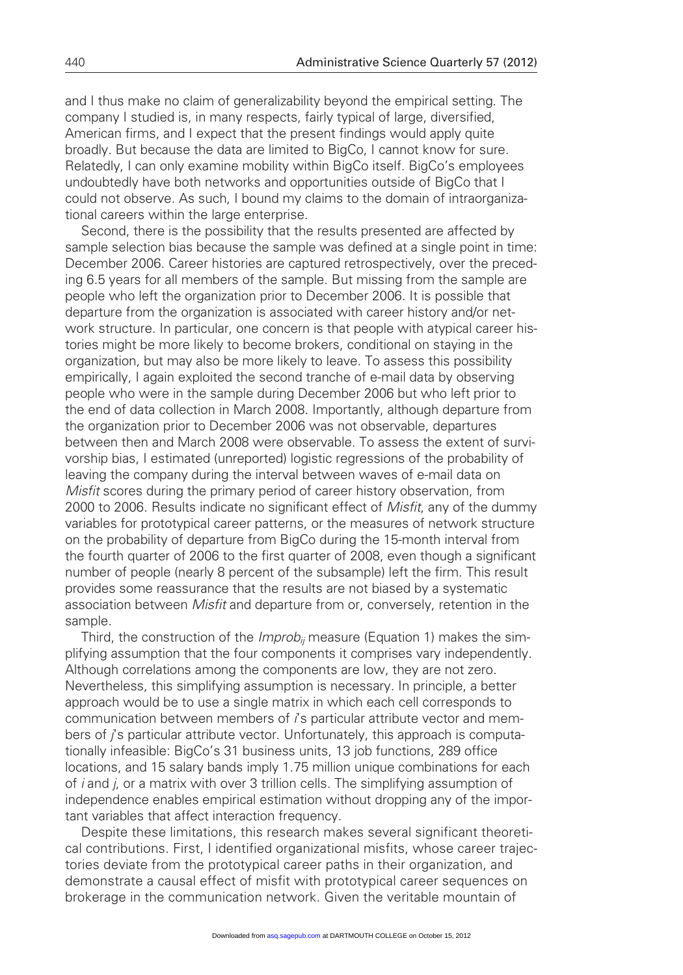and I thus make no claim of generalizability beyond the empirical setting. The company I studied is, in many respects, fairly typical of large, diversified, American firms, and I expect that the present findings would apply quite broadly. But because the data are limited to BigCo, I cannot know for sure. Relatedly, I can only examine mobility within BigCo itself. BigCo's employees undoubtedly have both networks and opportunities outside of BigCo that I could not observe. As such, I bound my claims to the domain of intraorganizational careers within the large enterprise.

Second, there is the possibility that the results presented are affected by sample selection bias because the sample was defined at a single point in time: December 2006. Career histories are captured retrospectively, over the preceding 6.5 years for all members of the sample. But missing from the sample are people who left the organization prior to December 2006. It is possible that departure from the organization is associated with career history and/or network structure. In particular, one concern is that people with atypical career histories might be more likely to become brokers, conditional on staying in the organization, but may also be more likely to leave. To assess this possibility empirically, I again exploited the second tranche of e-mail data by observing people who were in the sample during December 2006 but who left prior to the end of data collection in March 2008. Importantly, although departure from the organization prior to December 2006 was not observable, departures between then and March 2008 were observable. To assess the extent of survivorship bias, I estimated (unreported) logistic regressions of the probability of leaving the company during the interval between waves of e-mail data on Misfit scores during the primary period of career history observation, from 2000 to 2006. Results indicate no significant effect of *Misfit*, any of the dummy variables for prototypical career patterns, or the measures of network structure on the probability of departure from BigCo during the 15-month interval from the fourth quarter of 2006 to the first quarter of 2008, even though a significant number of people (nearly 8 percent of the subsample) left the firm. This result provides some reassurance that the results are not biased by a systematic association between Misfit and departure from or, conversely, retention in the sample.

Third, the construction of the *Improb<sub>ii</sub>* measure (Equation 1) makes the simplifying assumption that the four components it comprises vary independently. Although correlations among the components are low, they are not zero. Nevertheless, this simplifying assumption is necessary. In principle, a better approach would be to use a single matrix in which each cell corresponds to communication between members of i's particular attribute vector and members of i's particular attribute vector. Unfortunately, this approach is computationally infeasible: BigCo's 31 business units, 13 job functions, 289 office locations, and 15 salary bands imply 1.75 million unique combinations for each of *i* and *j*, or a matrix with over 3 trillion cells. The simplifying assumption of independence enables empirical estimation without dropping any of the important variables that affect interaction frequency.

Despite these limitations, this research makes several significant theoretical contributions. First, I identified organizational misfits, whose career trajectories deviate from the prototypical career paths in their organization, and demonstrate a causal effect of misfit with prototypical career sequences on brokerage in the communication network. Given the veritable mountain of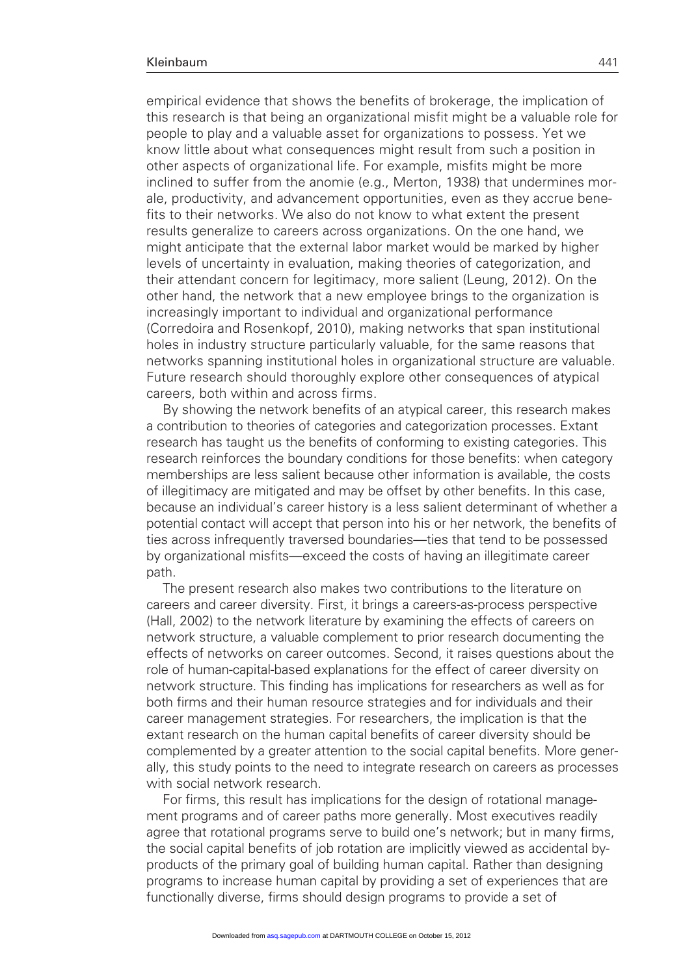#### Kleinbaum 441

empirical evidence that shows the benefits of brokerage, the implication of this research is that being an organizational misfit might be a valuable role for people to play and a valuable asset for organizations to possess. Yet we know little about what consequences might result from such a position in other aspects of organizational life. For example, misfits might be more inclined to suffer from the anomie (e.g., Merton, 1938) that undermines morale, productivity, and advancement opportunities, even as they accrue benefits to their networks. We also do not know to what extent the present results generalize to careers across organizations. On the one hand, we might anticipate that the external labor market would be marked by higher levels of uncertainty in evaluation, making theories of categorization, and their attendant concern for legitimacy, more salient (Leung, 2012). On the other hand, the network that a new employee brings to the organization is increasingly important to individual and organizational performance (Corredoira and Rosenkopf, 2010), making networks that span institutional holes in industry structure particularly valuable, for the same reasons that networks spanning institutional holes in organizational structure are valuable. Future research should thoroughly explore other consequences of atypical careers, both within and across firms.

By showing the network benefits of an atypical career, this research makes a contribution to theories of categories and categorization processes. Extant research has taught us the benefits of conforming to existing categories. This research reinforces the boundary conditions for those benefits: when category memberships are less salient because other information is available, the costs of illegitimacy are mitigated and may be offset by other benefits. In this case, because an individual's career history is a less salient determinant of whether a potential contact will accept that person into his or her network, the benefits of ties across infrequently traversed boundaries—ties that tend to be possessed by organizational misfits—exceed the costs of having an illegitimate career path.

The present research also makes two contributions to the literature on careers and career diversity. First, it brings a careers-as-process perspective (Hall, 2002) to the network literature by examining the effects of careers on network structure, a valuable complement to prior research documenting the effects of networks on career outcomes. Second, it raises questions about the role of human-capital-based explanations for the effect of career diversity on network structure. This finding has implications for researchers as well as for both firms and their human resource strategies and for individuals and their career management strategies. For researchers, the implication is that the extant research on the human capital benefits of career diversity should be complemented by a greater attention to the social capital benefits. More generally, this study points to the need to integrate research on careers as processes with social network research.

For firms, this result has implications for the design of rotational management programs and of career paths more generally. Most executives readily agree that rotational programs serve to build one's network; but in many firms, the social capital benefits of job rotation are implicitly viewed as accidental byproducts of the primary goal of building human capital. Rather than designing programs to increase human capital by providing a set of experiences that are functionally diverse, firms should design programs to provide a set of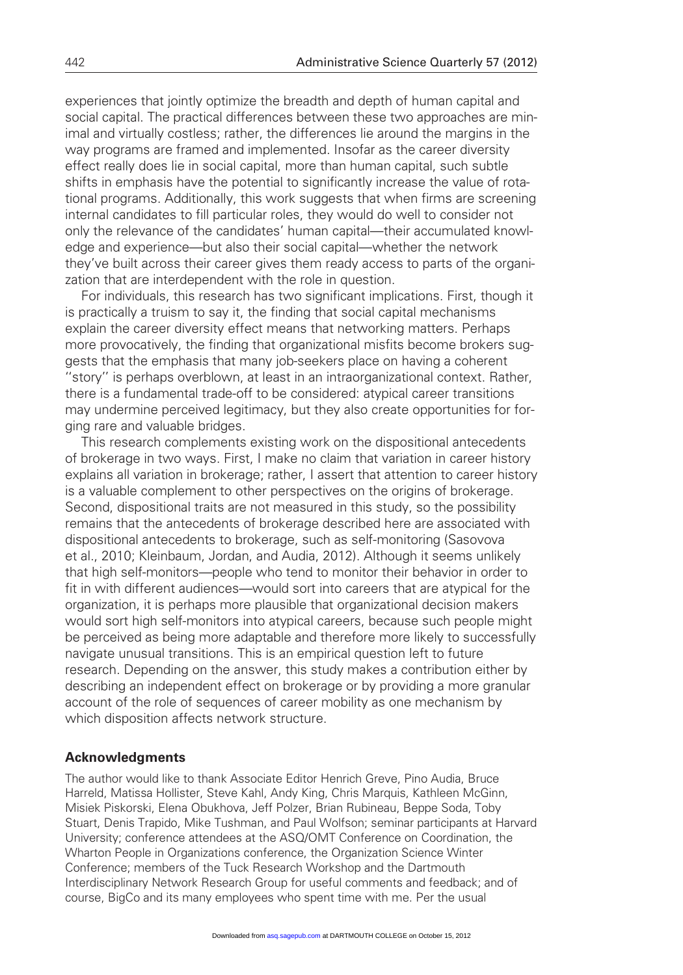experiences that jointly optimize the breadth and depth of human capital and social capital. The practical differences between these two approaches are minimal and virtually costless; rather, the differences lie around the margins in the way programs are framed and implemented. Insofar as the career diversity effect really does lie in social capital, more than human capital, such subtle shifts in emphasis have the potential to significantly increase the value of rotational programs. Additionally, this work suggests that when firms are screening internal candidates to fill particular roles, they would do well to consider not only the relevance of the candidates' human capital—their accumulated knowledge and experience—but also their social capital—whether the network they've built across their career gives them ready access to parts of the organization that are interdependent with the role in question.

For individuals, this research has two significant implications. First, though it is practically a truism to say it, the finding that social capital mechanisms explain the career diversity effect means that networking matters. Perhaps more provocatively, the finding that organizational misfits become brokers suggests that the emphasis that many job-seekers place on having a coherent 'story" is perhaps overblown, at least in an intraorganizational context. Rather, there is a fundamental trade-off to be considered: atypical career transitions may undermine perceived legitimacy, but they also create opportunities for forging rare and valuable bridges.

This research complements existing work on the dispositional antecedents of brokerage in two ways. First, I make no claim that variation in career history explains all variation in brokerage; rather, I assert that attention to career history is a valuable complement to other perspectives on the origins of brokerage. Second, dispositional traits are not measured in this study, so the possibility remains that the antecedents of brokerage described here are associated with dispositional antecedents to brokerage, such as self-monitoring (Sasovova et al., 2010; Kleinbaum, Jordan, and Audia, 2012). Although it seems unlikely that high self-monitors—people who tend to monitor their behavior in order to fit in with different audiences—would sort into careers that are atypical for the organization, it is perhaps more plausible that organizational decision makers would sort high self-monitors into atypical careers, because such people might be perceived as being more adaptable and therefore more likely to successfully navigate unusual transitions. This is an empirical question left to future research. Depending on the answer, this study makes a contribution either by describing an independent effect on brokerage or by providing a more granular account of the role of sequences of career mobility as one mechanism by which disposition affects network structure.

# Acknowledgments

The author would like to thank Associate Editor Henrich Greve, Pino Audia, Bruce Harreld, Matissa Hollister, Steve Kahl, Andy King, Chris Marquis, Kathleen McGinn, Misiek Piskorski, Elena Obukhova, Jeff Polzer, Brian Rubineau, Beppe Soda, Toby Stuart, Denis Trapido, Mike Tushman, and Paul Wolfson; seminar participants at Harvard University; conference attendees at the ASQ/OMT Conference on Coordination, the Wharton People in Organizations conference, the Organization Science Winter Conference; members of the Tuck Research Workshop and the Dartmouth Interdisciplinary Network Research Group for useful comments and feedback; and of course, BigCo and its many employees who spent time with me. Per the usual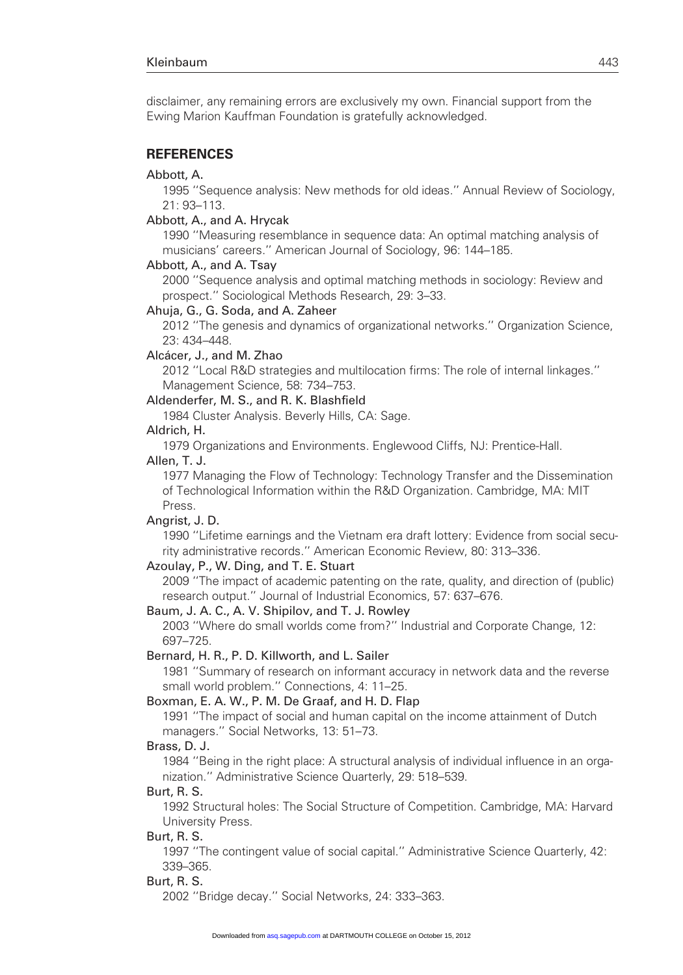disclaimer, any remaining errors are exclusively my own. Financial support from the Ewing Marion Kauffman Foundation is gratefully acknowledged.

# **REFERENCES**

#### Abbott, A.

1995 ''Sequence analysis: New methods for old ideas.'' Annual Review of Sociology, 21: 93–113.

#### Abbott, A., and A. Hrycak

1990 ''Measuring resemblance in sequence data: An optimal matching analysis of musicians' careers.'' American Journal of Sociology, 96: 144–185.

#### Abbott, A., and A. Tsay

2000 ''Sequence analysis and optimal matching methods in sociology: Review and prospect.'' Sociological Methods Research, 29: 3–33.

### Ahuja, G., G. Soda, and A. Zaheer

2012 ''The genesis and dynamics of organizational networks.'' Organization Science, 23: 434–448.

# Alcácer, J., and M. Zhao

2012 ''Local R&D strategies and multilocation firms: The role of internal linkages.'' Management Science, 58: 734–753.

## Aldenderfer, M. S., and R. K. Blashfield

1984 Cluster Analysis. Beverly Hills, CA: Sage.

#### Aldrich, H.

1979 Organizations and Environments. Englewood Cliffs, NJ: Prentice-Hall.

# Allen, T. J.

1977 Managing the Flow of Technology: Technology Transfer and the Dissemination of Technological Information within the R&D Organization. Cambridge, MA: MIT Press.

# Angrist, J. D.

1990 ''Lifetime earnings and the Vietnam era draft lottery: Evidence from social security administrative records.'' American Economic Review, 80: 313–336.

# Azoulay, P., W. Ding, and T. E. Stuart

2009 ''The impact of academic patenting on the rate, quality, and direction of (public) research output.'' Journal of Industrial Economics, 57: 637–676.

# Baum, J. A. C., A. V. Shipilov, and T. J. Rowley

2003 ''Where do small worlds come from?'' Industrial and Corporate Change, 12: 697–725.

#### Bernard, H. R., P. D. Killworth, and L. Sailer

1981 ''Summary of research on informant accuracy in network data and the reverse small world problem.'' Connections, 4: 11–25.

#### Boxman, E. A. W., P. M. De Graaf, and H. D. Flap

1991 ''The impact of social and human capital on the income attainment of Dutch managers.'' Social Networks, 13: 51–73.

#### Brass, D. J.

1984 ''Being in the right place: A structural analysis of individual influence in an organization.'' Administrative Science Quarterly, 29: 518–539.

#### Burt, R. S.

1992 Structural holes: The Social Structure of Competition. Cambridge, MA: Harvard University Press.

#### Burt, R. S.

1997 ''The contingent value of social capital.'' Administrative Science Quarterly, 42: 339–365.

# Burt, R. S.

2002 ''Bridge decay.'' Social Networks, 24: 333–363.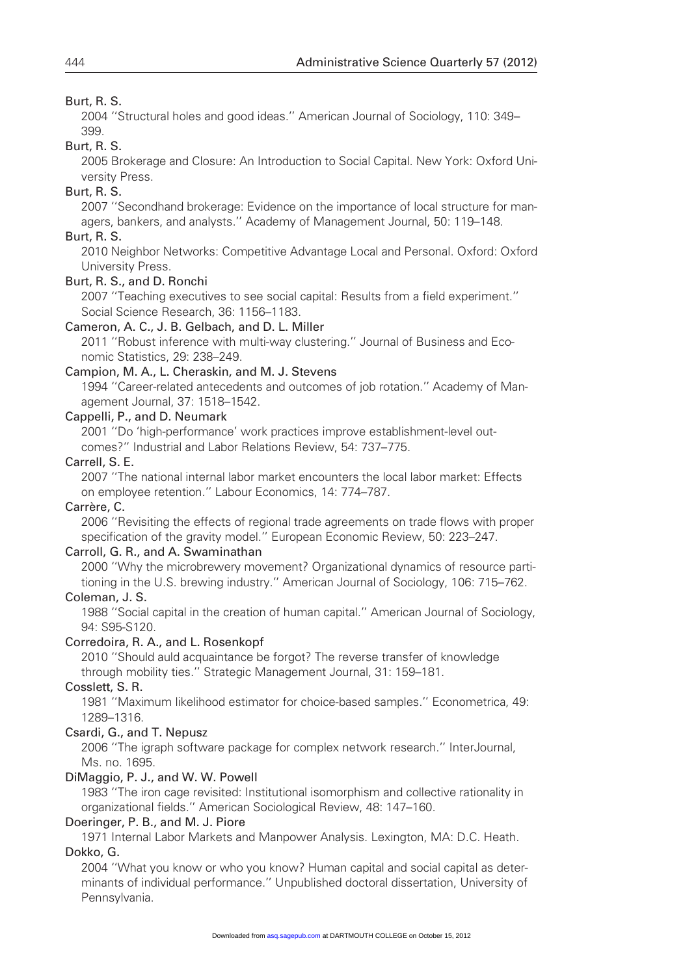# Burt, R. S.

2004 ''Structural holes and good ideas.'' American Journal of Sociology, 110: 349– 399.

# Burt, R. S.

2005 Brokerage and Closure: An Introduction to Social Capital. New York: Oxford University Press.

# Burt, R. S.

2007 ''Secondhand brokerage: Evidence on the importance of local structure for managers, bankers, and analysts.'' Academy of Management Journal, 50: 119–148.

# Burt, R. S.

2010 Neighbor Networks: Competitive Advantage Local and Personal. Oxford: Oxford University Press.

# Burt, R. S., and D. Ronchi

2007 ''Teaching executives to see social capital: Results from a field experiment.'' Social Science Research, 36: 1156–1183.

# Cameron, A. C., J. B. Gelbach, and D. L. Miller

2011 ''Robust inference with multi-way clustering.'' Journal of Business and Economic Statistics, 29: 238–249.

# Campion, M. A., L. Cheraskin, and M. J. Stevens

1994 ''Career-related antecedents and outcomes of job rotation.'' Academy of Management Journal, 37: 1518–1542.

# Cappelli, P., and D. Neumark

2001 ''Do 'high-performance' work practices improve establishment-level out-

comes?'' Industrial and Labor Relations Review, 54: 737–775.

# Carrell, S. E.

2007 ''The national internal labor market encounters the local labor market: Effects on employee retention.'' Labour Economics, 14: 774–787.

# Carrère, C.

2006 ''Revisiting the effects of regional trade agreements on trade flows with proper specification of the gravity model.'' European Economic Review, 50: 223–247.

# Carroll, G. R., and A. Swaminathan

2000 ''Why the microbrewery movement? Organizational dynamics of resource partitioning in the U.S. brewing industry.'' American Journal of Sociology, 106: 715–762.

# Coleman, J. S.

1988 ''Social capital in the creation of human capital.'' American Journal of Sociology, 94: S95-S120.

# Corredoira, R. A., and L. Rosenkopf

2010 ''Should auld acquaintance be forgot? The reverse transfer of knowledge through mobility ties.'' Strategic Management Journal, 31: 159–181.

# Cosslett, S. R.

1981 ''Maximum likelihood estimator for choice-based samples.'' Econometrica, 49: 1289–1316.

# Csardi, G., and T. Nepusz

2006 ''The igraph software package for complex network research.'' InterJournal, Ms. no. 1695.

# DiMaggio, P. J., and W. W. Powell

1983 ''The iron cage revisited: Institutional isomorphism and collective rationality in organizational fields.'' American Sociological Review, 48: 147–160.

# Doeringer, P. B., and M. J. Piore

1971 Internal Labor Markets and Manpower Analysis. Lexington, MA: D.C. Heath. Dokko, G.

2004 ''What you know or who you know? Human capital and social capital as determinants of individual performance.'' Unpublished doctoral dissertation, University of Pennsylvania.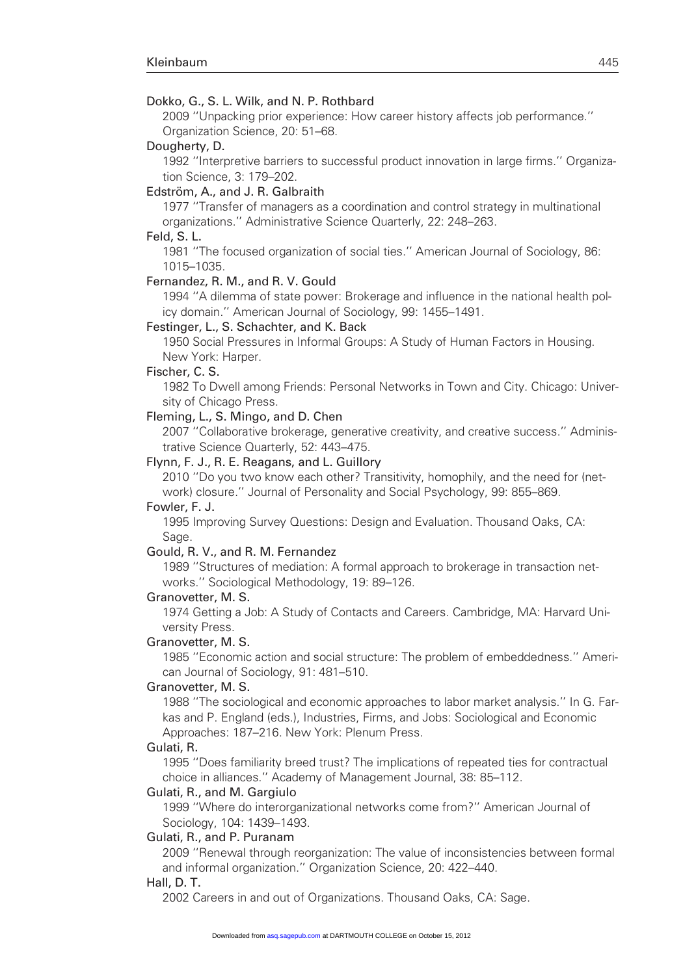#### Dokko, G., S. L. Wilk, and N. P. Rothbard

2009 ''Unpacking prior experience: How career history affects job performance.'' Organization Science, 20: 51–68.

#### Dougherty, D.

1992 ''Interpretive barriers to successful product innovation in large firms.'' Organization Science, 3: 179–202.

#### Edström, A., and J. R. Galbraith

1977 ''Transfer of managers as a coordination and control strategy in multinational organizations.'' Administrative Science Quarterly, 22: 248–263.

#### Feld, S. L.

1981 ''The focused organization of social ties.'' American Journal of Sociology, 86: 1015–1035.

#### Fernandez, R. M., and R. V. Gould

1994 ''A dilemma of state power: Brokerage and influence in the national health policy domain.'' American Journal of Sociology, 99: 1455–1491.

# Festinger, L., S. Schachter, and K. Back

1950 Social Pressures in Informal Groups: A Study of Human Factors in Housing. New York: Harper.

### Fischer, C. S.

1982 To Dwell among Friends: Personal Networks in Town and City. Chicago: University of Chicago Press.

#### Fleming, L., S. Mingo, and D. Chen

2007 ''Collaborative brokerage, generative creativity, and creative success.'' Administrative Science Quarterly, 52: 443–475.

#### Flynn, F. J., R. E. Reagans, and L. Guillory

2010 ''Do you two know each other? Transitivity, homophily, and the need for (network) closure.'' Journal of Personality and Social Psychology, 99: 855–869.

# Fowler, F. J.

1995 Improving Survey Questions: Design and Evaluation. Thousand Oaks, CA: Sage.

#### Gould, R. V., and R. M. Fernandez

1989 ''Structures of mediation: A formal approach to brokerage in transaction networks.'' Sociological Methodology, 19: 89–126.

#### Granovetter, M. S.

1974 Getting a Job: A Study of Contacts and Careers. Cambridge, MA: Harvard University Press.

#### Granovetter, M. S.

1985 ''Economic action and social structure: The problem of embeddedness.'' American Journal of Sociology, 91: 481–510.

#### Granovetter, M. S.

1988 ''The sociological and economic approaches to labor market analysis.'' In G. Farkas and P. England (eds.), Industries, Firms, and Jobs: Sociological and Economic Approaches: 187–216. New York: Plenum Press.

#### Gulati, R.

1995 ''Does familiarity breed trust? The implications of repeated ties for contractual choice in alliances.'' Academy of Management Journal, 38: 85–112.

#### Gulati, R., and M. Gargiulo

1999 ''Where do interorganizational networks come from?'' American Journal of Sociology, 104: 1439–1493.

#### Gulati, R., and P. Puranam

2009 ''Renewal through reorganization: The value of inconsistencies between formal and informal organization.'' Organization Science, 20: 422–440.

# Hall, D. T.

2002 Careers in and out of Organizations. Thousand Oaks, CA: Sage.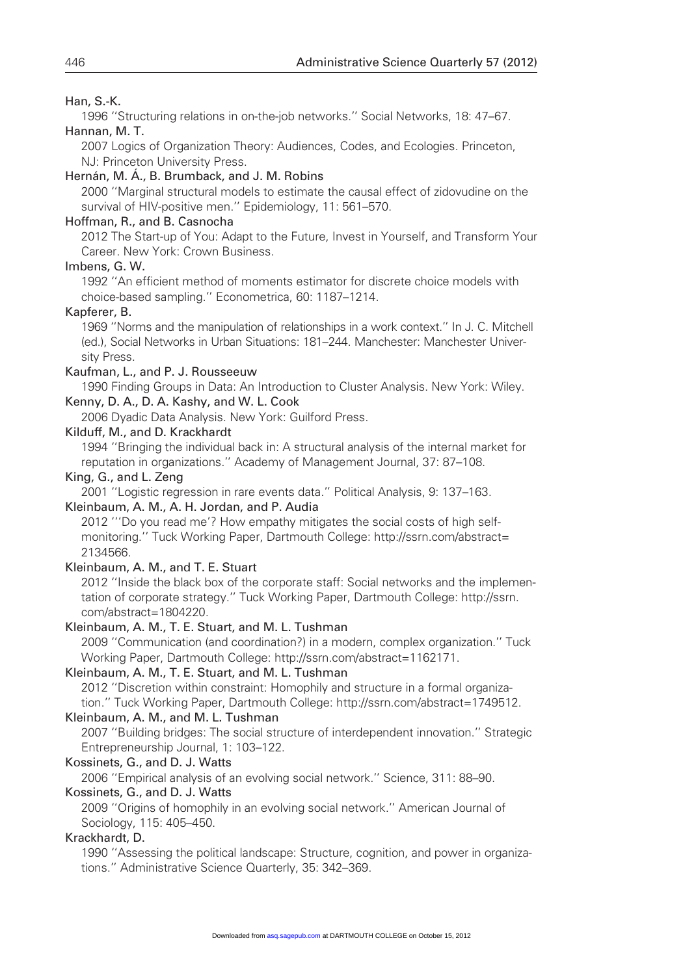# Han, S.-K.

1996 ''Structuring relations in on-the-job networks.'' Social Networks, 18: 47–67. Hannan, M. T.

2007 Logics of Organization Theory: Audiences, Codes, and Ecologies. Princeton, NJ: Princeton University Press.

# Hernán, M. Á., B. Brumback, and J. M. Robins

2000 ''Marginal structural models to estimate the causal effect of zidovudine on the survival of HIV-positive men.'' Epidemiology, 11: 561–570.

# Hoffman, R., and B. Casnocha

2012 The Start-up of You: Adapt to the Future, Invest in Yourself, and Transform Your Career. New York: Crown Business.

# Imbens, G. W.

1992 ''An efficient method of moments estimator for discrete choice models with choice-based sampling.'' Econometrica, 60: 1187–1214.

# Kapferer, B.

1969 ''Norms and the manipulation of relationships in a work context.'' In J. C. Mitchell (ed.), Social Networks in Urban Situations: 181–244. Manchester: Manchester University Press.

# Kaufman, L., and P. J. Rousseeuw

1990 Finding Groups in Data: An Introduction to Cluster Analysis. New York: Wiley. Kenny, D. A., D. A. Kashy, and W. L. Cook

2006 Dyadic Data Analysis. New York: Guilford Press.

# Kilduff, M., and D. Krackhardt

1994 ''Bringing the individual back in: A structural analysis of the internal market for reputation in organizations.'' Academy of Management Journal, 37: 87–108.

# King, G., and L. Zeng

2001 ''Logistic regression in rare events data.'' Political Analysis, 9: 137–163.

# Kleinbaum, A. M., A. H. Jordan, and P. Audia

2012 '''Do you read me'? How empathy mitigates the social costs of high selfmonitoring.'' Tuck Working Paper, Dartmouth College: http://ssrn.com/abstract= 2134566.

# Kleinbaum, A. M., and T. E. Stuart

2012 ''Inside the black box of the corporate staff: Social networks and the implementation of corporate strategy.'' Tuck Working Paper, Dartmouth College: http://ssrn. com/abstract=1804220.

# Kleinbaum, A. M., T. E. Stuart, and M. L. Tushman

2009 ''Communication (and coordination?) in a modern, complex organization.'' Tuck Working Paper, Dartmouth College: http://ssrn.com/abstract=1162171.

# Kleinbaum, A. M., T. E. Stuart, and M. L. Tushman

2012 ''Discretion within constraint: Homophily and structure in a formal organization.'' Tuck Working Paper, Dartmouth College: http://ssrn.com/abstract=1749512.

# Kleinbaum, A. M., and M. L. Tushman

2007 ''Building bridges: The social structure of interdependent innovation.'' Strategic Entrepreneurship Journal, 1: 103–122.

# Kossinets, G., and D. J. Watts

2006 ''Empirical analysis of an evolving social network.'' Science, 311: 88–90.

# Kossinets, G., and D. J. Watts

2009 ''Origins of homophily in an evolving social network.'' American Journal of Sociology, 115: 405–450.

# Krackhardt, D.

1990 ''Assessing the political landscape: Structure, cognition, and power in organizations.'' Administrative Science Quarterly, 35: 342–369.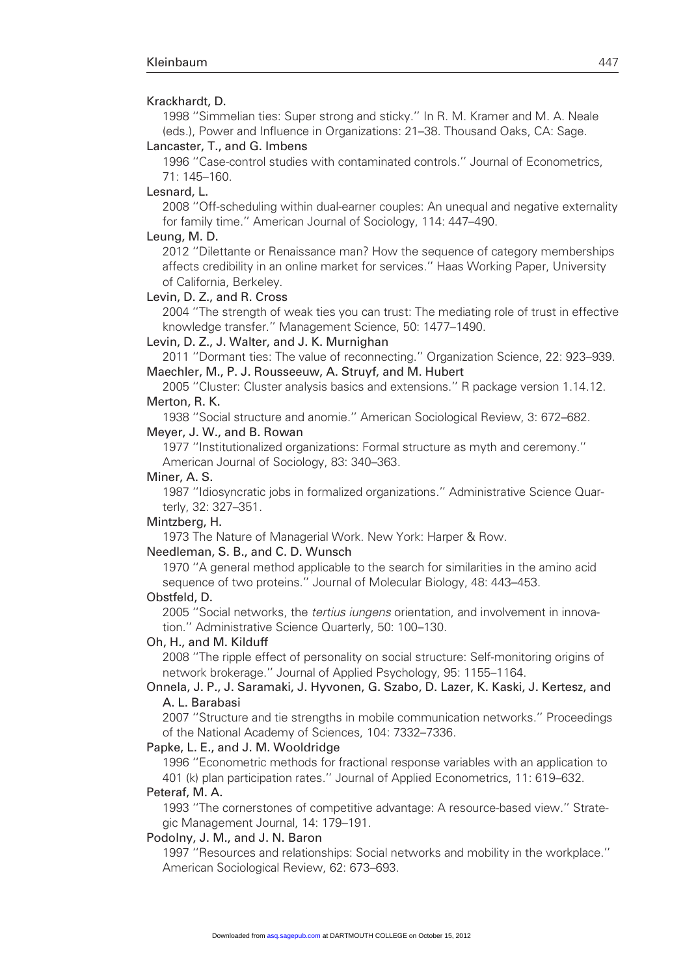#### Krackhardt, D.

1998 ''Simmelian ties: Super strong and sticky.'' In R. M. Kramer and M. A. Neale (eds.), Power and Influence in Organizations: 21–38. Thousand Oaks, CA: Sage.

#### Lancaster, T., and G. Imbens

1996 ''Case-control studies with contaminated controls.'' Journal of Econometrics, 71: 145–160.

#### Lesnard, L.

2008 ''Off-scheduling within dual-earner couples: An unequal and negative externality for family time.'' American Journal of Sociology, 114: 447–490.

### Leung, M. D.

2012 ''Dilettante or Renaissance man? How the sequence of category memberships affects credibility in an online market for services.'' Haas Working Paper, University of California, Berkeley.

#### Levin, D. Z., and R. Cross

2004 ''The strength of weak ties you can trust: The mediating role of trust in effective knowledge transfer.'' Management Science, 50: 1477–1490.

#### Levin, D. Z., J. Walter, and J. K. Murnighan

2011 ''Dormant ties: The value of reconnecting.'' Organization Science, 22: 923–939. Maechler, M., P. J. Rousseeuw, A. Struyf, and M. Hubert

2005 ''Cluster: Cluster analysis basics and extensions.'' R package version 1.14.12. Merton, R. K.

1938 ''Social structure and anomie.'' American Sociological Review, 3: 672–682.

### Meyer, J. W., and B. Rowan

1977 ''Institutionalized organizations: Formal structure as myth and ceremony.'' American Journal of Sociology, 83: 340–363.

#### Miner, A. S.

1987 ''Idiosyncratic jobs in formalized organizations.'' Administrative Science Quarterly, 32: 327–351.

#### Mintzberg, H.

1973 The Nature of Managerial Work. New York: Harper & Row.

# Needleman, S. B., and C. D. Wunsch

1970 ''A general method applicable to the search for similarities in the amino acid sequence of two proteins.'' Journal of Molecular Biology, 48: 443–453.

#### Obstfeld, D.

2005 ''Social networks, the tertius iungens orientation, and involvement in innovation.'' Administrative Science Quarterly, 50: 100–130.

#### Oh, H., and M. Kilduff

2008 ''The ripple effect of personality on social structure: Self-monitoring origins of network brokerage.'' Journal of Applied Psychology, 95: 1155–1164.

# Onnela, J. P., J. Saramaki, J. Hyvonen, G. Szabo, D. Lazer, K. Kaski, J. Kertesz, and A. L. Barabasi

2007 ''Structure and tie strengths in mobile communication networks.'' Proceedings of the National Academy of Sciences, 104: 7332–7336.

# Papke, L. E., and J. M. Wooldridge

1996 ''Econometric methods for fractional response variables with an application to 401 (k) plan participation rates.'' Journal of Applied Econometrics, 11: 619–632.

#### Peteraf, M. A.

1993 ''The cornerstones of competitive advantage: A resource-based view.'' Strategic Management Journal, 14: 179–191.

# Podolny, J. M., and J. N. Baron

1997 ''Resources and relationships: Social networks and mobility in the workplace.'' American Sociological Review, 62: 673–693.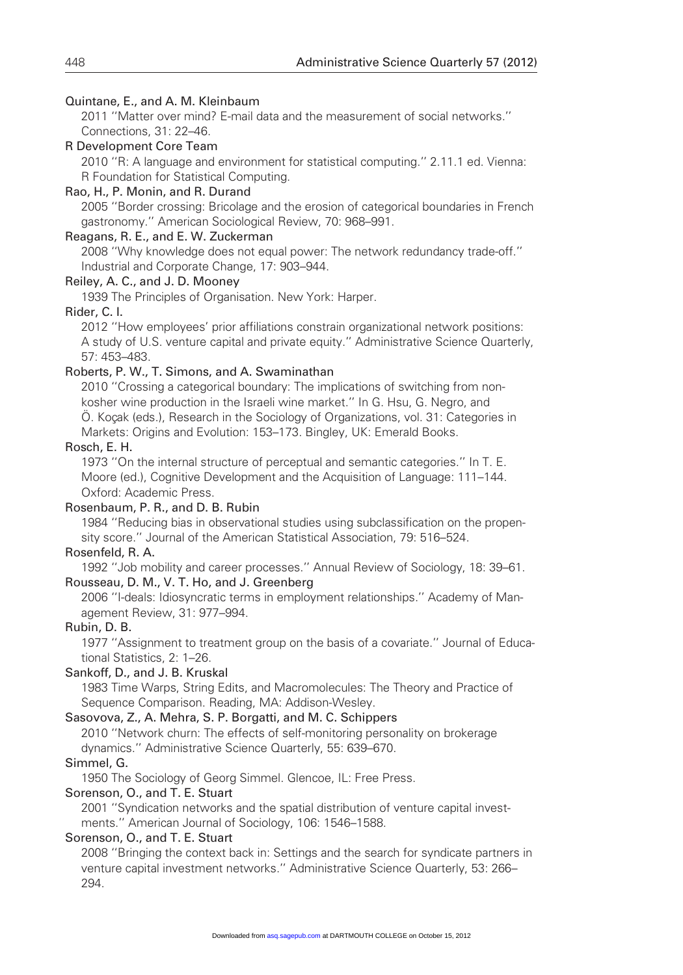# Quintane, E., and A. M. Kleinbaum

2011 ''Matter over mind? E-mail data and the measurement of social networks.'' Connections, 31: 22–46.

# R Development Core Team

2010 ''R: A language and environment for statistical computing.'' 2.11.1 ed. Vienna: R Foundation for Statistical Computing.

#### Rao, H., P. Monin, and R. Durand

2005 ''Border crossing: Bricolage and the erosion of categorical boundaries in French gastronomy.'' American Sociological Review, 70: 968–991.

#### Reagans, R. E., and E. W. Zuckerman

2008 ''Why knowledge does not equal power: The network redundancy trade-off.'' Industrial and Corporate Change, 17: 903–944.

# Reiley, A. C., and J. D. Mooney

1939 The Principles of Organisation. New York: Harper.

#### Rider, C. I.

2012 ''How employees' prior affiliations constrain organizational network positions: A study of U.S. venture capital and private equity.'' Administrative Science Quarterly, 57: 453–483.

# Roberts, P. W., T. Simons, and A. Swaminathan

2010 ''Crossing a categorical boundary: The implications of switching from nonkosher wine production in the Israeli wine market.'' In G. Hsu, G. Negro, and  $\ddot{\text{O}}$ . Kocak (eds.), Research in the Sociology of Organizations, vol. 31: Categories in

Markets: Origins and Evolution: 153–173. Bingley, UK: Emerald Books. Rosch, E. H.

1973 ''On the internal structure of perceptual and semantic categories.'' In T. E. Moore (ed.), Cognitive Development and the Acquisition of Language: 111–144. Oxford: Academic Press.

# Rosenbaum, P. R., and D. B. Rubin

1984 ''Reducing bias in observational studies using subclassification on the propensity score.'' Journal of the American Statistical Association, 79: 516–524.

# Rosenfeld, R. A.

1992 ''Job mobility and career processes.'' Annual Review of Sociology, 18: 39–61. Rousseau, D. M., V. T. Ho, and J. Greenberg

2006 ''I-deals: Idiosyncratic terms in employment relationships.'' Academy of Management Review, 31: 977–994.

# Rubin, D. B.

1977 ''Assignment to treatment group on the basis of a covariate.'' Journal of Educational Statistics, 2: 1–26.

# Sankoff, D., and J. B. Kruskal

1983 Time Warps, String Edits, and Macromolecules: The Theory and Practice of Sequence Comparison. Reading, MA: Addison-Wesley.

#### Sasovova, Z., A. Mehra, S. P. Borgatti, and M. C. Schippers

2010 ''Network churn: The effects of self-monitoring personality on brokerage dynamics.'' Administrative Science Quarterly, 55: 639–670.

#### Simmel, G.

1950 The Sociology of Georg Simmel. Glencoe, IL: Free Press.

# Sorenson, O., and T. E. Stuart

2001 ''Syndication networks and the spatial distribution of venture capital investments.'' American Journal of Sociology, 106: 1546–1588.

#### Sorenson, O., and T. E. Stuart

2008 ''Bringing the context back in: Settings and the search for syndicate partners in venture capital investment networks.'' Administrative Science Quarterly, 53: 266– 294.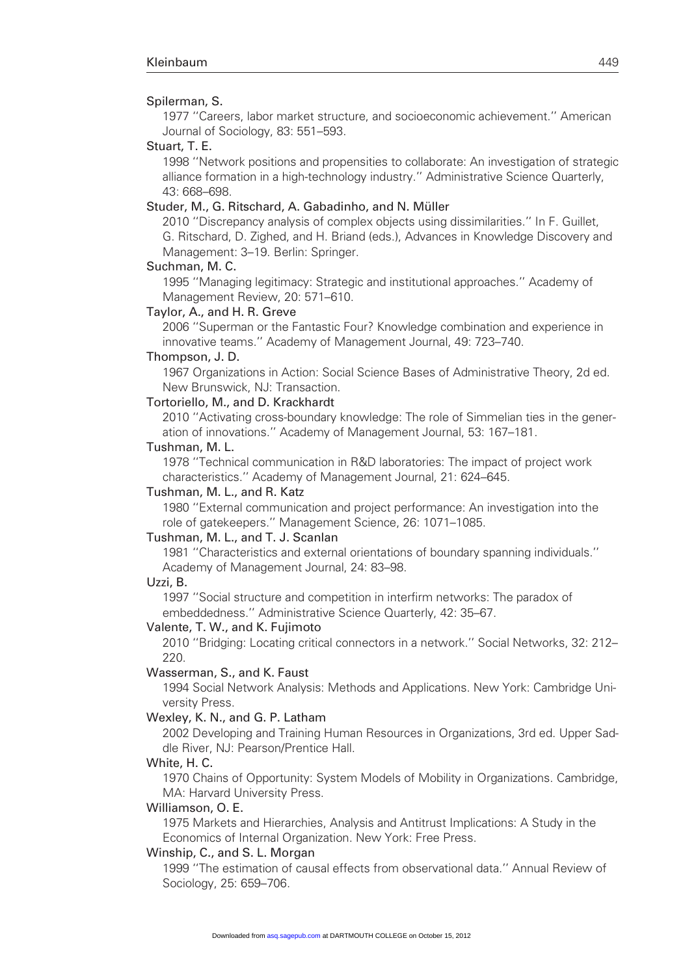#### Spilerman, S.

1977 ''Careers, labor market structure, and socioeconomic achievement.'' American Journal of Sociology, 83: 551–593.

#### Stuart, T. E.

1998 ''Network positions and propensities to collaborate: An investigation of strategic alliance formation in a high-technology industry.'' Administrative Science Quarterly, 43: 668–698.

#### Studer, M., G. Ritschard, A. Gabadinho, and N. Müller

2010 ''Discrepancy analysis of complex objects using dissimilarities.'' In F. Guillet, G. Ritschard, D. Zighed, and H. Briand (eds.), Advances in Knowledge Discovery and Management: 3–19. Berlin: Springer.

# Suchman, M. C.

1995 ''Managing legitimacy: Strategic and institutional approaches.'' Academy of Management Review, 20: 571–610.

#### Taylor, A., and H. R. Greve

2006 ''Superman or the Fantastic Four? Knowledge combination and experience in innovative teams.'' Academy of Management Journal, 49: 723–740.

#### Thompson, J. D.

1967 Organizations in Action: Social Science Bases of Administrative Theory, 2d ed. New Brunswick, NJ: Transaction.

# Tortoriello, M., and D. Krackhardt

2010 ''Activating cross-boundary knowledge: The role of Simmelian ties in the generation of innovations.'' Academy of Management Journal, 53: 167–181.

#### Tushman, M. L.

1978 ''Technical communication in R&D laboratories: The impact of project work characteristics.'' Academy of Management Journal, 21: 624–645.

#### Tushman, M. L., and R. Katz

1980 ''External communication and project performance: An investigation into the role of gatekeepers.'' Management Science, 26: 1071–1085.

#### Tushman, M. L., and T. J. Scanlan

1981 ''Characteristics and external orientations of boundary spanning individuals.'' Academy of Management Journal, 24: 83–98.

#### Uzzi, B.

1997 ''Social structure and competition in interfirm networks: The paradox of embeddedness.'' Administrative Science Quarterly, 42: 35–67.

# Valente, T. W., and K. Fujimoto

2010 ''Bridging: Locating critical connectors in a network.'' Social Networks, 32: 212– 220.

#### Wasserman, S., and K. Faust

1994 Social Network Analysis: Methods and Applications. New York: Cambridge University Press.

# Wexley, K. N., and G. P. Latham

2002 Developing and Training Human Resources in Organizations, 3rd ed. Upper Saddle River, NJ: Pearson/Prentice Hall.

#### White, H. C.

1970 Chains of Opportunity: System Models of Mobility in Organizations. Cambridge, MA: Harvard University Press.

#### Williamson, O. E.

1975 Markets and Hierarchies, Analysis and Antitrust Implications: A Study in the Economics of Internal Organization. New York: Free Press.

#### Winship, C., and S. L. Morgan

1999 ''The estimation of causal effects from observational data.'' Annual Review of Sociology, 25: 659–706.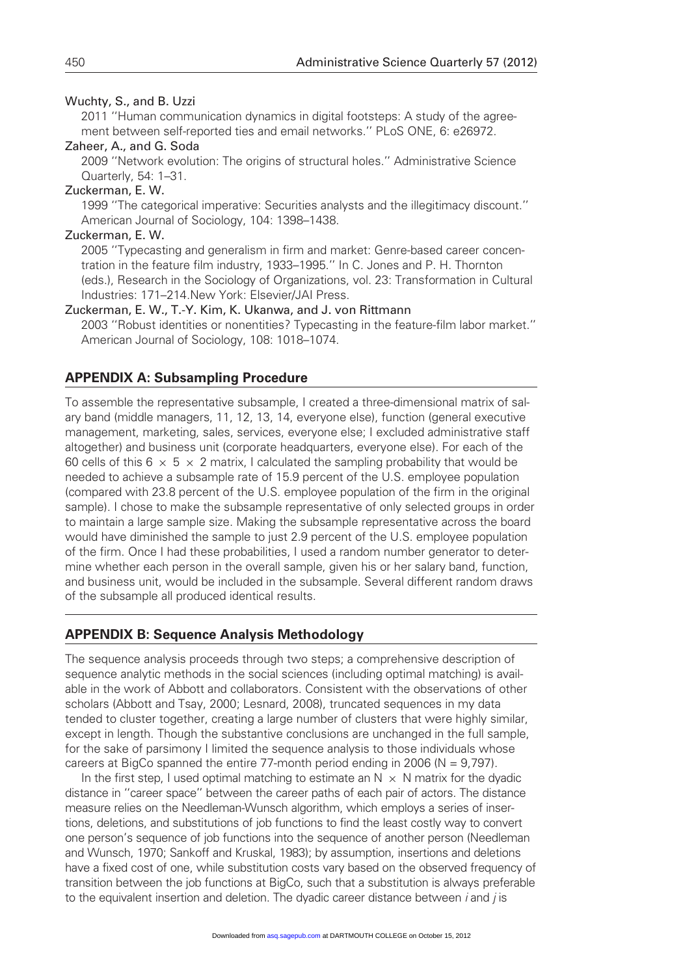# Wuchty, S., and B. Uzzi

2011 ''Human communication dynamics in digital footsteps: A study of the agreement between self-reported ties and email networks.'' PLoS ONE, 6: e26972.

#### Zaheer, A., and G. Soda

2009 ''Network evolution: The origins of structural holes.'' Administrative Science Quarterly, 54: 1–31.

# Zuckerman, E. W.

1999 ''The categorical imperative: Securities analysts and the illegitimacy discount.'' American Journal of Sociology, 104: 1398–1438.

# Zuckerman, E. W.

2005 ''Typecasting and generalism in firm and market: Genre-based career concentration in the feature film industry, 1933–1995.'' In C. Jones and P. H. Thornton (eds.), Research in the Sociology of Organizations, vol. 23: Transformation in Cultural Industries: 171–214.New York: Elsevier/JAI Press.

### Zuckerman, E. W., T.-Y. Kim, K. Ukanwa, and J. von Rittmann

2003 ''Robust identities or nonentities? Typecasting in the feature-film labor market.'' American Journal of Sociology, 108: 1018–1074.

# APPENDIX A: Subsampling Procedure

To assemble the representative subsample, I created a three-dimensional matrix of salary band (middle managers, 11, 12, 13, 14, everyone else), function (general executive management, marketing, sales, services, everyone else; I excluded administrative staff altogether) and business unit (corporate headquarters, everyone else). For each of the 60 cells of this 6  $\times$  5  $\times$  2 matrix, I calculated the sampling probability that would be needed to achieve a subsample rate of 15.9 percent of the U.S. employee population (compared with 23.8 percent of the U.S. employee population of the firm in the original sample). I chose to make the subsample representative of only selected groups in order to maintain a large sample size. Making the subsample representative across the board would have diminished the sample to just 2.9 percent of the U.S. employee population of the firm. Once I had these probabilities, I used a random number generator to determine whether each person in the overall sample, given his or her salary band, function, and business unit, would be included in the subsample. Several different random draws of the subsample all produced identical results.

# APPENDIX B: Sequence Analysis Methodology

The sequence analysis proceeds through two steps; a comprehensive description of sequence analytic methods in the social sciences (including optimal matching) is available in the work of Abbott and collaborators. Consistent with the observations of other scholars (Abbott and Tsay, 2000; Lesnard, 2008), truncated sequences in my data tended to cluster together, creating a large number of clusters that were highly similar, except in length. Though the substantive conclusions are unchanged in the full sample, for the sake of parsimony I limited the sequence analysis to those individuals whose careers at BigCo spanned the entire 77-month period ending in 2006 ( $N = 9.797$ ).

In the first step, I used optimal matching to estimate an  $N \times N$  matrix for the dyadic distance in ''career space'' between the career paths of each pair of actors. The distance measure relies on the Needleman-Wunsch algorithm, which employs a series of insertions, deletions, and substitutions of job functions to find the least costly way to convert one person's sequence of job functions into the sequence of another person (Needleman and Wunsch, 1970; Sankoff and Kruskal, 1983); by assumption, insertions and deletions have a fixed cost of one, while substitution costs vary based on the observed frequency of transition between the job functions at BigCo, such that a substitution is always preferable to the equivalent insertion and deletion. The dyadic career distance between  $i$  and  $j$  is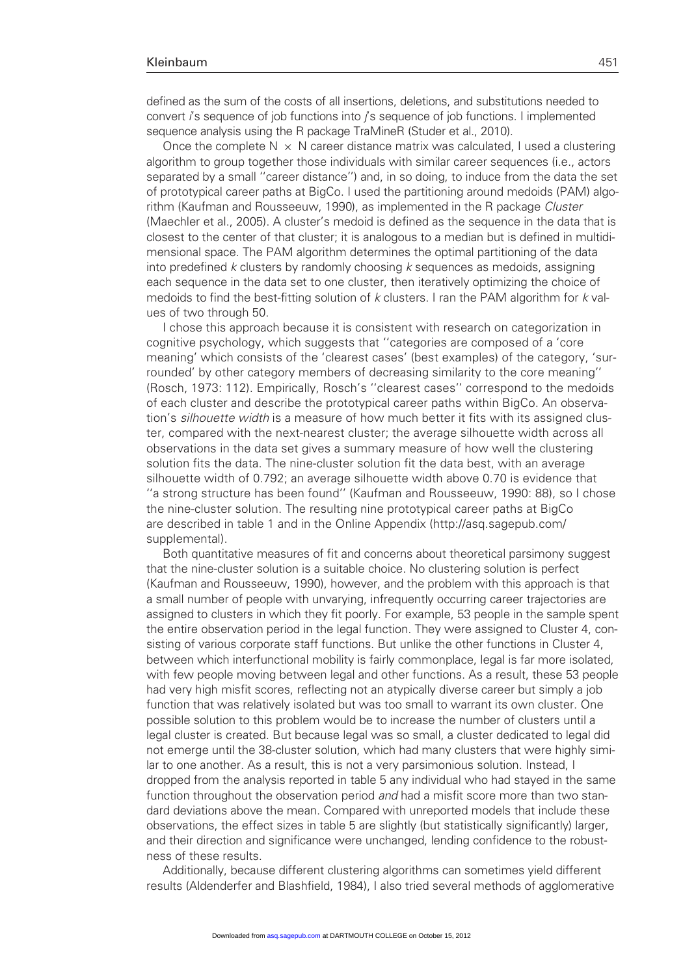defined as the sum of the costs of all insertions, deletions, and substitutions needed to convert is sequence of job functions into its sequence of job functions. I implemented sequence analysis using the R package TraMineR (Studer et al., 2010).

Once the complete  $N \times N$  career distance matrix was calculated, I used a clustering algorithm to group together those individuals with similar career sequences (i.e., actors separated by a small ''career distance'') and, in so doing, to induce from the data the set of prototypical career paths at BigCo. I used the partitioning around medoids (PAM) algorithm (Kaufman and Rousseeuw, 1990), as implemented in the R package Cluster (Maechler et al., 2005). A cluster's medoid is defined as the sequence in the data that is closest to the center of that cluster; it is analogous to a median but is defined in multidimensional space. The PAM algorithm determines the optimal partitioning of the data into predefined k clusters by randomly choosing k sequences as medoids, assigning each sequence in the data set to one cluster, then iteratively optimizing the choice of medoids to find the best-fitting solution of  $k$  clusters. I ran the PAM algorithm for  $k$  values of two through 50.

I chose this approach because it is consistent with research on categorization in cognitive psychology, which suggests that ''categories are composed of a 'core meaning' which consists of the 'clearest cases' (best examples) of the category, 'surrounded' by other category members of decreasing similarity to the core meaning'' (Rosch, 1973: 112). Empirically, Rosch's ''clearest cases'' correspond to the medoids of each cluster and describe the prototypical career paths within BigCo. An observation's *silhouette width* is a measure of how much better it fits with its assigned cluster, compared with the next-nearest cluster; the average silhouette width across all observations in the data set gives a summary measure of how well the clustering solution fits the data. The nine-cluster solution fit the data best, with an average silhouette width of 0.792; an average silhouette width above 0.70 is evidence that ''a strong structure has been found'' (Kaufman and Rousseeuw, 1990: 88), so I chose the nine-cluster solution. The resulting nine prototypical career paths at BigCo are described in table 1 and in the Online Appendix (http://asq.sagepub.com/ supplemental).

Both quantitative measures of fit and concerns about theoretical parsimony suggest that the nine-cluster solution is a suitable choice. No clustering solution is perfect (Kaufman and Rousseeuw, 1990), however, and the problem with this approach is that a small number of people with unvarying, infrequently occurring career trajectories are assigned to clusters in which they fit poorly. For example, 53 people in the sample spent the entire observation period in the legal function. They were assigned to Cluster 4, consisting of various corporate staff functions. But unlike the other functions in Cluster 4, between which interfunctional mobility is fairly commonplace, legal is far more isolated, with few people moving between legal and other functions. As a result, these 53 people had very high misfit scores, reflecting not an atypically diverse career but simply a job function that was relatively isolated but was too small to warrant its own cluster. One possible solution to this problem would be to increase the number of clusters until a legal cluster is created. But because legal was so small, a cluster dedicated to legal did not emerge until the 38-cluster solution, which had many clusters that were highly similar to one another. As a result, this is not a very parsimonious solution. Instead, I dropped from the analysis reported in table 5 any individual who had stayed in the same function throughout the observation period and had a misfit score more than two standard deviations above the mean. Compared with unreported models that include these observations, the effect sizes in table 5 are slightly (but statistically significantly) larger, and their direction and significance were unchanged, lending confidence to the robustness of these results.

Additionally, because different clustering algorithms can sometimes yield different results (Aldenderfer and Blashfield, 1984), I also tried several methods of agglomerative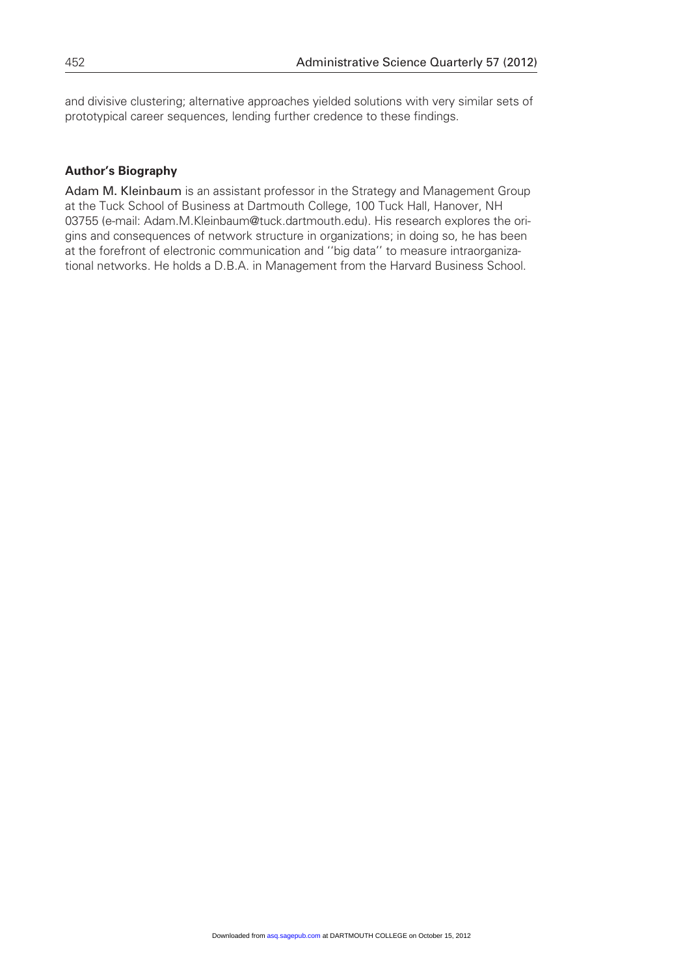and divisive clustering; alternative approaches yielded solutions with very similar sets of prototypical career sequences, lending further credence to these findings.

# Author's Biography

Adam M. Kleinbaum is an assistant professor in the Strategy and Management Group at the Tuck School of Business at Dartmouth College, 100 Tuck Hall, Hanover, NH 03755 (e-mail: Adam.M.Kleinbaum@tuck.dartmouth.edu). His research explores the origins and consequences of network structure in organizations; in doing so, he has been at the forefront of electronic communication and ''big data'' to measure intraorganizational networks. He holds a D.B.A. in Management from the Harvard Business School.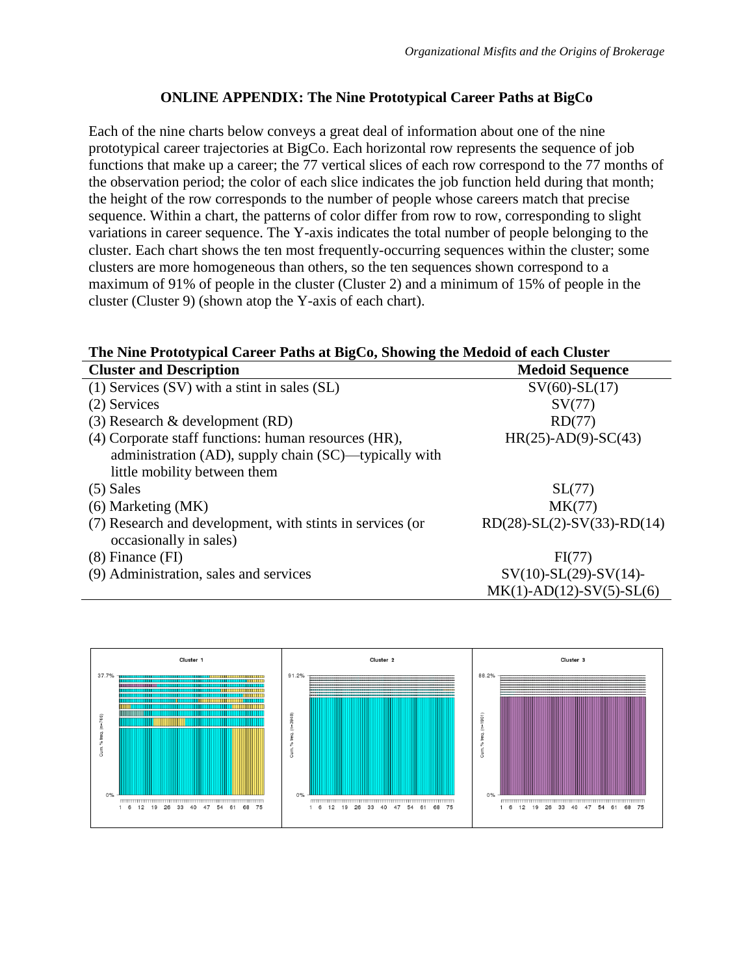# **ONLINE APPENDIX: The Nine Prototypical Career Paths at BigCo**

Each of the nine charts below conveys a great deal of information about one of the nine prototypical career trajectories at BigCo. Each horizontal row represents the sequence of job functions that make up a career; the 77 vertical slices of each row correspond to the 77 months of the observation period; the color of each slice indicates the job function held during that month; the height of the row corresponds to the number of people whose careers match that precise sequence. Within a chart, the patterns of color differ from row to row, corresponding to slight variations in career sequence. The Y-axis indicates the total number of people belonging to the cluster. Each chart shows the ten most frequently-occurring sequences within the cluster; some clusters are more homogeneous than others, so the ten sequences shown correspond to a maximum of 91% of people in the cluster (Cluster 2) and a minimum of 15% of people in the cluster (Cluster 9) (shown atop the Y-axis of each chart).

# **The Nine Prototypical Career Paths at BigCo, Showing the Medoid of each Cluster**

| <b>Cluster and Description</b>                                                      | <b>Medoid Sequence</b>             |
|-------------------------------------------------------------------------------------|------------------------------------|
| $(1)$ Services $(SV)$ with a stint in sales $(SL)$                                  | $SV(60) - SL(17)$                  |
| (2) Services                                                                        | SV(77)                             |
| $(3)$ Research & development $(RD)$                                                 | RD(77)                             |
| (4) Corporate staff functions: human resources (HR),                                | $HR(25)-AD(9)-SC(43)$              |
| administration (AD), supply chain (SC)—typically with                               |                                    |
| little mobility between them                                                        |                                    |
| $(5)$ Sales                                                                         | SL(77)                             |
| $(6)$ Marketing (MK)                                                                | MK(77)                             |
| (7) Research and development, with stints in services (or<br>occasionally in sales) | $RD(28) - SL(2) - SV(33) - RD(14)$ |
| $(8)$ Finance $(FI)$                                                                | FI(77)                             |
| (9) Administration, sales and services                                              | $SV(10) - SL(29) - SV(14) -$       |
|                                                                                     | $MK(1)-AD(12)-SV(5)-SL(6)$         |